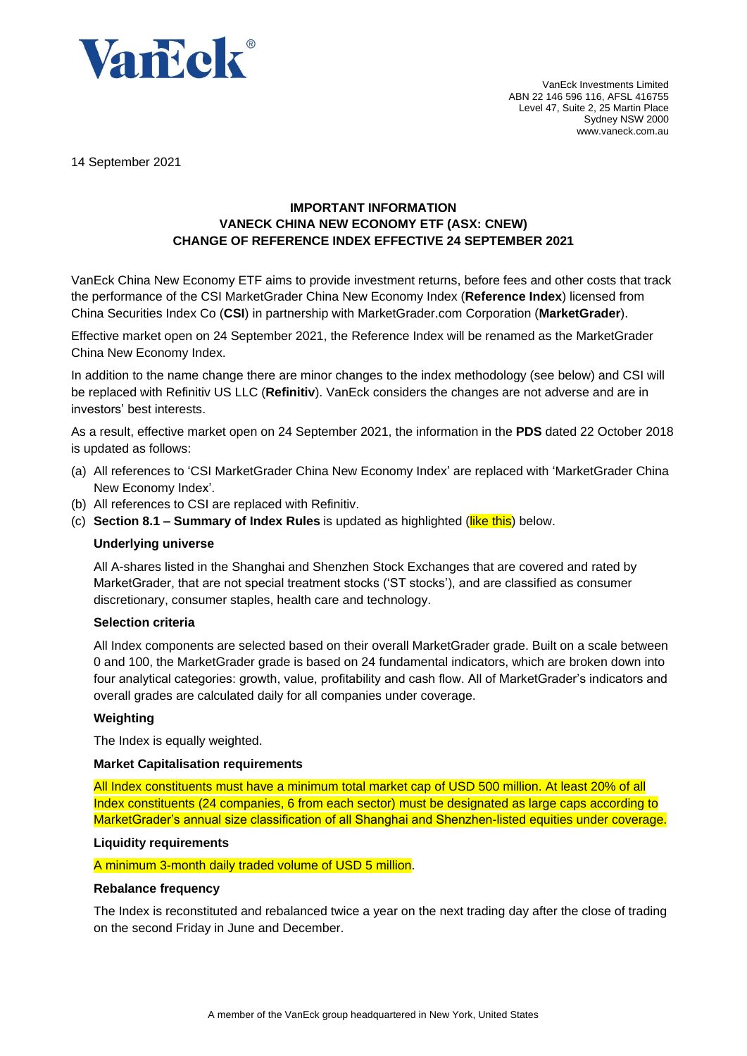

VanEck Investments Limited ABN 22 146 596 116, AFSL 416755 Level 47, Suite 2, 25 Martin Place Sydney NSW 2000 www.vaneck.com.au

14 September 2021

## **IMPORTANT INFORMATION VANECK CHINA NEW ECONOMY ETF (ASX: CNEW) CHANGE OF REFERENCE INDEX EFFECTIVE 24 SEPTEMBER 2021**

VanEck China New Economy ETF aims to provide investment returns, before fees and other costs that track the performance of the CSI MarketGrader China New Economy Index (**Reference Index**) licensed from China Securities Index Co (**CSI**) in partnership with MarketGrader.com Corporation (**MarketGrader**).

Effective market open on 24 September 2021, the Reference Index will be renamed as the MarketGrader China New Economy Index.

In addition to the name change there are minor changes to the index methodology (see below) and CSI will be replaced with Refinitiv US LLC (**Refinitiv**). VanEck considers the changes are not adverse and are in investors' best interests.

As a result, effective market open on 24 September 2021, the information in the **PDS** dated 22 October 2018 is updated as follows:

- (a) All references to 'CSI MarketGrader China New Economy Index' are replaced with 'MarketGrader China New Economy Index'.
- (b) All references to CSI are replaced with Refinitiv.
- (c) **Section 8.1 – Summary of Index Rules** is updated as highlighted (like this) below.

#### **Underlying universe**

All A-shares listed in the Shanghai and Shenzhen Stock Exchanges that are covered and rated by MarketGrader, that are not special treatment stocks ('ST stocks'), and are classified as consumer discretionary, consumer staples, health care and technology.

#### **Selection criteria**

All Index components are selected based on their overall MarketGrader grade. Built on a scale between 0 and 100, the MarketGrader grade is based on 24 fundamental indicators, which are broken down into four analytical categories: growth, value, profitability and cash flow. All of MarketGrader's indicators and overall grades are calculated daily for all companies under coverage.

#### **Weighting**

The Index is equally weighted.

#### **Market Capitalisation requirements**

All Index constituents must have a minimum total market cap of USD 500 million. At least 20% of all Index constituents (24 companies, 6 from each sector) must be designated as large caps according to MarketGrader's annual size classification of all Shanghai and Shenzhen-listed equities under coverage.

#### **Liquidity requirements**

A minimum 3-month daily traded volume of USD 5 million.

#### **Rebalance frequency**

The Index is reconstituted and rebalanced twice a year on the next trading day after the close of trading on the second Friday in June and December.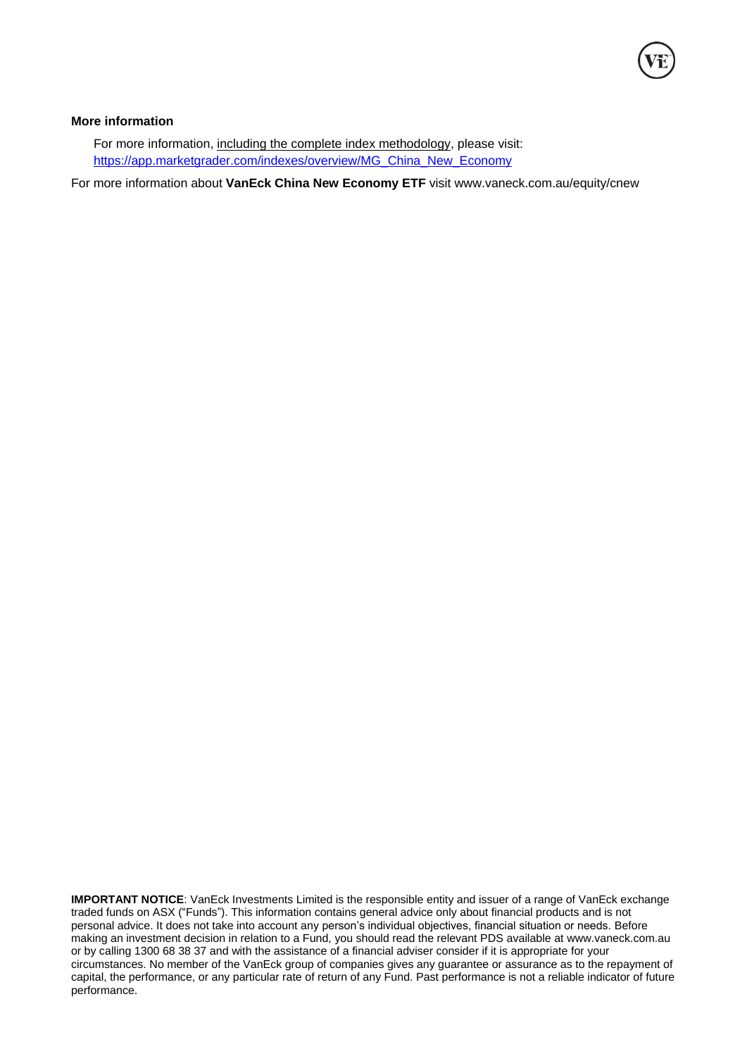### **More information**

For more information, including the complete index methodology, please visit: [https://app.marketgrader.com/indexes/overview/MG\\_China\\_New\\_Economy](https://app.marketgrader.com/indexes/overview/MG_China_New_Economy)

For more information about **VanEck China New Economy ETF** visit www.vaneck.com.au/equity/cnew

**IMPORTANT NOTICE**: VanEck Investments Limited is the responsible entity and issuer of a range of VanEck exchange traded funds on ASX ("Funds"). This information contains general advice only about financial products and is not personal advice. It does not take into account any person's individual objectives, financial situation or needs. Before making an investment decision in relation to a Fund, you should read the relevant PDS available at [www.vaneck.com.au](http://www.vaneck.com.au/) or by calling 1300 68 38 37 and with the assistance of a financial adviser consider if it is appropriate for your circumstances. No member of the VanEck group of companies gives any guarantee or assurance as to the repayment of capital, the performance, or any particular rate of return of any Fund. Past performance is not a reliable indicator of future performance.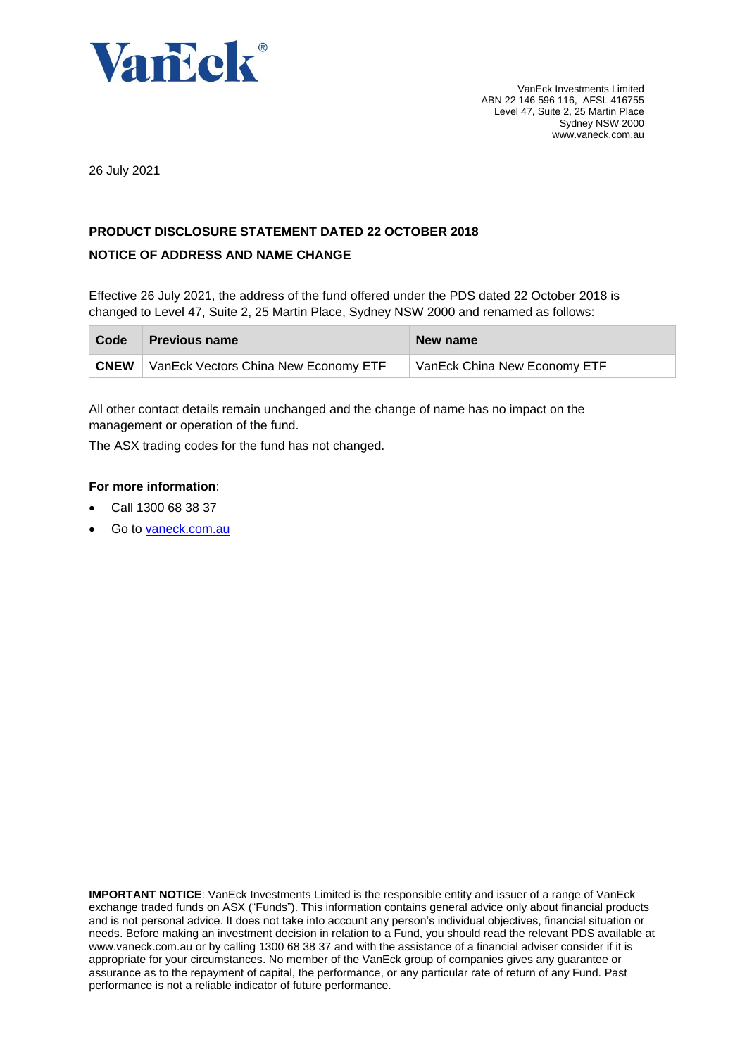

26 July 2021

## **PRODUCT DISCLOSURE STATEMENT DATED 22 OCTOBER 2018**

## **NOTICE OF ADDRESS AND NAME CHANGE**

Effective 26 July 2021, the address of the fund offered under the PDS dated 22 October 2018 is changed to Level 47, Suite 2, 25 Martin Place, Sydney NSW 2000 and renamed as follows:

| Code        | <b>Previous name</b>                        | New name                     |
|-------------|---------------------------------------------|------------------------------|
| <b>CNEW</b> | <b>VanEck Vectors China New Economy ETF</b> | VanEck China New Economy ETF |

All other contact details remain unchanged and the change of name has no impact on the management or operation of the fund.

The ASX trading codes for the fund has not changed.

## **For more information**:

- Call 1300 68 38 37
- Go to [vaneck.com.au](http://www.marketvectors-australia.com/)

**IMPORTANT NOTICE**: VanEck Investments Limited is the responsible entity and issuer of a range of VanEck exchange traded funds on ASX ("Funds"). This information contains general advice only about financial products and is not personal advice. It does not take into account any person's individual objectives, financial situation or needs. Before making an investment decision in relation to a Fund, you should read the relevant PDS available at [www.vaneck.com.au](http://www.vaneck.com.au/) or by calling 1300 68 38 37 and with the assistance of a financial adviser consider if it is appropriate for your circumstances. No member of the VanEck group of companies gives any guarantee or assurance as to the repayment of capital, the performance, or any particular rate of return of any Fund. Past performance is not a reliable indicator of future performance.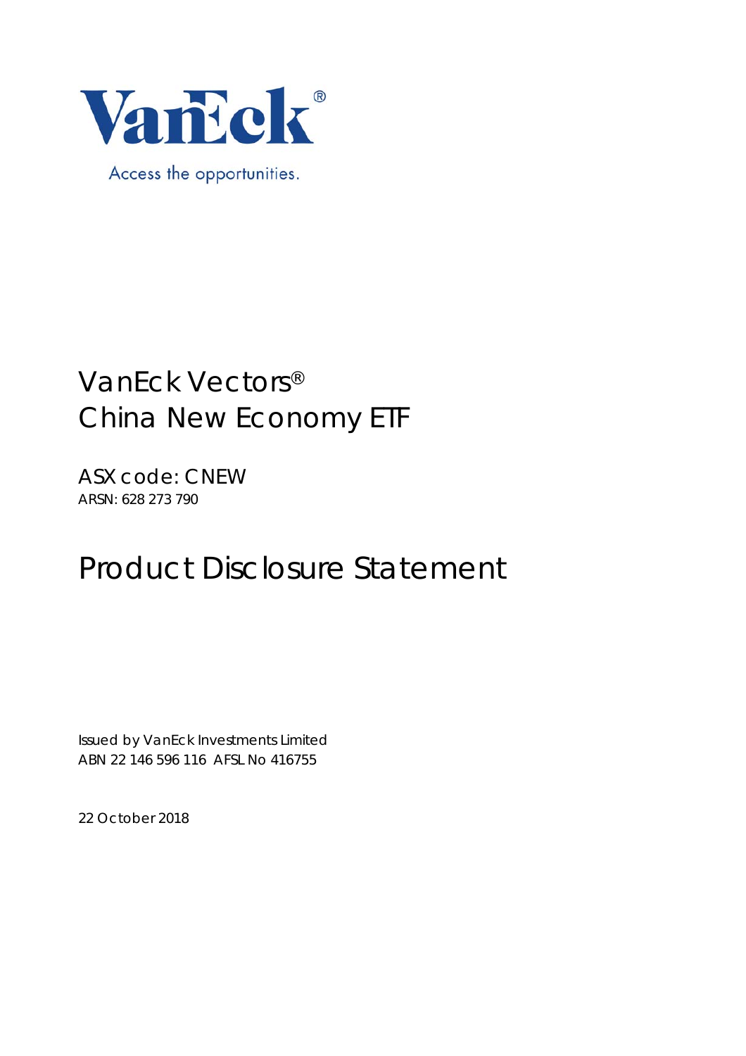

ASX code: CNEW ARSN: 628 273 790

## Product Disclosure Statement

Issued by VanEck Investments Limited ABN 22 146 596 116 AFSL No 416755

22 October 2018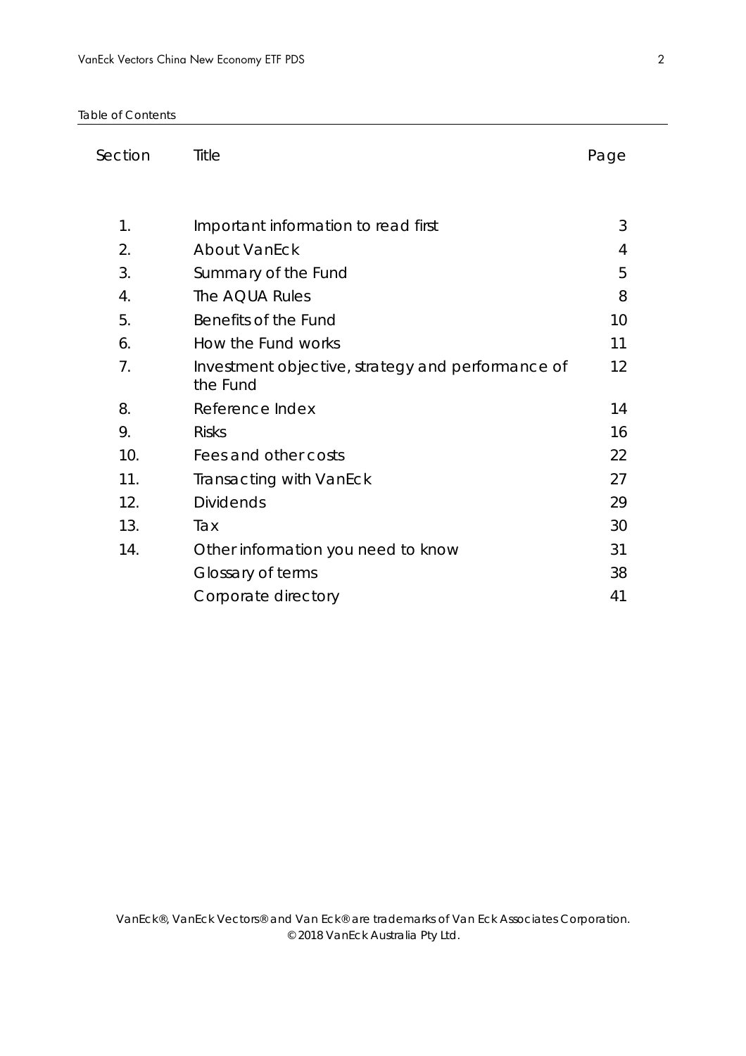Table of Contents

| Section          | Title                                                         | Page |
|------------------|---------------------------------------------------------------|------|
|                  |                                                               |      |
| 1.               | Important information to read first                           | 3    |
| 2.               | <b>About VanEck</b>                                           | 4    |
| 3.               | Summary of the Fund                                           | 5    |
| $\overline{4}$ . | The AQUA Rules                                                | 8    |
| 5.               | Benefits of the Fund                                          | 10   |
| 6.               | How the Fund works                                            | 11   |
| 7.               | Investment objective, strategy and performance of<br>the Fund | 12   |
| 8.               | Reference Index                                               | 14   |
| 9.               | <b>Risks</b>                                                  | 16   |
| 10.              | Fees and other costs                                          | 22   |
| 11.              | Transacting with VanEck                                       | 27   |
| 12.              | <b>Dividends</b>                                              | 29   |
| 13.              | Tax                                                           | 30   |
| 14.              | Other information you need to know                            | 31   |
|                  | Glossary of terms                                             | 38   |
|                  | Corporate directory                                           | 41   |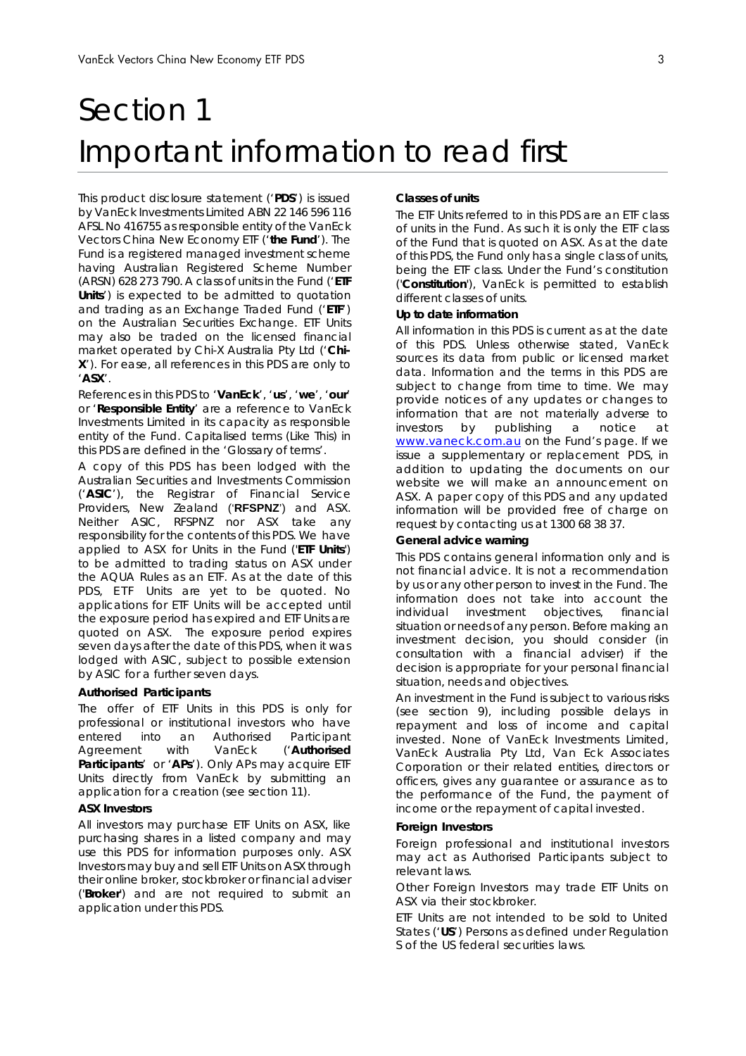## Section 1 Important information to read first

This product disclosure statement ('**PDS**') is issued by VanEck Investments Limited ABN 22 146 596 116 AFSL No 416755 as responsible entity of the VanEck Vectors China New Economy ETF ('**the Fund**'). The Fund is a registered managed investment scheme having Australian Registered Scheme Number (ARSN) 628 273 790. A class of units in the Fund ('**ETF Units**') is expected to be admitted to quotation and trading as an Exchange Traded Fund ('**ETF**') on the Australian Securities Exchange. ETF Units may also be traded on the licensed financial market operated by Chi-X Australia Pty Ltd ('**Chi-X**'). For ease, all references in this PDS are only to '**ASX**'.

References in this PDS to '**VanEck**', '**us**', '**we**', '**our**' or '**Responsible Entity**' are a reference to VanEck Investments Limited in its capacity as responsible entity of the Fund. Capitalised terms (Like This) in this PDS are defined in the '*Glossary of terms*'.

A copy of this PDS has been lodged with the Australian Securities and Investments Commission ('**ASIC**'), the Registrar of Financial Service Providers, New Zealand ('**RFSPNZ**') and ASX. Neither ASIC, RFSPNZ nor ASX take any responsibility for the contents of this PDS. We have applied to ASX for Units in the Fund ('**ETF Units**') to be admitted to trading status on ASX under the AQUA Rules as an ETF. As at the date of this PDS, ETF Units are yet to be quoted. No applications for ETF Units will be accepted until the exposure period has expired and ETF Units are quoted on ASX. The exposure period expires seven days after the date of this PDS, when it was lodged with ASIC, subject to possible extension by ASIC for a further seven days.

#### **Authorised Participants**

The offer of ETF Units in this PDS is only for professional or institutional investors who have entered into an Authorised Participant Agreement with VanEck ('**Authorised Participants**' or '**APs**'). Only APs may acquire ETF Units directly from VanEck by submitting an application for a creation (see section 11).

#### **ASX Investors**

All investors may purchase ETF Units on ASX, like purchasing shares in a listed company and may use this PDS for information purposes only. ASX Investors may buy and sell ETF Units on ASX through their online broker, stockbroker or financial adviser ('**Broker**') and are not required to submit an application under this PDS.

#### **Classes of units**

The ETF Units referred to in this PDS are an ETF class of units in the Fund. As such it is only the ETF class of the Fund that is quoted on ASX. As at the date of this PDS, the Fund only has a single class of units, being the ETF class. Under the Fund's constitution ('**Constitution**'), VanEck is permitted to establish different classes of units.

#### **Up to date information**

All information in this PDS is current as at the date of this PDS. Unless otherwise stated, VanEck sources its data from public or licensed market data. Information and the terms in this PDS are subject to change from time to time. We may provide notices of any updates or changes to information that are not materially adverse to investors by publishing a notice at www.vaneck.com.au on the Fund's page. If we issue a supplementary or replacement PDS, in addition to updating the documents on our website we will make an announcement on ASX. A paper copy of this PDS and any updated information will be provided free of charge on request by contacting us at 1300 68 38 37.

#### **General advice warning**

This PDS contains general information only and is not financial advice. It is not a recommendation by us or any other person to invest in the Fund. The information does not take into account the individual investment objectives, financial situation or needs of any person. Before making an investment decision, you should consider (in consultation with a financial adviser) if the decision is appropriate for your personal financial situation, needs and objectives.

An investment in the Fund is subject to various risks (see section 9), including possible delays in repayment and loss of income and capital invested. None of VanEck Investments Limited, VanEck Australia Pty Ltd, Van Eck Associates Corporation or their related entities, directors or officers, gives any guarantee or assurance as to the performance of the Fund, the payment of income or the repayment of capital invested.

#### **Foreign Investors**

Foreign professional and institutional investors may act as Authorised Participants subject to relevant laws.

Other Foreign Investors may trade ETF Units on ASX via their stockbroker.

ETF Units are not intended to be sold to United States ('**US**') Persons as defined under Regulation S of the US federal securities laws.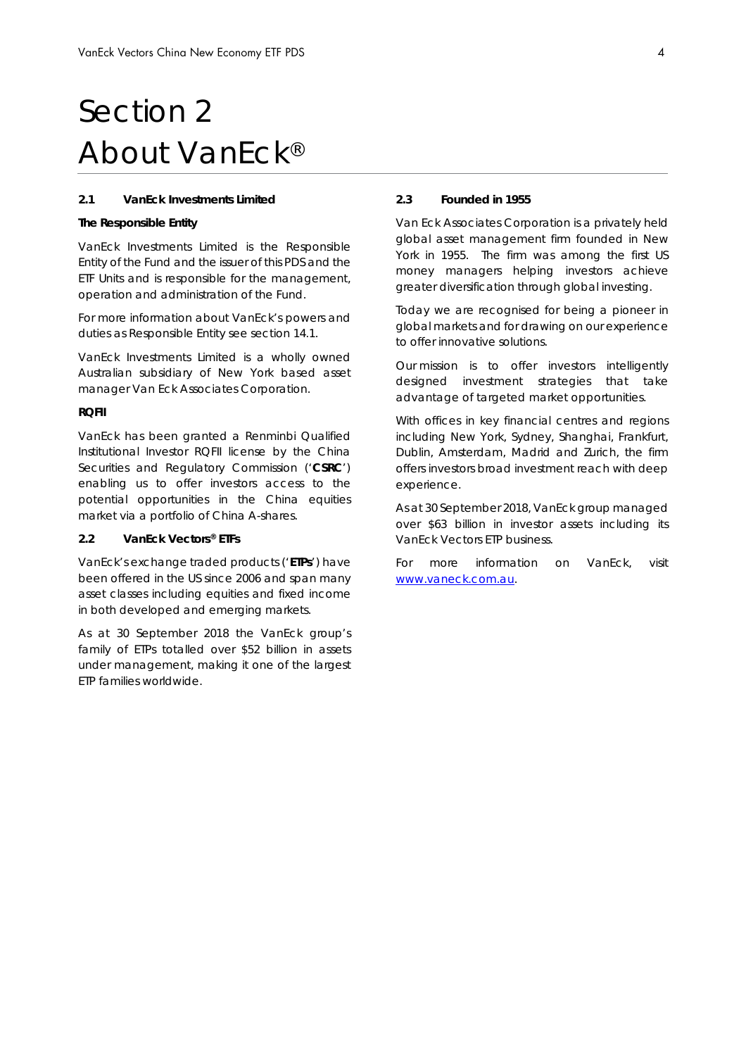## Section 2 About VanEck®

#### **2.1 VanEck Investments Limited**

#### **The Responsible Entity**

VanEck Investments Limited is the Responsible Entity of the Fund and the issuer of this PDS and the ETF Units and is responsible for the management, operation and administration of the Fund.

For more information about VanEck's powers and duties as Responsible Entity see section 14.1.

VanEck Investments Limited is a wholly owned Australian subsidiary of New York based asset manager Van Eck Associates Corporation.

#### **RQFII**

VanEck has been granted a Renminbi Qualified Institutional Investor RQFII license by the China Securities and Regulatory Commission ('**CSRC**') enabling us to offer investors access to the potential opportunities in the China equities market via a portfolio of China A-shares.

#### **2.2 VanEck Vectors® ETFs**

VanEck's exchange traded products ('**ETPs**') have been offered in the US since 2006 and span many asset classes including equities and fixed income in both developed and emerging markets.

As at 30 September 2018 the VanEck group's family of ETPs totalled over \$52 billion in assets under management, making it one of the largest ETP families worldwide.

#### **2.3 Founded in 1955**

Van Eck Associates Corporation is a privately held global asset management firm founded in New York in 1955. The firm was among the first US money managers helping investors achieve greater diversification through global investing.

Today we are recognised for being a pioneer in global markets and for drawing on our experience to offer innovative solutions.

Our mission is to offer investors intelligently designed investment strategies that take advantage of targeted market opportunities.

With offices in key financial centres and regions including New York, Sydney, Shanghai, Frankfurt, Dublin, Amsterdam, Madrid and Zurich, the firm offers investors broad investment reach with deep experience.

As at 30 September 2018, VanEck group managed over \$63 billion in investor assets including its VanEck Vectors ETP business.

For more information on VanEck, visit www.vaneck.com.au.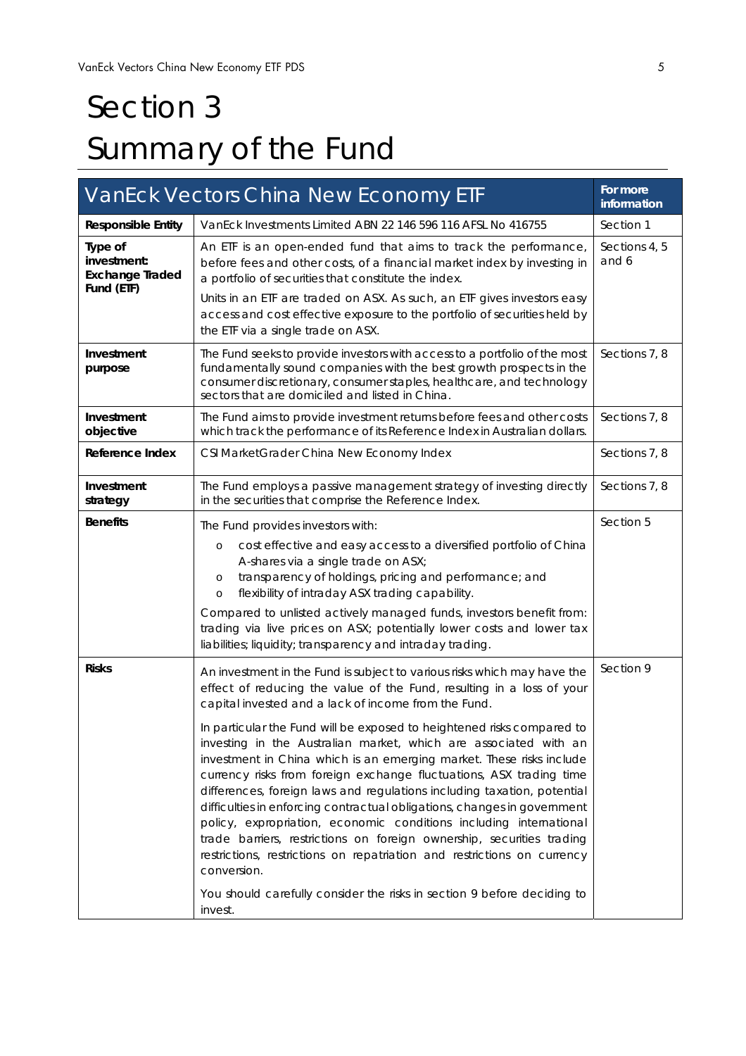# Section 3 Summary of the Fund

|                                                                | VanEck Vectors China New Economy ETF                                                                                                                                                                                                                                                                                                                                                                                                                                                                                                                                                                                                                                                                                                                                                                                                                                                                   | For more<br>information |
|----------------------------------------------------------------|--------------------------------------------------------------------------------------------------------------------------------------------------------------------------------------------------------------------------------------------------------------------------------------------------------------------------------------------------------------------------------------------------------------------------------------------------------------------------------------------------------------------------------------------------------------------------------------------------------------------------------------------------------------------------------------------------------------------------------------------------------------------------------------------------------------------------------------------------------------------------------------------------------|-------------------------|
| <b>Responsible Entity</b>                                      | VanEck Investments Limited ABN 22 146 596 116 AFSL No 416755                                                                                                                                                                                                                                                                                                                                                                                                                                                                                                                                                                                                                                                                                                                                                                                                                                           | Section 1               |
| Type of<br>investment:<br><b>Exchange Traded</b><br>Fund (ETF) | An ETF is an open-ended fund that aims to track the performance,<br>before fees and other costs, of a financial market index by investing in<br>a portfolio of securities that constitute the index.<br>Units in an ETF are traded on ASX. As such, an ETF gives investors easy<br>access and cost effective exposure to the portfolio of securities held by<br>the ETF via a single trade on ASX.                                                                                                                                                                                                                                                                                                                                                                                                                                                                                                     | Sections 4, 5<br>and 6  |
| Investment<br>purpose                                          | The Fund seeks to provide investors with access to a portfolio of the most<br>fundamentally sound companies with the best growth prospects in the<br>consumer discretionary, consumer staples, healthcare, and technology<br>sectors that are domiciled and listed in China.                                                                                                                                                                                                                                                                                                                                                                                                                                                                                                                                                                                                                           |                         |
| Investment<br>objective                                        | The Fund aims to provide investment returns before fees and other costs<br>which track the performance of its Reference Index in Australian dollars.                                                                                                                                                                                                                                                                                                                                                                                                                                                                                                                                                                                                                                                                                                                                                   | Sections 7, 8           |
| Reference Index                                                | CSI MarketGrader China New Economy Index                                                                                                                                                                                                                                                                                                                                                                                                                                                                                                                                                                                                                                                                                                                                                                                                                                                               | Sections 7, 8           |
| Investment<br>strategy                                         | The Fund employs a passive management strategy of investing directly<br>in the securities that comprise the Reference Index.                                                                                                                                                                                                                                                                                                                                                                                                                                                                                                                                                                                                                                                                                                                                                                           | Sections 7, 8           |
| <b>Benefits</b>                                                | The Fund provides investors with:                                                                                                                                                                                                                                                                                                                                                                                                                                                                                                                                                                                                                                                                                                                                                                                                                                                                      | Section 5               |
|                                                                | cost effective and easy access to a diversified portfolio of China<br>$\circ$<br>A-shares via a single trade on ASX;<br>transparency of holdings, pricing and performance; and<br>$\circ$<br>flexibility of intraday ASX trading capability.<br>$\circ$<br>Compared to unlisted actively managed funds, investors benefit from:<br>trading via live prices on ASX; potentially lower costs and lower tax                                                                                                                                                                                                                                                                                                                                                                                                                                                                                               |                         |
|                                                                | liabilities; liquidity; transparency and intraday trading.                                                                                                                                                                                                                                                                                                                                                                                                                                                                                                                                                                                                                                                                                                                                                                                                                                             |                         |
| <b>Risks</b>                                                   | An investment in the Fund is subject to various risks which may have the<br>effect of reducing the value of the Fund, resulting in a loss of your<br>capital invested and a lack of income from the Fund.<br>In particular the Fund will be exposed to heightened risks compared to<br>investing in the Australian market, which are associated with an<br>investment in China which is an emerging market. These risks include<br>currency risks from foreign exchange fluctuations, ASX trading time<br>differences, foreign laws and regulations including taxation, potential<br>difficulties in enforcing contractual obligations, changes in government<br>policy, expropriation, economic conditions including international<br>trade barriers, restrictions on foreign ownership, securities trading<br>restrictions, restrictions on repatriation and restrictions on currency<br>conversion. | Section 9               |
|                                                                | You should carefully consider the risks in section 9 before deciding to<br>invest.                                                                                                                                                                                                                                                                                                                                                                                                                                                                                                                                                                                                                                                                                                                                                                                                                     |                         |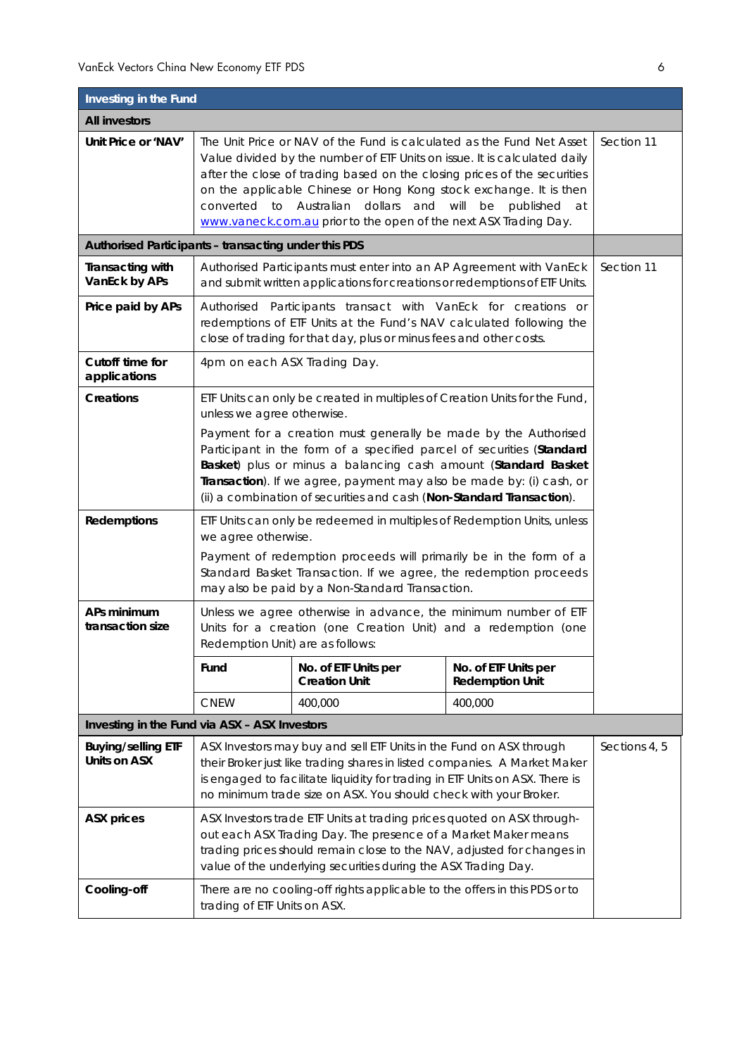| Investing in the Fund                                |                                                                                                                                                                                                                                                                                                                                                                                                                                           |                                                                            |                                                |               |  |
|------------------------------------------------------|-------------------------------------------------------------------------------------------------------------------------------------------------------------------------------------------------------------------------------------------------------------------------------------------------------------------------------------------------------------------------------------------------------------------------------------------|----------------------------------------------------------------------------|------------------------------------------------|---------------|--|
| <b>All investors</b>                                 |                                                                                                                                                                                                                                                                                                                                                                                                                                           |                                                                            |                                                |               |  |
| Unit Price or 'NAV'                                  | The Unit Price or NAV of the Fund is calculated as the Fund Net Asset<br>Value divided by the number of ETF Units on issue. It is calculated daily<br>after the close of trading based on the closing prices of the securities<br>on the applicable Chinese or Hong Kong stock exchange. It is then<br>converted to Australian dollars and will<br>be published<br>at<br>www.vaneck.com.au prior to the open of the next ASX Trading Day. |                                                                            |                                                | Section 11    |  |
| Authorised Participants - transacting under this PDS |                                                                                                                                                                                                                                                                                                                                                                                                                                           |                                                                            |                                                |               |  |
| <b>Transacting with</b><br>VanEck by APs             | Authorised Participants must enter into an AP Agreement with VanEck<br>and submit written applications for creations or redemptions of ETF Units.                                                                                                                                                                                                                                                                                         |                                                                            |                                                | Section 11    |  |
| Price paid by APs                                    | Authorised Participants transact with VanEck for creations or<br>redemptions of ETF Units at the Fund's NAV calculated following the<br>close of trading for that day, plus or minus fees and other costs.                                                                                                                                                                                                                                |                                                                            |                                                |               |  |
| Cutoff time for<br>applications                      | 4pm on each ASX Trading Day.                                                                                                                                                                                                                                                                                                                                                                                                              |                                                                            |                                                |               |  |
| <b>Creations</b>                                     | unless we agree otherwise.                                                                                                                                                                                                                                                                                                                                                                                                                | ETF Units can only be created in multiples of Creation Units for the Fund, |                                                |               |  |
|                                                      | Payment for a creation must generally be made by the Authorised<br>Participant in the form of a specified parcel of securities (Standard<br>Basket) plus or minus a balancing cash amount (Standard Basket<br>Transaction). If we agree, payment may also be made by: (i) cash, or<br>(ii) a combination of securities and cash (Non-Standard Transaction).                                                                               |                                                                            |                                                |               |  |
| <b>Redemptions</b>                                   | ETF Units can only be redeemed in multiples of Redemption Units, unless<br>we agree otherwise.                                                                                                                                                                                                                                                                                                                                            |                                                                            |                                                |               |  |
|                                                      | Payment of redemption proceeds will primarily be in the form of a<br>Standard Basket Transaction. If we agree, the redemption proceeds<br>may also be paid by a Non-Standard Transaction.                                                                                                                                                                                                                                                 |                                                                            |                                                |               |  |
| APs minimum<br>transaction size                      | Unless we agree otherwise in advance, the minimum number of ETF<br>Units for a creation (one Creation Unit) and a redemption (one<br>Redemption Unit) are as follows:                                                                                                                                                                                                                                                                     |                                                                            |                                                |               |  |
|                                                      | Fund                                                                                                                                                                                                                                                                                                                                                                                                                                      | No. of ETF Units per<br><b>Creation Unit</b>                               | No. of ETF Units per<br><b>Redemption Unit</b> |               |  |
|                                                      | <b>CNEW</b>                                                                                                                                                                                                                                                                                                                                                                                                                               | 400,000                                                                    | 400,000                                        |               |  |
| Investing in the Fund via ASX - ASX Investors        |                                                                                                                                                                                                                                                                                                                                                                                                                                           |                                                                            |                                                |               |  |
| <b>Buying/selling ETF</b><br>Units on ASX            | ASX Investors may buy and sell ETF Units in the Fund on ASX through<br>their Broker just like trading shares in listed companies. A Market Maker<br>is engaged to facilitate liquidity for trading in ETF Units on ASX. There is<br>no minimum trade size on ASX. You should check with your Broker.                                                                                                                                      |                                                                            |                                                | Sections 4, 5 |  |
| <b>ASX prices</b>                                    | ASX Investors trade ETF Units at trading prices quoted on ASX through-<br>out each ASX Trading Day. The presence of a Market Maker means<br>trading prices should remain close to the NAV, adjusted for changes in<br>value of the underlying securities during the ASX Trading Day.                                                                                                                                                      |                                                                            |                                                |               |  |
| Cooling-off                                          | There are no cooling-off rights applicable to the offers in this PDS or to<br>trading of ETF Units on ASX.                                                                                                                                                                                                                                                                                                                                |                                                                            |                                                |               |  |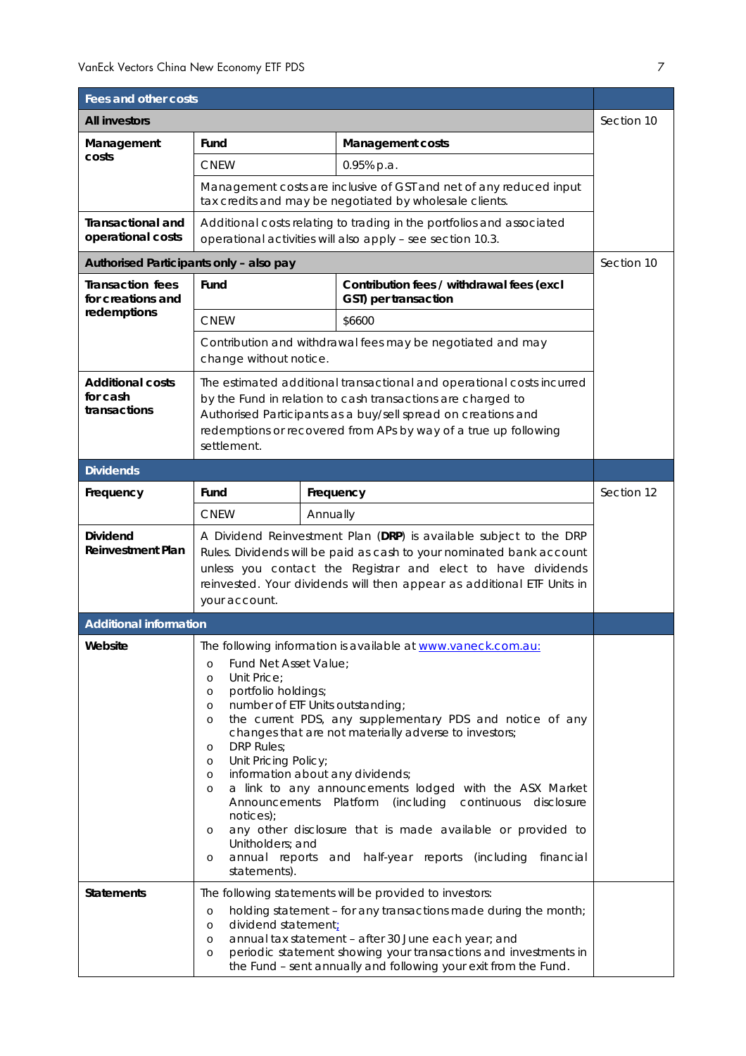| Fees and other costs                                |                                                                                                                                                                                                                                                                                                                                                                                                                                                                                                                                                                                                                                                                                                                                                                                                   |          |                                                                                                                                     |            |
|-----------------------------------------------------|---------------------------------------------------------------------------------------------------------------------------------------------------------------------------------------------------------------------------------------------------------------------------------------------------------------------------------------------------------------------------------------------------------------------------------------------------------------------------------------------------------------------------------------------------------------------------------------------------------------------------------------------------------------------------------------------------------------------------------------------------------------------------------------------------|----------|-------------------------------------------------------------------------------------------------------------------------------------|------------|
| <b>All investors</b>                                |                                                                                                                                                                                                                                                                                                                                                                                                                                                                                                                                                                                                                                                                                                                                                                                                   |          |                                                                                                                                     |            |
| Management                                          | Fund                                                                                                                                                                                                                                                                                                                                                                                                                                                                                                                                                                                                                                                                                                                                                                                              |          | <b>Management costs</b>                                                                                                             |            |
| costs                                               | <b>CNEW</b>                                                                                                                                                                                                                                                                                                                                                                                                                                                                                                                                                                                                                                                                                                                                                                                       |          | 0.95% p.a.                                                                                                                          |            |
|                                                     |                                                                                                                                                                                                                                                                                                                                                                                                                                                                                                                                                                                                                                                                                                                                                                                                   |          | Management costs are inclusive of GST and net of any reduced input<br>tax credits and may be negotiated by wholesale clients.       |            |
| <b>Transactional and</b><br>operational costs       |                                                                                                                                                                                                                                                                                                                                                                                                                                                                                                                                                                                                                                                                                                                                                                                                   |          | Additional costs relating to trading in the portfolios and associated<br>operational activities will also apply - see section 10.3. |            |
| Authorised Participants only - also pay             |                                                                                                                                                                                                                                                                                                                                                                                                                                                                                                                                                                                                                                                                                                                                                                                                   |          |                                                                                                                                     | Section 10 |
| <b>Transaction fees</b><br>for creations and        | Fund                                                                                                                                                                                                                                                                                                                                                                                                                                                                                                                                                                                                                                                                                                                                                                                              |          | Contribution fees / withdrawal fees (excl<br>GST) per transaction                                                                   |            |
| redemptions                                         | <b>CNEW</b>                                                                                                                                                                                                                                                                                                                                                                                                                                                                                                                                                                                                                                                                                                                                                                                       |          | \$6600                                                                                                                              |            |
|                                                     | change without notice.                                                                                                                                                                                                                                                                                                                                                                                                                                                                                                                                                                                                                                                                                                                                                                            |          | Contribution and withdrawal fees may be negotiated and may                                                                          |            |
| <b>Additional costs</b><br>for cash<br>transactions | The estimated additional transactional and operational costs incurred<br>by the Fund in relation to cash transactions are charged to<br>Authorised Participants as a buy/sell spread on creations and<br>redemptions or recovered from APs by way of a true up following<br>settlement.                                                                                                                                                                                                                                                                                                                                                                                                                                                                                                           |          |                                                                                                                                     |            |
| <b>Dividends</b>                                    |                                                                                                                                                                                                                                                                                                                                                                                                                                                                                                                                                                                                                                                                                                                                                                                                   |          |                                                                                                                                     |            |
| Frequency                                           | Fund                                                                                                                                                                                                                                                                                                                                                                                                                                                                                                                                                                                                                                                                                                                                                                                              |          | Frequency                                                                                                                           | Section 12 |
|                                                     | <b>CNEW</b>                                                                                                                                                                                                                                                                                                                                                                                                                                                                                                                                                                                                                                                                                                                                                                                       | Annually |                                                                                                                                     |            |
| <b>Dividend</b><br><b>Reinvestment Plan</b>         | A Dividend Reinvestment Plan (DRP) is available subject to the DRP<br>Rules. Dividends will be paid as cash to your nominated bank account<br>unless you contact the Registrar and elect to have dividends<br>reinvested. Your dividends will then appear as additional ETF Units in<br>your account.                                                                                                                                                                                                                                                                                                                                                                                                                                                                                             |          |                                                                                                                                     |            |
| <b>Additional information</b>                       |                                                                                                                                                                                                                                                                                                                                                                                                                                                                                                                                                                                                                                                                                                                                                                                                   |          |                                                                                                                                     |            |
| Website                                             | The following information is available at www.vaneck.com.au:<br>Fund Net Asset Value;<br>$\circ$<br>Unit Price;<br>$\circ$<br>portfolio holdings;<br>$\circ$<br>number of ETF Units outstanding;<br>$\circ$<br>the current PDS, any supplementary PDS and notice of any<br>$\circ$<br>changes that are not materially adverse to investors;<br>DRP Rules;<br>O<br>Unit Pricing Policy;<br>$\circ$<br>information about any dividends;<br>$\circ$<br>a link to any announcements lodged with the ASX Market<br>$\circ$<br>Announcements Platform<br>(including continuous<br>disclosure<br>notices);<br>any other disclosure that is made available or provided to<br>$\circ$<br>Unitholders; and<br>annual reports<br>half-year reports (including<br>and<br>financial<br>$\circ$<br>statements). |          |                                                                                                                                     |            |
| <b>Statements</b>                                   | The following statements will be provided to investors:<br>holding statement - for any transactions made during the month;<br>$\circ$<br>dividend statement;<br>$\circ$<br>annual tax statement - after 30 June each year; and<br>$\circ$<br>periodic statement showing your transactions and investments in<br>$\circ$<br>the Fund - sent annually and following your exit from the Fund.                                                                                                                                                                                                                                                                                                                                                                                                        |          |                                                                                                                                     |            |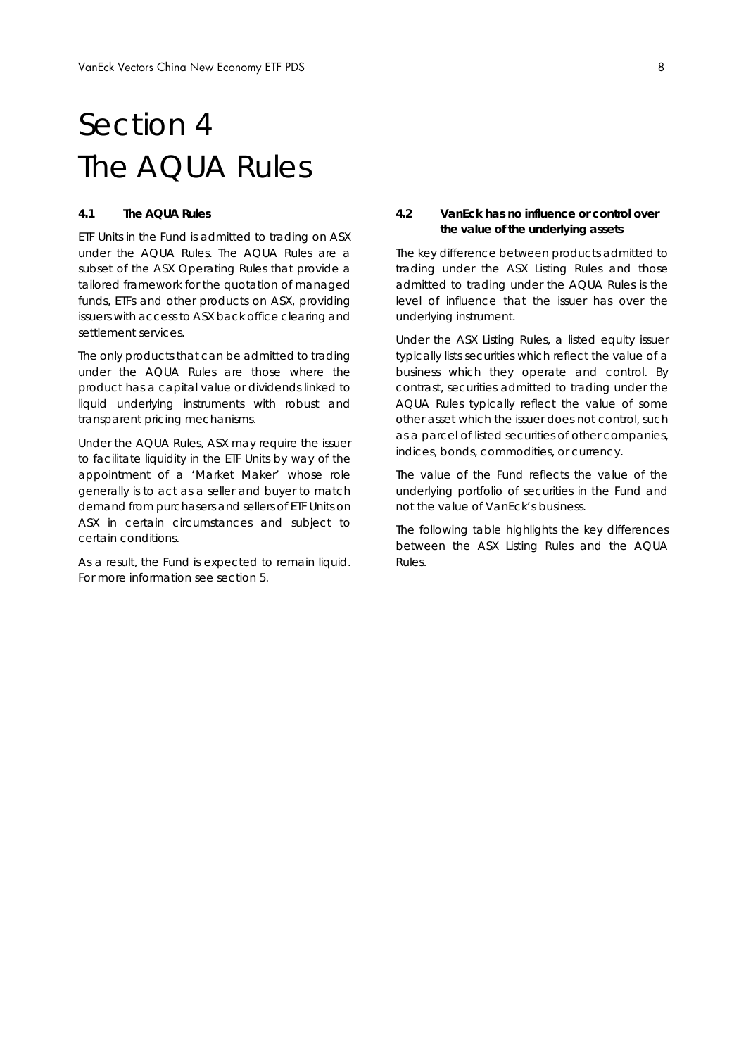## Section 4 The AQUA Rules

#### **4.1 The AQUA Rules**

ETF Units in the Fund is admitted to trading on ASX under the AQUA Rules. The AQUA Rules are a subset of the ASX Operating Rules that provide a tailored framework for the quotation of managed funds, ETFs and other products on ASX, providing issuers with access to ASX back office clearing and settlement services.

The only products that can be admitted to trading under the AQUA Rules are those where the product has a capital value or dividends linked to liquid underlying instruments with robust and transparent pricing mechanisms.

Under the AQUA Rules, ASX may require the issuer to facilitate liquidity in the ETF Units by way of the appointment of a 'Market Maker' whose role generally is to act as a seller and buyer to match demand from purchasers and sellers of ETF Units on ASX in certain circumstances and subject to certain conditions.

As a result, the Fund is expected to remain liquid. For more information see section 5.

#### **4.2 VanEck has no influence or control over the value of the underlying assets**

The key difference between products admitted to trading under the ASX Listing Rules and those admitted to trading under the AQUA Rules is the level of influence that the issuer has over the underlying instrument.

Under the ASX Listing Rules, a listed equity issuer typically lists securities which reflect the value of a business which they operate and control. By contrast, securities admitted to trading under the AQUA Rules typically reflect the value of some other asset which the issuer does not control, such as a parcel of listed securities of other companies, indices, bonds, commodities, or currency.

The value of the Fund reflects the value of the underlying portfolio of securities in the Fund and not the value of VanEck's business.

The following table highlights the key differences between the ASX Listing Rules and the AQUA Rules.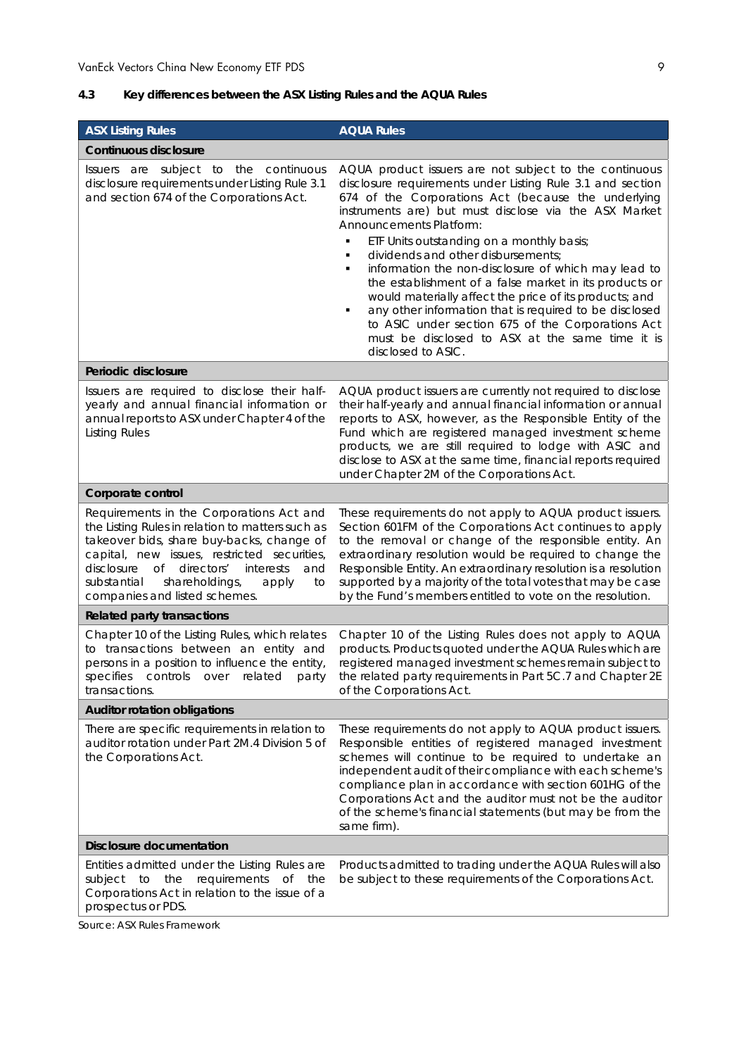## **4.3 Key differences between the ASX Listing Rules and the AQUA Rules**

| <b>ASX Listing Rules</b>                                                                                                                                                                                                                                                                                                     | <b>AQUA Rules</b>                                                                                                                                                                                                                                                                                                                                                                                                                                                                                                                                                                                                                                                                                                               |
|------------------------------------------------------------------------------------------------------------------------------------------------------------------------------------------------------------------------------------------------------------------------------------------------------------------------------|---------------------------------------------------------------------------------------------------------------------------------------------------------------------------------------------------------------------------------------------------------------------------------------------------------------------------------------------------------------------------------------------------------------------------------------------------------------------------------------------------------------------------------------------------------------------------------------------------------------------------------------------------------------------------------------------------------------------------------|
| <b>Continuous disclosure</b>                                                                                                                                                                                                                                                                                                 |                                                                                                                                                                                                                                                                                                                                                                                                                                                                                                                                                                                                                                                                                                                                 |
| Issuers are subject to the continuous<br>disclosure requirements under Listing Rule 3.1<br>and section 674 of the Corporations Act.                                                                                                                                                                                          | AQUA product issuers are not subject to the continuous<br>disclosure requirements under Listing Rule 3.1 and section<br>674 of the Corporations Act (because the underlying<br>instruments are) but must disclose via the ASX Market<br>Announcements Platform:<br>ETF Units outstanding on a monthly basis;<br>dividends and other disbursements;<br>П<br>information the non-disclosure of which may lead to<br>the establishment of a false market in its products or<br>would materially affect the price of its products; and<br>any other information that is required to be disclosed<br>٠<br>to ASIC under section 675 of the Corporations Act<br>must be disclosed to ASX at the same time it is<br>disclosed to ASIC. |
| Periodic disclosure                                                                                                                                                                                                                                                                                                          |                                                                                                                                                                                                                                                                                                                                                                                                                                                                                                                                                                                                                                                                                                                                 |
| Issuers are required to disclose their half-<br>yearly and annual financial information or<br>annual reports to ASX under Chapter 4 of the<br><b>Listing Rules</b>                                                                                                                                                           | AQUA product issuers are currently not required to disclose<br>their half-yearly and annual financial information or annual<br>reports to ASX, however, as the Responsible Entity of the<br>Fund which are registered managed investment scheme<br>products, we are still required to lodge with ASIC and<br>disclose to ASX at the same time, financial reports required<br>under Chapter 2M of the Corporations Act.                                                                                                                                                                                                                                                                                                          |
| Corporate control                                                                                                                                                                                                                                                                                                            |                                                                                                                                                                                                                                                                                                                                                                                                                                                                                                                                                                                                                                                                                                                                 |
| Requirements in the Corporations Act and<br>the Listing Rules in relation to matters such as<br>takeover bids, share buy-backs, change of<br>capital, new issues, restricted securities,<br>disclosure of<br>directors'<br>interests<br>and<br>substantial<br>shareholdings,<br>apply<br>to<br>companies and listed schemes. | These requirements do not apply to AQUA product issuers.<br>Section 601FM of the Corporations Act continues to apply<br>to the removal or change of the responsible entity. An<br>extraordinary resolution would be required to change the<br>Responsible Entity. An extraordinary resolution is a resolution<br>supported by a majority of the total votes that may be case<br>by the Fund's members entitled to vote on the resolution.                                                                                                                                                                                                                                                                                       |
| <b>Related party transactions</b>                                                                                                                                                                                                                                                                                            |                                                                                                                                                                                                                                                                                                                                                                                                                                                                                                                                                                                                                                                                                                                                 |
| Chapter 10 of the Listing Rules, which relates<br>to transactions between an entity and<br>persons in a position to influence the entity,<br>specifies<br>controls<br>over<br>related<br>party<br>transactions.                                                                                                              | Chapter 10 of the Listing Rules does not apply to AQUA<br>products. Products quoted under the AQUA Rules which are<br>registered managed investment schemes remain subject to<br>the related party requirements in Part 5C.7 and Chapter 2E<br>of the Corporations Act.                                                                                                                                                                                                                                                                                                                                                                                                                                                         |
| <b>Auditor rotation obligations</b>                                                                                                                                                                                                                                                                                          |                                                                                                                                                                                                                                                                                                                                                                                                                                                                                                                                                                                                                                                                                                                                 |
| There are specific requirements in relation to<br>auditor rotation under Part 2M.4 Division 5 of<br>the Corporations Act.                                                                                                                                                                                                    | These requirements do not apply to AQUA product issuers.<br>Responsible entities of registered managed investment<br>schemes will continue to be required to undertake an<br>independent audit of their compliance with each scheme's<br>compliance plan in accordance with section 601HG of the<br>Corporations Act and the auditor must not be the auditor<br>of the scheme's financial statements (but may be from the<br>same firm).                                                                                                                                                                                                                                                                                        |
| Disclosure documentation                                                                                                                                                                                                                                                                                                     |                                                                                                                                                                                                                                                                                                                                                                                                                                                                                                                                                                                                                                                                                                                                 |
| Entities admitted under the Listing Rules are<br>requirements<br>the<br>Οf<br>the<br>subject<br>to<br>Corporations Act in relation to the issue of a<br>prospectus or PDS.                                                                                                                                                   | Products admitted to trading under the AQUA Rules will also<br>be subject to these requirements of the Corporations Act.                                                                                                                                                                                                                                                                                                                                                                                                                                                                                                                                                                                                        |

*Source: ASX Rules Framework*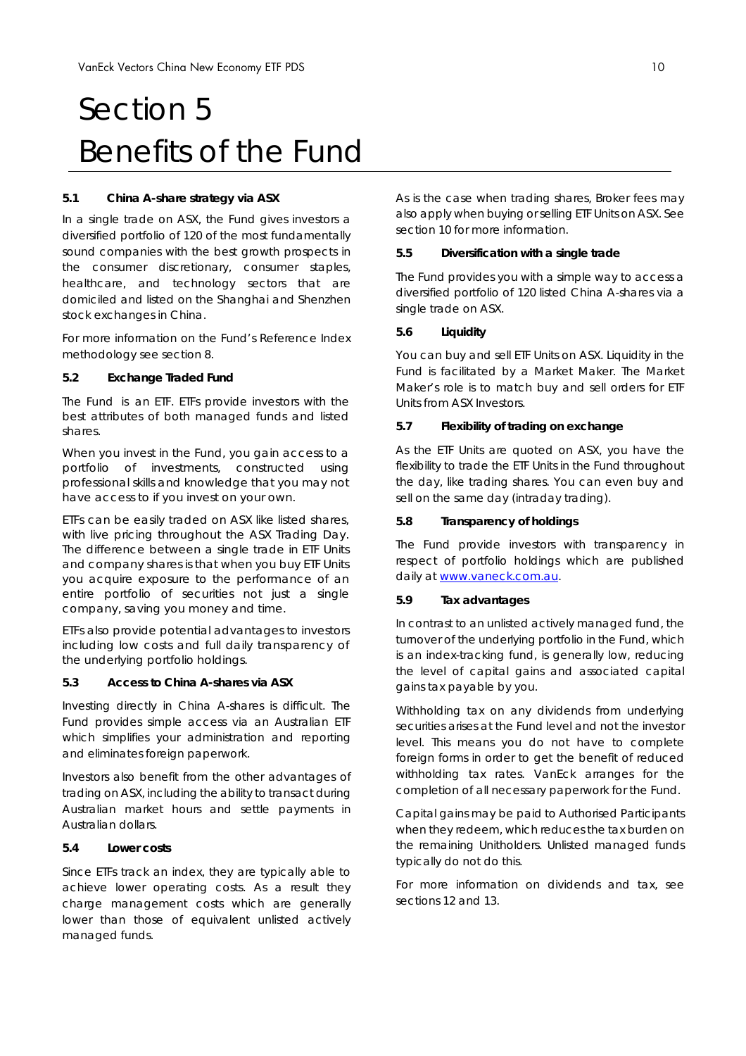# Section 5 Benefits of the Fund

#### **5.1 China A-share strategy via ASX**

In a single trade on ASX, the Fund gives investors a diversified portfolio of 120 of the most fundamentally sound companies with the best growth prospects in the consumer discretionary, consumer staples, healthcare, and technology sectors that are domiciled and listed on the Shanghai and Shenzhen stock exchanges in China.

For more information on the Fund's Reference Index methodology see section 8.

#### **5.2 Exchange Traded Fund**

The Fund is an ETF. ETFs provide investors with the best attributes of both managed funds and listed shares.

When you invest in the Fund, you gain access to a portfolio of investments, constructed using professional skills and knowledge that you may not have access to if you invest on your own.

ETFs can be easily traded on ASX like listed shares, with live pricing throughout the ASX Trading Day. The difference between a single trade in ETF Units and company shares is that when you buy ETF Units you acquire exposure to the performance of an entire portfolio of securities not just a single company, saving you money and time.

ETFs also provide potential advantages to investors including low costs and full daily transparency of the underlying portfolio holdings.

#### **5.3 Access to China A-shares via ASX**

Investing directly in China A-shares is difficult. The Fund provides simple access via an Australian ETF which simplifies your administration and reporting and eliminates foreign paperwork.

Investors also benefit from the other advantages of trading on ASX, including the ability to transact during Australian market hours and settle payments in Australian dollars.

### **5.4 Lower costs**

Since ETFs track an index, they are typically able to achieve lower operating costs. As a result they charge management costs which are generally lower than those of equivalent unlisted actively managed funds.

As is the case when trading shares, Broker fees may also apply when buying or selling ETF Units on ASX. See section 10 for more information.

#### **5.5 Diversification with a single trade**

The Fund provides you with a simple way to access a diversified portfolio of 120 listed China A-shares via a single trade on ASX.

#### **5.6 Liquidity**

You can buy and sell ETF Units on ASX. Liquidity in the Fund is facilitated by a Market Maker. The Market Maker's role is to match buy and sell orders for ETF Units from ASX Investors.

#### **5.7 Flexibility of trading on exchange**

As the ETF Units are quoted on ASX, you have the flexibility to trade the ETF Units in the Fund throughout the day, like trading shares. You can even buy and sell on the same day (intraday trading).

#### **5.8 Transparency of holdings**

The Fund provide investors with transparency in respect of portfolio holdings which are published daily at www.vaneck.com.au.

#### **5.9 Tax advantages**

In contrast to an unlisted actively managed fund, the turnover of the underlying portfolio in the Fund, which is an index-tracking fund, is generally low, reducing the level of capital gains and associated capital gains tax payable by you.

Withholding tax on any dividends from underlying securities arises at the Fund level and not the investor level. This means you do not have to complete foreign forms in order to get the benefit of reduced withholding tax rates. VanEck arranges for the completion of all necessary paperwork for the Fund.

Capital gains may be paid to Authorised Participants when they redeem, which reduces the tax burden on the remaining Unitholders. Unlisted managed funds typically do not do this.

For more information on dividends and tax, see sections 12 and 13.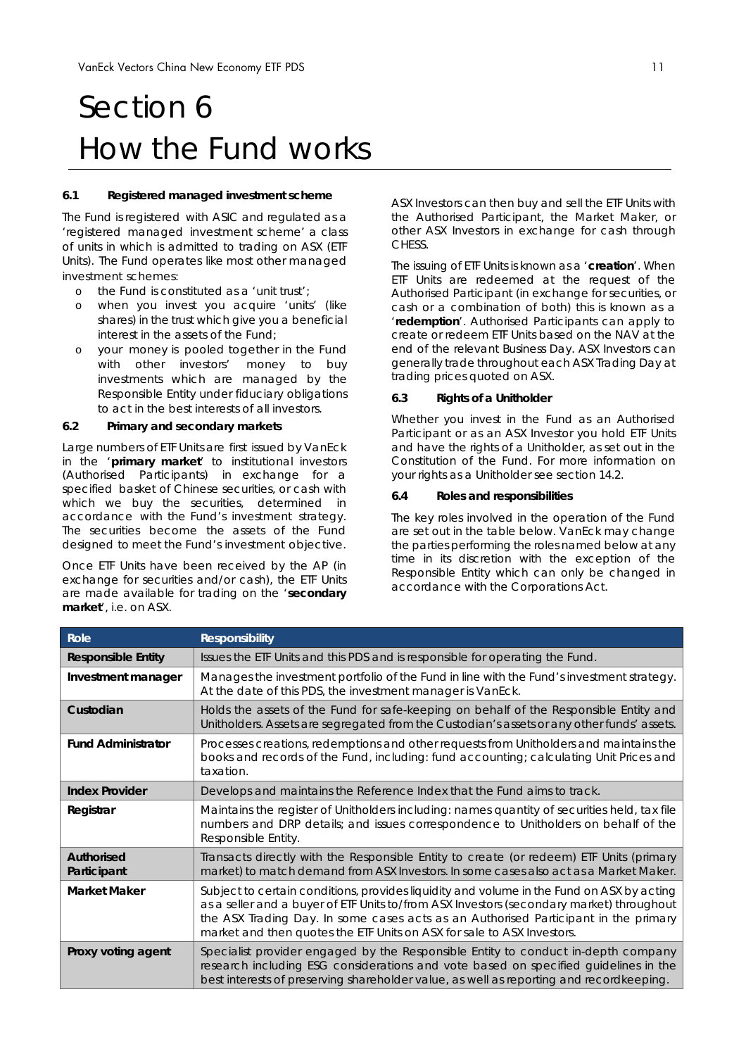# Section 6 How the Fund works

#### **6.1 Registered managed investment scheme**

The Fund is registered with ASIC and regulated as a 'registered managed investment scheme' a class of units in which is admitted to trading on ASX (ETF Units). The Fund operates like most other managed investment schemes:

- o the Fund is constituted as a 'unit trust';
- when you invest you acquire 'units' (like shares) in the trust which give you a beneficial interest in the assets of the Fund;
- o your money is pooled together in the Fund with other investors' money to buy investments which are managed by the Responsible Entity under fiduciary obligations to act in the best interests of all investors.

#### **6.2 Primary and secondary markets**

Large numbers of ETF Units are first issued by VanEck in the '**primary market**' to institutional investors (Authorised Participants) in exchange for a specified basket of Chinese securities, or cash with which we buy the securities, determined in accordance with the Fund's investment strategy. The securities become the assets of the Fund designed to meet the Fund's investment objective.

Once ETF Units have been received by the AP (in exchange for securities and/or cash), the ETF Units are made available for trading on the '**secondary market**', i.e. on ASX.

ASX Investors can then buy and sell the ETF Units with the Authorised Participant, the Market Maker, or other ASX Investors in exchange for cash through CHESS.

The issuing of ETF Units is known as a '**creation**'. When ETF Units are redeemed at the request of the Authorised Participant (in exchange for securities, or cash or a combination of both) this is known as a '**redemption**'. Authorised Participants can apply to create or redeem ETF Units based on the NAV at the end of the relevant Business Day. ASX Investors can generally trade throughout each ASX Trading Day at trading prices quoted on ASX.

#### **6.3 Rights of a Unitholder**

Whether you invest in the Fund as an Authorised Participant or as an ASX Investor you hold ETF Units and have the rights of a Unitholder, as set out in the Constitution of the Fund. For more information on your rights as a Unitholder see section 14.2.

#### **6.4 Roles and responsibilities**

The key roles involved in the operation of the Fund are set out in the table below. VanEck may change the parties performing the roles named below at any time in its discretion with the exception of the Responsible Entity which can only be changed in accordance with the *Corporations Act*.

| Role                                                                                                                                                                                             | <b>Responsibility</b>                                                                                                                                                                                                                                                                                                                                  |  |
|--------------------------------------------------------------------------------------------------------------------------------------------------------------------------------------------------|--------------------------------------------------------------------------------------------------------------------------------------------------------------------------------------------------------------------------------------------------------------------------------------------------------------------------------------------------------|--|
| <b>Responsible Entity</b>                                                                                                                                                                        | Issues the ETF Units and this PDS and is responsible for operating the Fund.                                                                                                                                                                                                                                                                           |  |
| Manages the investment portfolio of the Fund in line with the Fund's investment strategy.<br>Investment manager<br>At the date of this PDS, the investment manager is VanEck.                    |                                                                                                                                                                                                                                                                                                                                                        |  |
| Holds the assets of the Fund for safe-keeping on behalf of the Responsible Entity and<br>Custodian<br>Unitholders. Assets are segregated from the Custodian's assets or any other funds' assets. |                                                                                                                                                                                                                                                                                                                                                        |  |
| <b>Fund Administrator</b>                                                                                                                                                                        | Processes creations, redemptions and other requests from Unitholders and maintains the<br>books and records of the Fund, including: fund accounting; calculating Unit Prices and<br>taxation.                                                                                                                                                          |  |
| <b>Index Provider</b>                                                                                                                                                                            | Develops and maintains the Reference Index that the Fund aims to track.                                                                                                                                                                                                                                                                                |  |
| Registrar                                                                                                                                                                                        | Maintains the register of Unitholders including: names quantity of securities held, tax file<br>numbers and DRP details; and issues correspondence to Unitholders on behalf of the<br>Responsible Entity.                                                                                                                                              |  |
| <b>Authorised</b><br>Participant                                                                                                                                                                 | Transacts directly with the Responsible Entity to create (or redeem) ETF Units (primary<br>market) to match demand from ASX Investors. In some cases also act as a Market Maker.                                                                                                                                                                       |  |
| <b>Market Maker</b>                                                                                                                                                                              | Subject to certain conditions, provides liquidity and volume in the Fund on ASX by acting<br>as a seller and a buyer of ETF Units to/from ASX Investors (secondary market) throughout<br>the ASX Trading Day. In some cases acts as an Authorised Participant in the primary<br>market and then quotes the ETF Units on ASX for sale to ASX Investors. |  |
| Proxy voting agent                                                                                                                                                                               | Specialist provider engaged by the Responsible Entity to conduct in-depth company<br>research including ESG considerations and vote based on specified guidelines in the<br>best interests of preserving shareholder value, as well as reporting and recordkeeping.                                                                                    |  |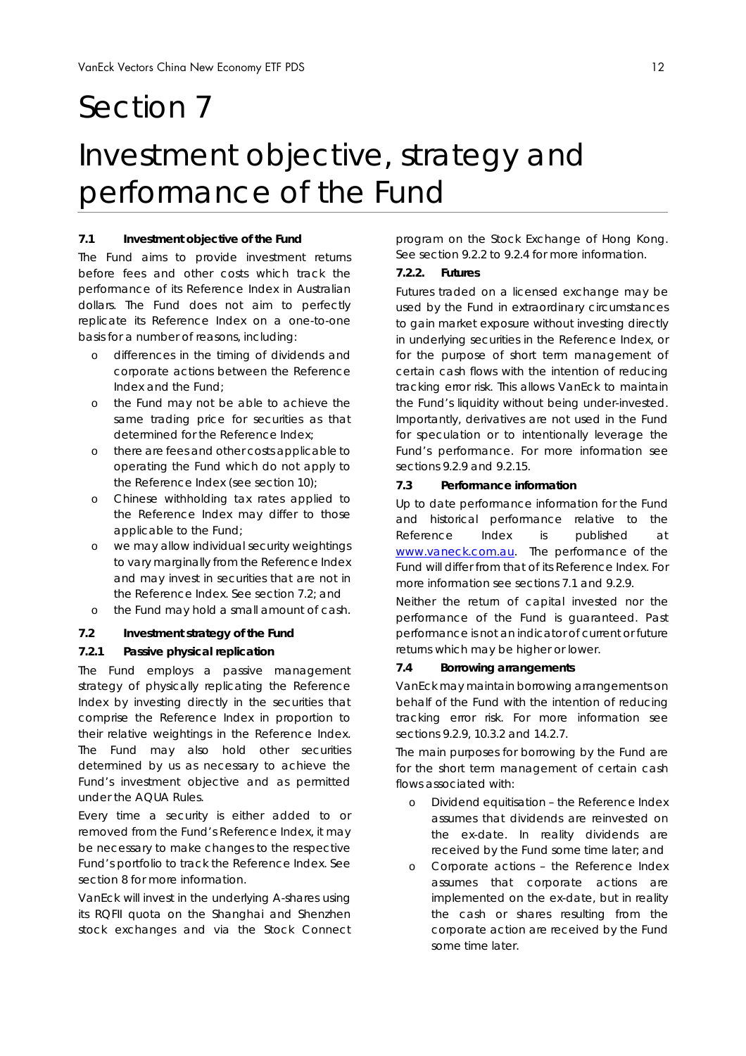## Section 7

## Investment objective, strategy and performance of the Fund

#### **7.1 Investment objective of the Fund**

The Fund aims to provide investment returns before fees and other costs which track the performance of its Reference Index in Australian dollars. The Fund does not aim to perfectly replicate its Reference Index on a one-to-one basis for a number of reasons, including:

- o differences in the timing of dividends and corporate actions between the Reference Index and the Fund;
- o the Fund may not be able to achieve the same trading price for securities as that determined for the Reference Index;
- o there are fees and other costs applicable to operating the Fund which do not apply to the Reference Index (see section 10);
- o Chinese withholding tax rates applied to the Reference Index may differ to those applicable to the Fund;
- o we may allow individual security weightings to vary marginally from the Reference Index and may invest in securities that are not in the Reference Index. See section 7.2; and
- o the Fund may hold a small amount of cash.

### **7.2 Investment strategy of the Fund**

## *7.2.1 Passive physical replication*

The Fund employs a passive management strategy of physically replicating the Reference Index by investing directly in the securities that comprise the Reference Index in proportion to their relative weightings in the Reference Index. The Fund may also hold other securities determined by us as necessary to achieve the Fund's investment objective and as permitted under the AQUA Rules.

Every time a security is either added to or removed from the Fund's Reference Index, it may be necessary to make changes to the respective Fund's portfolio to track the Reference Index. See section 8 for more information.

VanEck will invest in the underlying A-shares using its RQFII quota on the Shanghai and Shenzhen stock exchanges and via the Stock Connect program on the Stock Exchange of Hong Kong. See section 9.2.2 to 9.2.4 for more information.

## *7.2.2. Futures*

Futures traded on a licensed exchange may be used by the Fund in extraordinary circumstances to gain market exposure without investing directly in underlying securities in the Reference Index, or for the purpose of short term management of certain cash flows with the intention of reducing tracking error risk. This allows VanEck to maintain the Fund's liquidity without being under-invested. Importantly, derivatives are not used in the Fund for speculation or to intentionally leverage the Fund's performance. For more information see sections 9.2.9 and 9.2.15.

#### **7.3 Performance information**

Up to date performance information for the Fund and historical performance relative to the Reference Index is published at www.vaneck.com.au. The performance of the Fund will differ from that of its Reference Index. For more information see sections 7.1 and 9.2.9.

Neither the return of capital invested nor the performance of the Fund is guaranteed. Past performance is not an indicator of current or future returns which may be higher or lower.

#### **7.4 Borrowing arrangements**

VanEck may maintain borrowing arrangements on behalf of the Fund with the intention of reducing tracking error risk. For more information see sections 9.2.9, 10.3.2 and 14.2.7.

The main purposes for borrowing by the Fund are for the short term management of certain cash flows associated with:

- o Dividend equitisation the Reference Index assumes that dividends are reinvested on the ex-date. In reality dividends are received by the Fund some time later; and
- o Corporate actions the Reference Index assumes that corporate actions are implemented on the ex-date, but in reality the cash or shares resulting from the corporate action are received by the Fund some time later.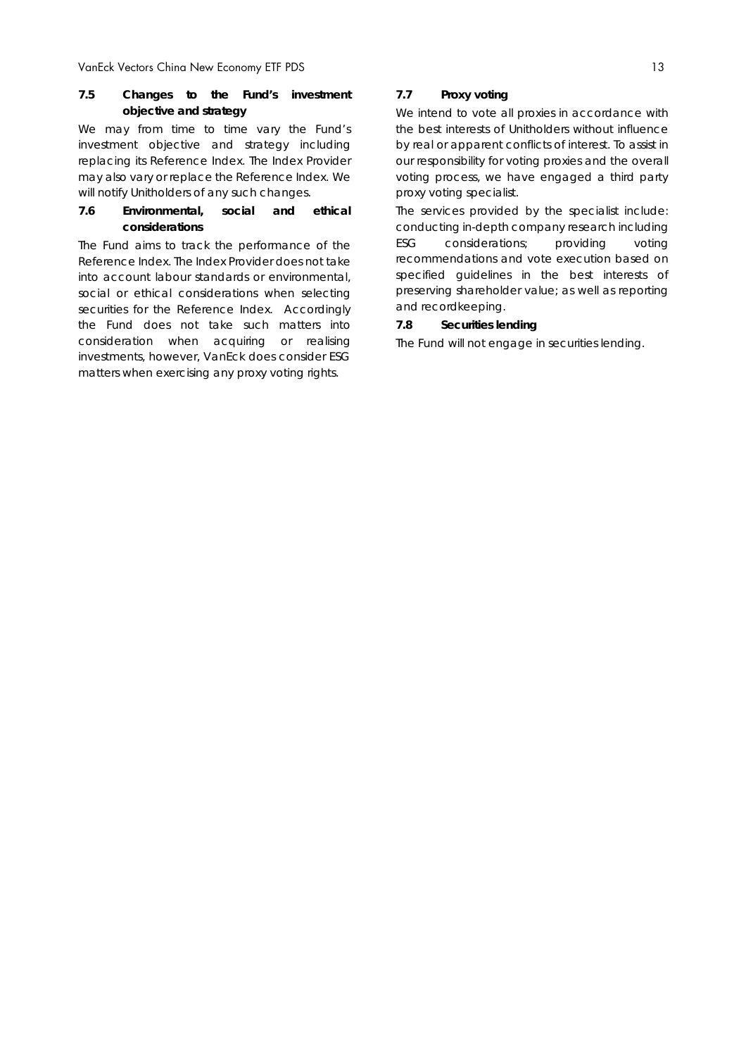#### **7.5 Changes to the Fund's investment objective and strategy**

We may from time to time vary the Fund's investment objective and strategy including replacing its Reference Index. The Index Provider may also vary or replace the Reference Index. We will notify Unitholders of any such changes.

### **7.6 Environmental, social and ethical considerations**

The Fund aims to track the performance of the Reference Index. The Index Provider does not take into account labour standards or environmental, social or ethical considerations when selecting securities for the Reference Index. Accordingly the Fund does not take such matters into consideration when acquiring or realising investments, however, VanEck does consider ESG matters when exercising any proxy voting rights.

### **7.7 Proxy voting**

We intend to vote all proxies in accordance with the best interests of Unitholders without influence by real or apparent conflicts of interest. To assist in our responsibility for voting proxies and the overall voting process, we have engaged a third party proxy voting specialist.

The services provided by the specialist include: conducting in-depth company research including ESG considerations; providing voting recommendations and vote execution based on specified guidelines in the best interests of preserving shareholder value; as well as reporting and recordkeeping.

#### **7.8 Securities lending**

The Fund will not engage in securities lending.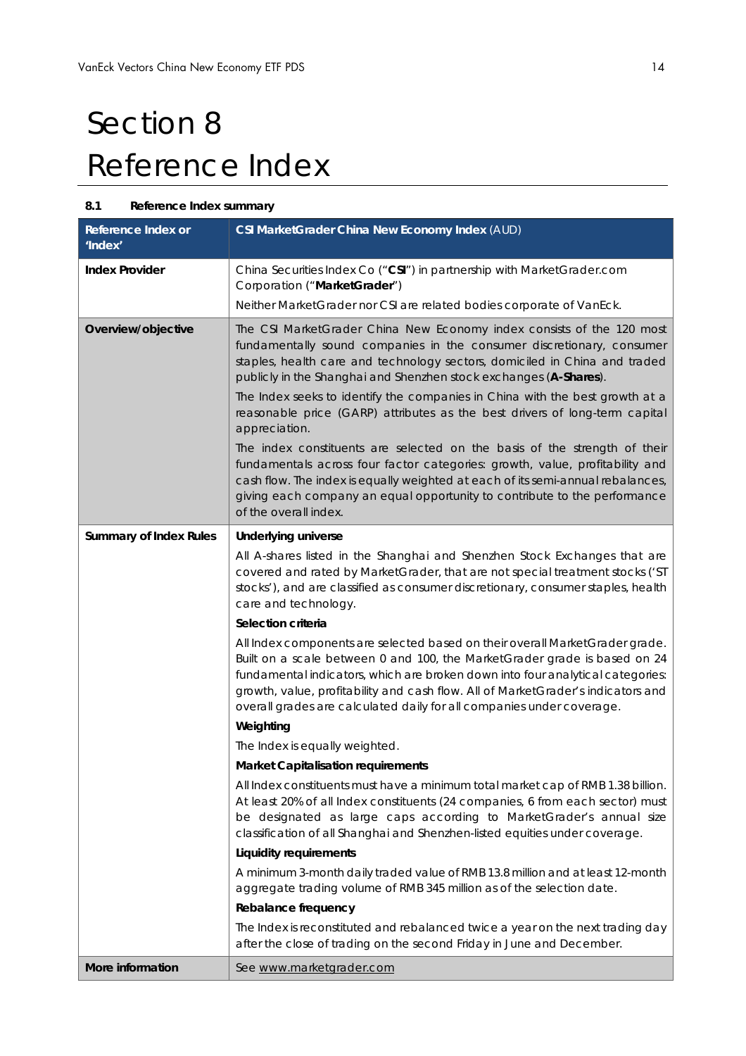# Section 8 Reference Index

## **8.1 Reference Index summary**

| Reference Index or<br>'Index' | CSI MarketGrader China New Economy Index (AUD)                                                                                                                                                                                                                                                                                                                                                                                                                                                                                                                                                                                                                                                                                                                                                                                                                                                                                                                                                                                                                                                                                                                                                                                                                                                                                                                                                                                                                                                                                               |
|-------------------------------|----------------------------------------------------------------------------------------------------------------------------------------------------------------------------------------------------------------------------------------------------------------------------------------------------------------------------------------------------------------------------------------------------------------------------------------------------------------------------------------------------------------------------------------------------------------------------------------------------------------------------------------------------------------------------------------------------------------------------------------------------------------------------------------------------------------------------------------------------------------------------------------------------------------------------------------------------------------------------------------------------------------------------------------------------------------------------------------------------------------------------------------------------------------------------------------------------------------------------------------------------------------------------------------------------------------------------------------------------------------------------------------------------------------------------------------------------------------------------------------------------------------------------------------------|
| <b>Index Provider</b>         | China Securities Index Co ("CSI") in partnership with MarketGrader.com<br>Corporation ("MarketGrader")<br>Neither MarketGrader nor CSI are related bodies corporate of VanEck.                                                                                                                                                                                                                                                                                                                                                                                                                                                                                                                                                                                                                                                                                                                                                                                                                                                                                                                                                                                                                                                                                                                                                                                                                                                                                                                                                               |
| Overview/objective            | The CSI MarketGrader China New Economy index consists of the 120 most<br>fundamentally sound companies in the consumer discretionary, consumer<br>staples, health care and technology sectors, domiciled in China and traded<br>publicly in the Shanghai and Shenzhen stock exchanges (A-Shares).<br>The Index seeks to identify the companies in China with the best growth at a<br>reasonable price (GARP) attributes as the best drivers of long-term capital<br>appreciation.<br>The index constituents are selected on the basis of the strength of their<br>fundamentals across four factor categories: growth, value, profitability and<br>cash flow. The index is equally weighted at each of its semi-annual rebalances,<br>giving each company an equal opportunity to contribute to the performance<br>of the overall index.                                                                                                                                                                                                                                                                                                                                                                                                                                                                                                                                                                                                                                                                                                      |
| <b>Summary of Index Rules</b> | <b>Underlying universe</b><br>All A-shares listed in the Shanghai and Shenzhen Stock Exchanges that are<br>covered and rated by MarketGrader, that are not special treatment stocks ('ST<br>stocks'), and are classified as consumer discretionary, consumer staples, health<br>care and technology.<br>Selection criteria<br>All Index components are selected based on their overall MarketGrader grade.<br>Built on a scale between 0 and 100, the MarketGrader grade is based on 24<br>fundamental indicators, which are broken down into four analytical categories:<br>growth, value, profitability and cash flow. All of MarketGrader's indicators and<br>overall grades are calculated daily for all companies under coverage.<br>Weighting<br>The Index is equally weighted.<br><b>Market Capitalisation requirements</b><br>All Index constituents must have a minimum total market cap of RMB 1.38 billion.<br>At least 20% of all Index constituents (24 companies, 6 from each sector) must<br>be designated as large caps according to MarketGrader's annual size<br>classification of all Shanghai and Shenzhen-listed equities under coverage.<br><b>Liquidity requirements</b><br>A minimum 3-month daily traded value of RMB 13.8 million and at least 12-month<br>aggregate trading volume of RMB 345 million as of the selection date.<br>Rebalance frequency<br>The Index is reconstituted and rebalanced twice a year on the next trading day<br>after the close of trading on the second Friday in June and December. |
| More information              | See www.marketgrader.com                                                                                                                                                                                                                                                                                                                                                                                                                                                                                                                                                                                                                                                                                                                                                                                                                                                                                                                                                                                                                                                                                                                                                                                                                                                                                                                                                                                                                                                                                                                     |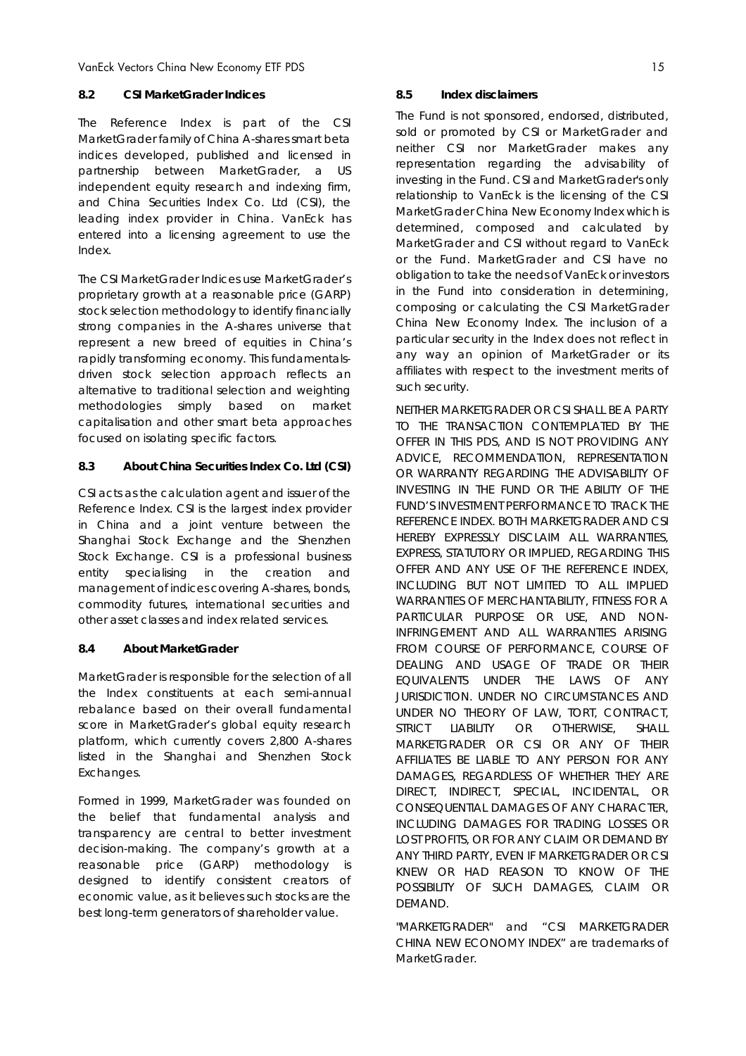### **8.2 CSI MarketGrader Indices**

The Reference Index is part of the CSI MarketGrader family of China A-shares smart beta indices developed, published and licensed in partnership between MarketGrader, a US independent equity research and indexing firm, and China Securities Index Co. Ltd (CSI), the leading index provider in China. VanEck has entered into a licensing agreement to use the Index.

The CSI MarketGrader Indices use MarketGrader's proprietary growth at a reasonable price (GARP) stock selection methodology to identify financially strong companies in the A-shares universe that represent a new breed of equities in China's rapidly transforming economy. This fundamentalsdriven stock selection approach reflects an alternative to traditional selection and weighting methodologies simply based on market capitalisation and other smart beta approaches focused on isolating specific factors.

## **8.3 About China Securities Index Co. Ltd (CSI)**

CSI acts as the calculation agent and issuer of the Reference Index. CSI is the largest index provider in China and a joint venture between the Shanghai Stock Exchange and the Shenzhen Stock Exchange. CSI is a professional business entity specialising in the creation and management of indices covering A-shares, bonds, commodity futures, international securities and other asset classes and index related services.

## **8.4 About MarketGrader**

MarketGrader is responsible for the selection of all the Index constituents at each semi-annual rebalance based on their overall fundamental score in MarketGrader's global equity research platform, which currently covers 2,800 A-shares listed in the Shanghai and Shenzhen Stock Exchanges.

Formed in 1999, MarketGrader was founded on the belief that fundamental analysis and transparency are central to better investment decision-making. The company's growth at a reasonable price (GARP) methodology is designed to identify consistent creators of economic value, as it believes such stocks are the best long-term generators of shareholder value.

#### **8.5 Index disclaimers**

The Fund is not sponsored, endorsed, distributed, sold or promoted by CSI or MarketGrader and neither CSI nor MarketGrader makes any representation regarding the advisability of investing in the Fund. CSI and MarketGrader's only relationship to VanEck is the licensing of the CSI MarketGrader China New Economy Index which is determined, composed and calculated by MarketGrader and CSI without regard to VanEck or the Fund. MarketGrader and CSI have no obligation to take the needs of VanEck or investors in the Fund into consideration in determining, composing or calculating the CSI MarketGrader China New Economy Index. The inclusion of a particular security in the Index does not reflect in any way an opinion of MarketGrader or its affiliates with respect to the investment merits of such security.

NEITHER MARKETGRADER OR CSI SHALL BE A PARTY TO THE TRANSACTION CONTEMPLATED BY THE OFFER IN THIS PDS, AND IS NOT PROVIDING ANY ADVICE, RECOMMENDATION, REPRESENTATION OR WARRANTY REGARDING THE ADVISABILITY OF INVESTING IN THE FUND OR THE ABILITY OF THE FUND'S INVESTMENT PERFORMANCE TO TRACK THE REFERENCE INDEX. BOTH MARKETGRADER AND CSI HEREBY EXPRESSLY DISCLAIM ALL WARRANTIES, EXPRESS, STATUTORY OR IMPLIED, REGARDING THIS OFFER AND ANY USE OF THE REFERENCE INDEX, INCLUDING BUT NOT LIMITED TO ALL IMPLIED WARRANTIES OF MERCHANTABILITY, FITNESS FOR A PARTICULAR PURPOSE OR USE, AND NON-INFRINGEMENT AND ALL WARRANTIES ARISING FROM COURSE OF PERFORMANCE, COURSE OF DEALING AND USAGE OF TRADE OR THEIR EQUIVALENTS UNDER THE LAWS OF ANY JURISDICTION. UNDER NO CIRCUMSTANCES AND UNDER NO THEORY OF LAW, TORT, CONTRACT, STRICT LIABILITY OR OTHERWISE, SHALL MARKETGRADER OR CSI OR ANY OF THEIR AFFILIATES BE LIABLE TO ANY PERSON FOR ANY DAMAGES, REGARDLESS OF WHETHER THEY ARE DIRECT, INDIRECT, SPECIAL, INCIDENTAL, OR CONSEQUENTIAL DAMAGES OF ANY CHARACTER, INCLUDING DAMAGES FOR TRADING LOSSES OR LOST PROFITS, OR FOR ANY CLAIM OR DEMAND BY ANY THIRD PARTY, EVEN IF MARKETGRADER OR CSI KNEW OR HAD REASON TO KNOW OF THE POSSIBILITY OF SUCH DAMAGES, CLAIM OR DEMAND.

"MARKETGRADER" and "CSI MARKETGRADER CHINA NEW ECONOMY INDEX" are trademarks of MarketGrader.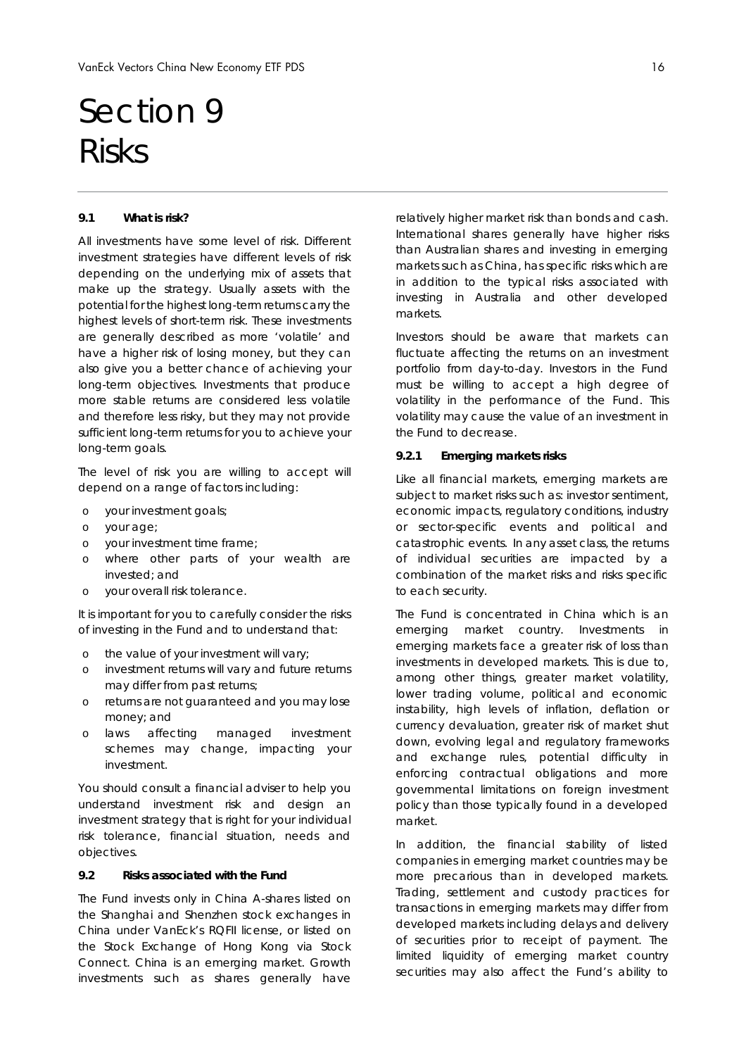## Section 9 Risks

#### **9.1 What is risk?**

All investments have some level of risk. Different investment strategies have different levels of risk depending on the underlying mix of assets that make up the strategy. Usually assets with the potential for the highest long-term returns carry the highest levels of short-term risk. These investments are generally described as more 'volatile' and have a higher risk of losing money, but they can also give you a better chance of achieving your long-term objectives. Investments that produce more stable returns are considered less volatile and therefore less risky, but they may not provide sufficient long-term returns for you to achieve your long-term goals.

The level of risk you are willing to accept will depend on a range of factors including:

- o your investment goals;
- o your age;
- o your investment time frame;
- o where other parts of your wealth are invested; and
- o your overall risk tolerance.

It is important for you to carefully consider the risks of investing in the Fund and to understand that:

- o the value of your investment will vary;
- o investment returns will vary and future returns may differ from past returns;
- o returns are not guaranteed and you may lose money; and
- o laws affecting managed investment schemes may change, impacting your investment.

You should consult a financial adviser to help you understand investment risk and design an investment strategy that is right for your individual risk tolerance, financial situation, needs and objectives.

#### **9.2 Risks associated with the Fund**

The Fund invests only in China A-shares listed on the Shanghai and Shenzhen stock exchanges in China under VanEck's RQFII license, or listed on the Stock Exchange of Hong Kong via Stock Connect. China is an emerging market. Growth investments such as shares generally have

relatively higher market risk than bonds and cash. International shares generally have higher risks than Australian shares and investing in emerging markets such as China, has specific risks which are in addition to the typical risks associated with investing in Australia and other developed markets.

Investors should be aware that markets can fluctuate affecting the returns on an investment portfolio from day-to-day. Investors in the Fund must be willing to accept a high degree of volatility in the performance of the Fund. This volatility may cause the value of an investment in the Fund to decrease.

#### *9.2.1 Emerging markets risks*

Like all financial markets, emerging markets are subject to market risks such as: investor sentiment, economic impacts, regulatory conditions, industry or sector-specific events and political and catastrophic events. In any asset class, the returns of individual securities are impacted by a combination of the market risks and risks specific to each security.

The Fund is concentrated in China which is an emerging market country. Investments in emerging markets face a greater risk of loss than investments in developed markets. This is due to, among other things, greater market volatility, lower trading volume, political and economic instability, high levels of inflation, deflation or currency devaluation, greater risk of market shut down, evolving legal and regulatory frameworks and exchange rules, potential difficulty in enforcing contractual obligations and more governmental limitations on foreign investment policy than those typically found in a developed market.

In addition, the financial stability of listed companies in emerging market countries may be more precarious than in developed markets. Trading, settlement and custody practices for transactions in emerging markets may differ from developed markets including delays and delivery of securities prior to receipt of payment. The limited liquidity of emerging market country securities may also affect the Fund's ability to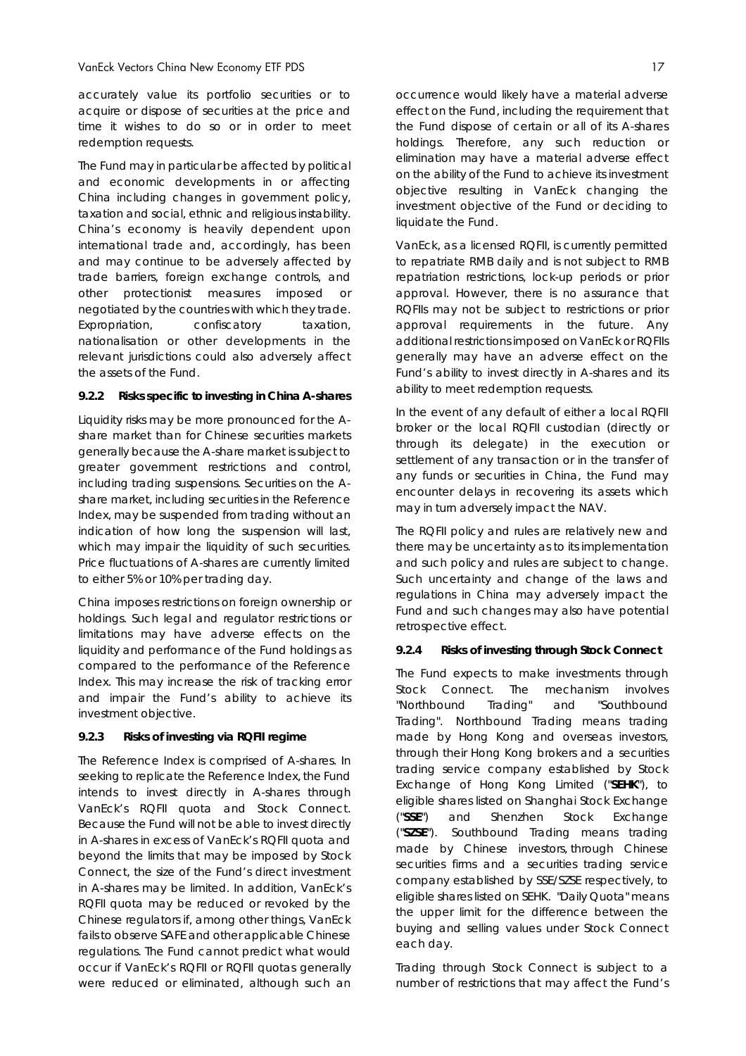accurately value its portfolio securities or to acquire or dispose of securities at the price and time it wishes to do so or in order to meet redemption requests.

The Fund may in particular be affected by political and economic developments in or affecting China including changes in government policy, taxation and social, ethnic and religious instability. China's economy is heavily dependent upon international trade and, accordingly, has been and may continue to be adversely affected by trade barriers, foreign exchange controls, and other protectionist measures imposed or negotiated by the countries with which they trade. Expropriation, confiscatory taxation, nationalisation or other developments in the relevant jurisdictions could also adversely affect the assets of the Fund.

#### **9.2.2 Risks specific to investing in China A-shares**

Liquidity risks may be more pronounced for the Ashare market than for Chinese securities markets generally because the A-share market is subject to greater government restrictions and control, including trading suspensions. Securities on the Ashare market, including securities in the Reference Index, may be suspended from trading without an indication of how long the suspension will last, which may impair the liquidity of such securities. Price fluctuations of A-shares are currently limited to either 5% or 10% per trading day.

China imposes restrictions on foreign ownership or holdings. Such legal and regulator restrictions or limitations may have adverse effects on the liquidity and performance of the Fund holdings as compared to the performance of the Reference Index. This may increase the risk of tracking error and impair the Fund's ability to achieve its investment objective.

#### **9.2.3 Risks of investing via RQFII regime**

The Reference Index is comprised of A-shares. In seeking to replicate the Reference Index, the Fund intends to invest directly in A-shares through VanEck's RQFII quota and Stock Connect. Because the Fund will not be able to invest directly in A-shares in excess of VanEck's RQFII quota and beyond the limits that may be imposed by Stock Connect, the size of the Fund's direct investment in A-shares may be limited. In addition, VanEck's RQFII quota may be reduced or revoked by the Chinese regulators if, among other things, VanEck fails to observe SAFE and other applicable Chinese regulations. The Fund cannot predict what would occur if VanEck's RQFII or RQFII quotas generally were reduced or eliminated, although such an occurrence would likely have a material adverse effect on the Fund, including the requirement that the Fund dispose of certain or all of its A-shares holdings. Therefore, any such reduction or elimination may have a material adverse effect on the ability of the Fund to achieve its investment objective resulting in VanEck changing the investment objective of the Fund or deciding to liquidate the Fund.

VanEck, as a licensed RQFII, is currently permitted to repatriate RMB daily and is not subject to RMB repatriation restrictions, lock-up periods or prior approval. However, there is no assurance that RQFIIs may not be subject to restrictions or prior approval requirements in the future. Any additional restrictions imposed on VanEck or RQFIIs generally may have an adverse effect on the Fund's ability to invest directly in A-shares and its ability to meet redemption requests.

In the event of any default of either a local RQFII broker or the local RQFII custodian (directly or through its delegate) in the execution or settlement of any transaction or in the transfer of any funds or securities in China, the Fund may encounter delays in recovering its assets which may in turn adversely impact the NAV.

The RQFII policy and rules are relatively new and there may be uncertainty as to its implementation and such policy and rules are subject to change. Such uncertainty and change of the laws and regulations in China may adversely impact the Fund and such changes may also have potential retrospective effect.

#### **9.2.4 Risks of investing through Stock Connect**

The Fund expects to make investments through Stock Connect. The mechanism involves "Northbound Trading" and "Southbound Trading". Northbound Trading means trading made by Hong Kong and overseas investors, through their Hong Kong brokers and a securities trading service company established by Stock Exchange of Hong Kong Limited ("**SEHK**"), to eligible shares listed on Shanghai Stock Exchange ("**SSE**") and Shenzhen Stock Exchange ("**SZSE**"). Southbound Trading means trading made by Chinese investors, through Chinese securities firms and a securities trading service company established by SSE/SZSE respectively, to eligible shares listed on SEHK. "Daily Quota" means the upper limit for the difference between the buying and selling values under Stock Connect each day.

Trading through Stock Connect is subject to a number of restrictions that may affect the Fund's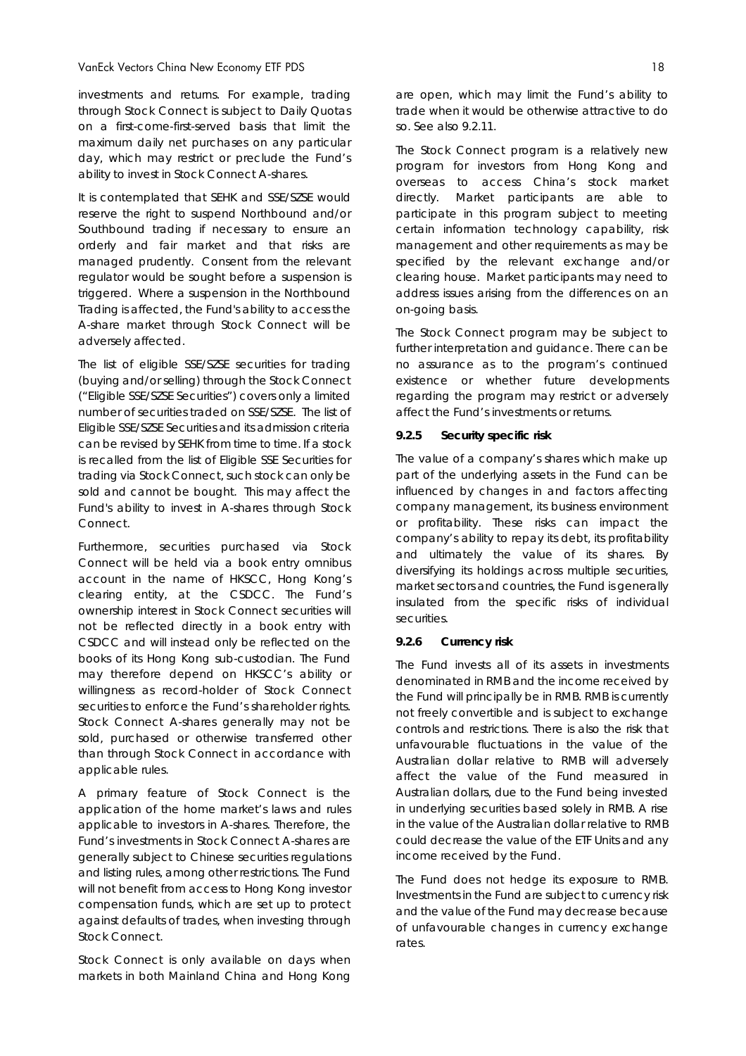investments and returns. For example, trading through Stock Connect is subject to Daily Quotas on a first-come-first-served basis that limit the maximum daily net purchases on any particular day, which may restrict or preclude the Fund's ability to invest in Stock Connect A-shares.

It is contemplated that SEHK and SSE/SZSE would reserve the right to suspend Northbound and/or Southbound trading if necessary to ensure an orderly and fair market and that risks are managed prudently. Consent from the relevant regulator would be sought before a suspension is triggered. Where a suspension in the Northbound Trading is affected, the Fund's ability to access the A-share market through Stock Connect will be adversely affected.

The list of eligible SSE/SZSE securities for trading (buying and/or selling) through the Stock Connect ("Eligible SSE/SZSE Securities") covers only a limited number of securities traded on SSE/SZSE. The list of Eligible SSE/SZSE Securities and its admission criteria can be revised by SEHK from time to time. If a stock is recalled from the list of Eligible SSE Securities for trading via Stock Connect, such stock can only be sold and cannot be bought. This may affect the Fund's ability to invest in A-shares through Stock Connect.

Furthermore, securities purchased via Stock Connect will be held via a book entry omnibus account in the name of HKSCC, Hong Kong's clearing entity, at the CSDCC. The Fund's ownership interest in Stock Connect securities will not be reflected directly in a book entry with CSDCC and will instead only be reflected on the books of its Hong Kong sub-custodian. The Fund may therefore depend on HKSCC's ability or willingness as record-holder of Stock Connect securities to enforce the Fund's shareholder rights. Stock Connect A-shares generally may not be sold, purchased or otherwise transferred other than through Stock Connect in accordance with applicable rules.

A primary feature of Stock Connect is the application of the home market's laws and rules applicable to investors in A-shares. Therefore, the Fund's investments in Stock Connect A-shares are generally subject to Chinese securities regulations and listing rules, among other restrictions. The Fund will not benefit from access to Hong Kong investor compensation funds, which are set up to protect against defaults of trades, when investing through Stock Connect.

Stock Connect is only available on days when markets in both Mainland China and Hong Kong are open, which may limit the Fund's ability to trade when it would be otherwise attractive to do so. See also 9.2.11.

The Stock Connect program is a relatively new program for investors from Hong Kong and overseas to access China's stock market directly. Market participants are able to participate in this program subject to meeting certain information technology capability, risk management and other requirements as may be specified by the relevant exchange and/or clearing house. Market participants may need to address issues arising from the differences on an on-going basis.

The Stock Connect program may be subject to further interpretation and guidance. There can be no assurance as to the program's continued existence or whether future developments regarding the program may restrict or adversely affect the Fund's investments or returns.

#### *9.2.5 Security specific risk*

The value of a company's shares which make up part of the underlying assets in the Fund can be influenced by changes in and factors affecting company management, its business environment or profitability. These risks can impact the company's ability to repay its debt, its profitability and ultimately the value of its shares. By diversifying its holdings across multiple securities, market sectors and countries, the Fund is generally insulated from the specific risks of individual securities.

#### *9.2.6 Currency risk*

The Fund invests all of its assets in investments denominated in RMB and the income received by the Fund will principally be in RMB. RMB is currently not freely convertible and is subject to exchange controls and restrictions. There is also the risk that unfavourable fluctuations in the value of the Australian dollar relative to RMB will adversely affect the value of the Fund measured in Australian dollars, due to the Fund being invested in underlying securities based solely in RMB. A rise in the value of the Australian dollar relative to RMB could decrease the value of the ETF Units and any income received by the Fund.

The Fund does not hedge its exposure to RMB. Investments in the Fund are subject to currency risk and the value of the Fund may decrease because of unfavourable changes in currency exchange rates.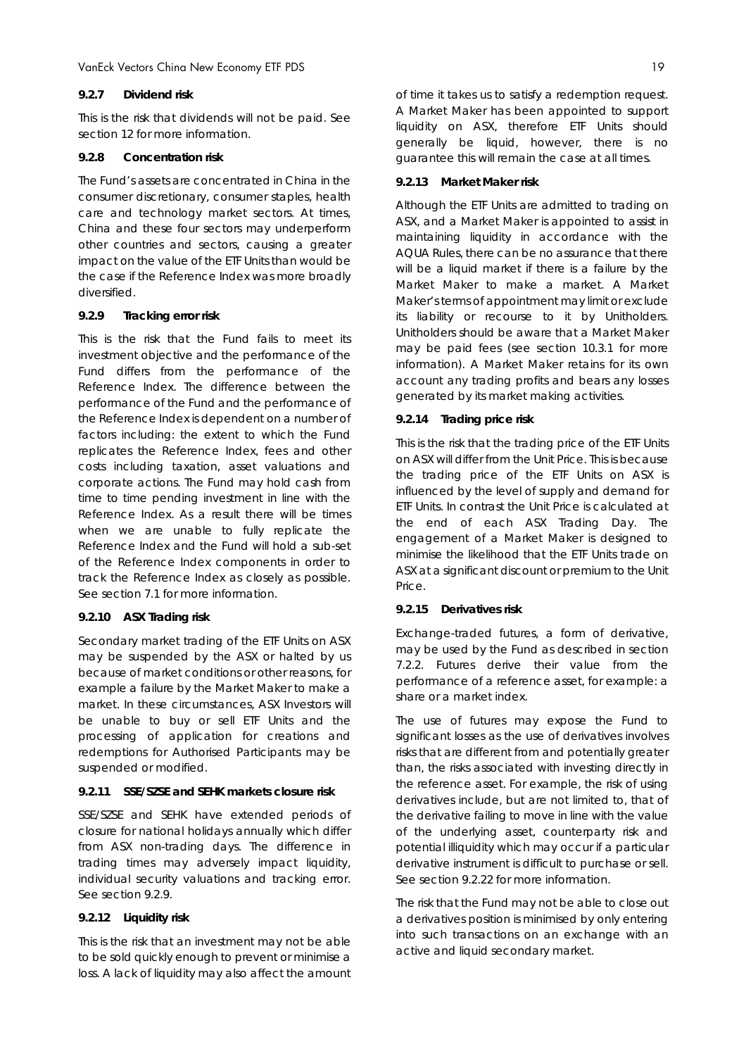#### *9.2.7 Dividend risk*

This is the risk that dividends will not be paid. See section 12 for more information.

#### *9.2.8 Concentration risk*

The Fund's assets are concentrated in China in the consumer discretionary, consumer staples, health care and technology market sectors. At times, China and these four sectors may underperform other countries and sectors, causing a greater impact on the value of the ETF Units than would be the case if the Reference Index was more broadly diversified.

#### *9.2.9 Tracking error risk*

This is the risk that the Fund fails to meet its investment objective and the performance of the Fund differs from the performance of the Reference Index. The difference between the performance of the Fund and the performance of the Reference Index is dependent on a number of factors including: the extent to which the Fund replicates the Reference Index, fees and other costs including taxation, asset valuations and corporate actions. The Fund may hold cash from time to time pending investment in line with the Reference Index. As a result there will be times when we are unable to fully replicate the Reference Index and the Fund will hold a sub-set of the Reference Index components in order to track the Reference Index as closely as possible. See section 7.1 for more information.

#### *9.2.10 ASX Trading risk*

Secondary market trading of the ETF Units on ASX may be suspended by the ASX or halted by us because of market conditions or other reasons, for example a failure by the Market Maker to make a market. In these circumstances, ASX Investors will be unable to buy or sell ETF Units and the processing of application for creations and redemptions for Authorised Participants may be suspended or modified.

## *9.2.11 SSE/SZSE and SEHK markets closure risk*

SSE/SZSE and SEHK have extended periods of closure for national holidays annually which differ from ASX non-trading days. The difference in trading times may adversely impact liquidity, individual security valuations and tracking error. See section 9.2.9.

#### *9.2.12 Liquidity risk*

This is the risk that an investment may not be able to be sold quickly enough to prevent or minimise a loss. A lack of liquidity may also affect the amount of time it takes us to satisfy a redemption request. A Market Maker has been appointed to support liquidity on ASX, therefore ETF Units should generally be liquid, however, there is no guarantee this will remain the case at all times.

### *9.2.13 Market Maker risk*

Although the ETF Units are admitted to trading on ASX, and a Market Maker is appointed to assist in maintaining liquidity in accordance with the AQUA Rules, there can be no assurance that there will be a liquid market if there is a failure by the Market Maker to make a market. A Market Maker's terms of appointment may limit or exclude its liability or recourse to it by Unitholders. Unitholders should be aware that a Market Maker may be paid fees (see section 10.3.1 for more information). A Market Maker retains for its own account any trading profits and bears any losses generated by its market making activities.

### *9.2.14 Trading price risk*

This is the risk that the trading price of the ETF Units on ASX will differ from the Unit Price. This is because the trading price of the ETF Units on ASX is influenced by the level of supply and demand for ETF Units. In contrast the Unit Price is calculated at the end of each ASX Trading Day. The engagement of a Market Maker is designed to minimise the likelihood that the ETF Units trade on ASX at a significant discount or premium to the Unit Price.

## *9.2.15 Derivatives risk*

Exchange-traded futures, a form of derivative, may be used by the Fund as described in section 7.2.2. Futures derive their value from the performance of a reference asset, for example: a share or a market index.

The use of futures may expose the Fund to significant losses as the use of derivatives involves risks that are different from and potentially greater than, the risks associated with investing directly in the reference asset. For example, the risk of using derivatives include, but are not limited to, that of the derivative failing to move in line with the value of the underlying asset, counterparty risk and potential illiquidity which may occur if a particular derivative instrument is difficult to purchase or sell. See section 9.2.22 for more information.

The risk that the Fund may not be able to close out a derivatives position is minimised by only entering into such transactions on an exchange with an active and liquid secondary market.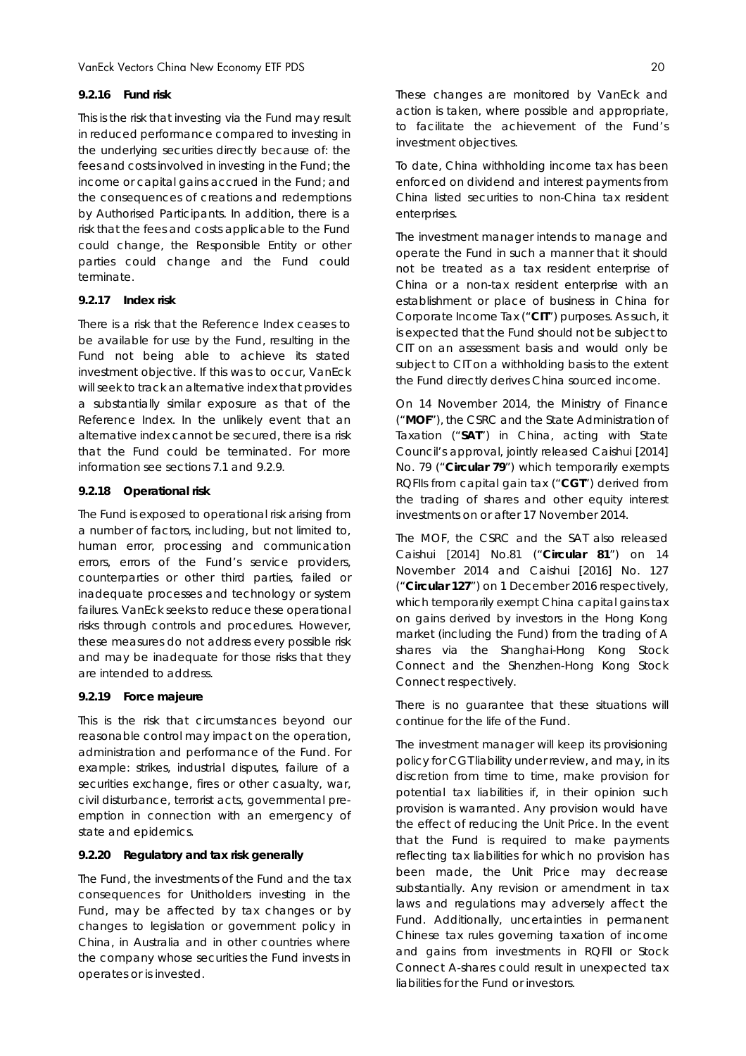#### *9.2.16 Fund risk*

This is the risk that investing via the Fund may result in reduced performance compared to investing in the underlying securities directly because of: the fees and costs involved in investing in the Fund; the income or capital gains accrued in the Fund; and the consequences of creations and redemptions by Authorised Participants. In addition, there is a risk that the fees and costs applicable to the Fund could change, the Responsible Entity or other parties could change and the Fund could terminate.

#### *9.2.17 Index risk*

There is a risk that the Reference Index ceases to be available for use by the Fund, resulting in the Fund not being able to achieve its stated investment objective. If this was to occur, VanEck will seek to track an alternative index that provides a substantially similar exposure as that of the Reference Index. In the unlikely event that an alternative index cannot be secured, there is a risk that the Fund could be terminated. For more information see sections 7.1 and 9.2.9.

#### *9.2.18 Operational risk*

The Fund is exposed to operational risk arising from a number of factors, including, but not limited to, human error, processing and communication errors, errors of the Fund's service providers, counterparties or other third parties, failed or inadequate processes and technology or system failures. VanEck seeks to reduce these operational risks through controls and procedures. However, these measures do not address every possible risk and may be inadequate for those risks that they are intended to address.

#### *9.2.19 Force majeure*

This is the risk that circumstances beyond our reasonable control may impact on the operation, administration and performance of the Fund. For example: strikes, industrial disputes, failure of a securities exchange, fires or other casualty, war, civil disturbance, terrorist acts, governmental preemption in connection with an emergency of state and epidemics.

#### *9.2.20 Regulatory and tax risk generally*

The Fund, the investments of the Fund and the tax consequences for Unitholders investing in the Fund, may be affected by tax changes or by changes to legislation or government policy in China, in Australia and in other countries where the company whose securities the Fund invests in operates or is invested.

These changes are monitored by VanEck and action is taken, where possible and appropriate, to facilitate the achievement of the Fund's investment objectives.

To date, China withholding income tax has been enforced on dividend and interest payments from China listed securities to non-China tax resident enterprises.

The investment manager intends to manage and operate the Fund in such a manner that it should not be treated as a tax resident enterprise of China or a non-tax resident enterprise with an establishment or place of business in China for Corporate Income Tax ("**CIT**") purposes. As such, it is expected that the Fund should not be subject to CIT on an assessment basis and would only be subject to CIT on a withholding basis to the extent the Fund directly derives China sourced income.

On 14 November 2014, the Ministry of Finance ("**MOF**"), the CSRC and the State Administration of Taxation ("**SAT**") in China, acting with State Council's approval, jointly released Caishui [2014] No. 79 ("**Circular 79**") which temporarily exempts RQFIIs from capital gain tax ("**CGT**") derived from the trading of shares and other equity interest investments on or after 17 November 2014.

The MOF, the CSRC and the SAT also released Caishui [2014] No.81 ("**Circular 81**") on 14 November 2014 and Caishui [2016] No. 127 ("**Circular 127**") on 1 December 2016 respectively, which temporarily exempt China capital gains tax on gains derived by investors in the Hong Kong market (including the Fund) from the trading of A shares via the Shanghai-Hong Kong Stock Connect and the Shenzhen-Hong Kong Stock Connect respectively.

There is no guarantee that these situations will continue for the life of the Fund.

The investment manager will keep its provisioning policy for CGT liability under review, and may, in its discretion from time to time, make provision for potential tax liabilities if, in their opinion such provision is warranted. Any provision would have the effect of reducing the Unit Price. In the event that the Fund is required to make payments reflecting tax liabilities for which no provision has been made, the Unit Price may decrease substantially. Any revision or amendment in tax laws and regulations may adversely affect the Fund. Additionally, uncertainties in permanent Chinese tax rules governing taxation of income and gains from investments in RQFII or Stock Connect A-shares could result in unexpected tax liabilities for the Fund or investors.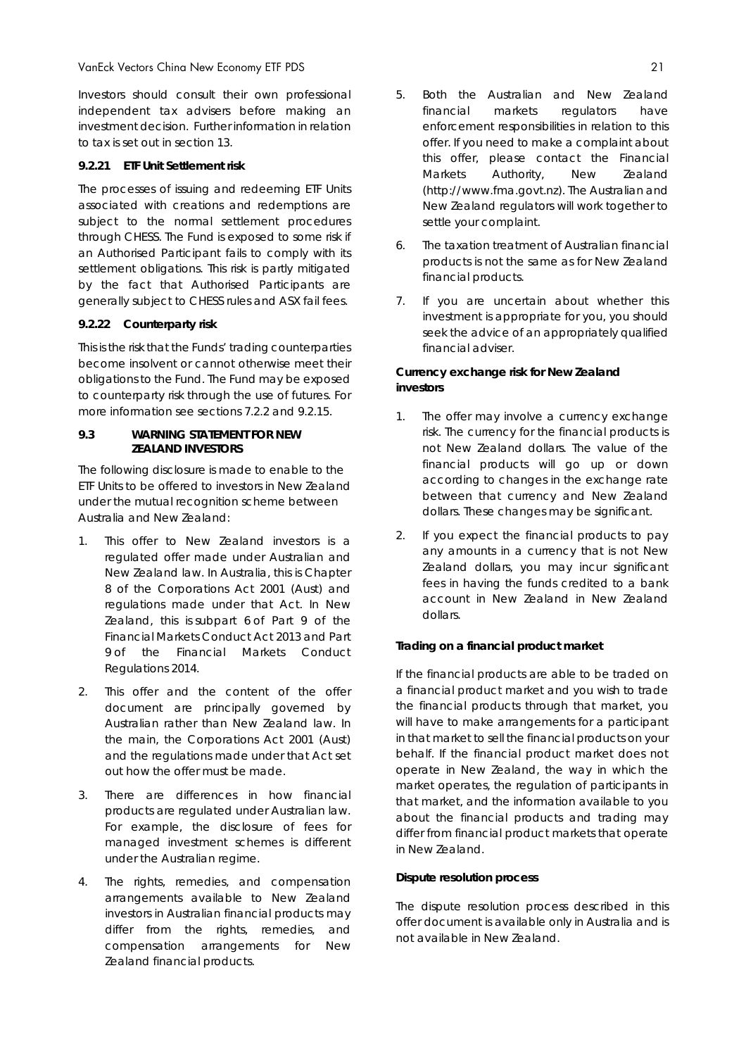Investors should consult their own professional independent tax advisers before making an investment decision. Further information in relation to tax is set out in section 13.

### *9.2.21 ETF Unit Settlement risk*

The processes of issuing and redeeming ETF Units associated with creations and redemptions are subject to the normal settlement procedures through CHESS. The Fund is exposed to some risk if an Authorised Participant fails to comply with its settlement obligations. This risk is partly mitigated by the fact that Authorised Participants are generally subject to CHESS rules and ASX fail fees.

## *9.2.22 Counterparty risk*

This is the risk that the Funds' trading counterparties become insolvent or cannot otherwise meet their obligations to the Fund. The Fund may be exposed to counterparty risk through the use of futures. For more information see sections 7.2.2 and 9.2.15.

#### **9.3 WARNING STATEMENT FOR NEW ZEALAND INVESTORS**

The following disclosure is made to enable to the ETF Units to be offered to investors in New Zealand under the mutual recognition scheme between Australia and New Zealand:

- *1.* This offer to New Zealand investors is a regulated offer made under Australian and New Zealand law. In Australia, this is Chapter 8 of the *Corporations Act 2001* (Aust) and regulations made under that Act. In New Zealand, this is subpart 6 of Part 9 of the *Financial Markets Conduct Act 2013* and Part 9 of the *Financial Markets Conduct Regulations 2014.*
- 2. This offer and the content of the offer document are principally governed by Australian rather than New Zealand law. In the main, the *Corporations Act 2001* (Aust) and the regulations made under that Act set out how the offer must be made.
- 3. There are differences in how financial products are regulated under Australian law. For example, the disclosure of fees for managed investment schemes is different under the Australian regime.
- 4. The rights, remedies, and compensation arrangements available to New Zealand investors in Australian financial products may differ from the rights, remedies, and compensation arrangements for New Zealand financial products.
- 5. Both the Australian and New Zealand financial markets regulators have enforcement responsibilities in relation to this offer. If you need to make a complaint about this offer, please contact the Financial Markets Authority, New Zealand (http://www.fma.govt.nz). The Australian and New Zealand regulators will work together to settle your complaint.
- 6. The taxation treatment of Australian financial products is not the same as for New Zealand financial products.
- 7. If you are uncertain about whether this investment is appropriate for you, you should seek the advice of an appropriately qualified financial adviser.

### **Currency exchange risk for New Zealand investors**

- 1. The offer may involve a currency exchange risk. The currency for the financial products is not New Zealand dollars. The value of the financial products will go up or down according to changes in the exchange rate between that currency and New Zealand dollars. These changes may be significant.
- 2. If you expect the financial products to pay any amounts in a currency that is not New Zealand dollars, you may incur significant fees in having the funds credited to a bank account in New Zealand in New Zealand dollars.

#### **Trading on a financial product market**

If the financial products are able to be traded on a financial product market and you wish to trade the financial products through that market, you will have to make arrangements for a participant in that market to sell the financial products on your behalf. If the financial product market does not operate in New Zealand, the way in which the market operates, the regulation of participants in that market, and the information available to you about the financial products and trading may differ from financial product markets that operate in New Zealand.

#### **Dispute resolution process**

The dispute resolution process described in this offer document is available only in Australia and is not available in New Zealand.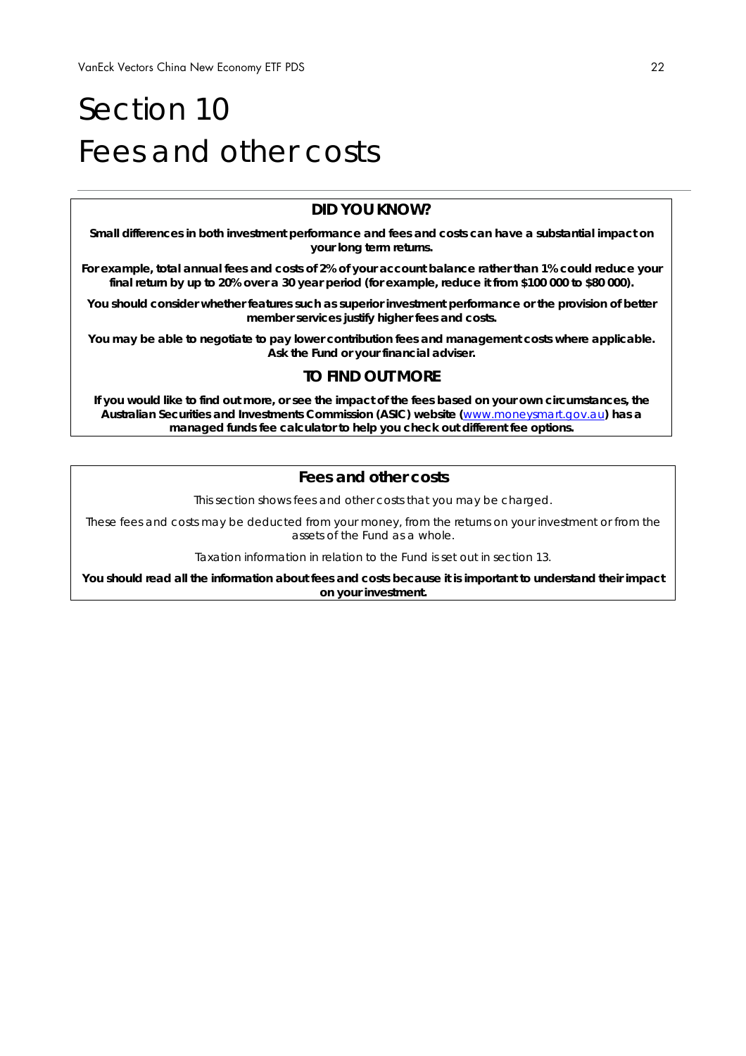## Section 10 Fees and other costs

## **DID YOU KNOW?**

**Small differences in both investment performance and fees and costs can have a substantial impact on your long term returns.** 

**For example, total annual fees and costs of 2% of your account balance rather than 1% could reduce your final return by up to 20% over a 30 year period (for example, reduce it from \$100 000 to \$80 000).** 

**You should consider whether features such as superior investment performance or the provision of better member services justify higher fees and costs.** 

**You may be able to negotiate to pay lower contribution fees and management costs where applicable. Ask the Fund or your financial adviser.** 

## **TO FIND OUT MORE**

**If you would like to find out more, or see the impact of the fees based on your own circumstances, the Australian Securities and Investments Commission (ASIC) website (**www.moneysmart.gov.au**) has a managed funds fee calculator to help you check out different fee options.** 

## **Fees and other costs**

This section shows fees and other costs that you may be charged.

These fees and costs may be deducted from your money, from the returns on your investment or from the assets of the Fund as a whole.

Taxation information in relation to the Fund is set out in section 13.

**You should read all the information about fees and costs because it is important to understand their impact on your investment.**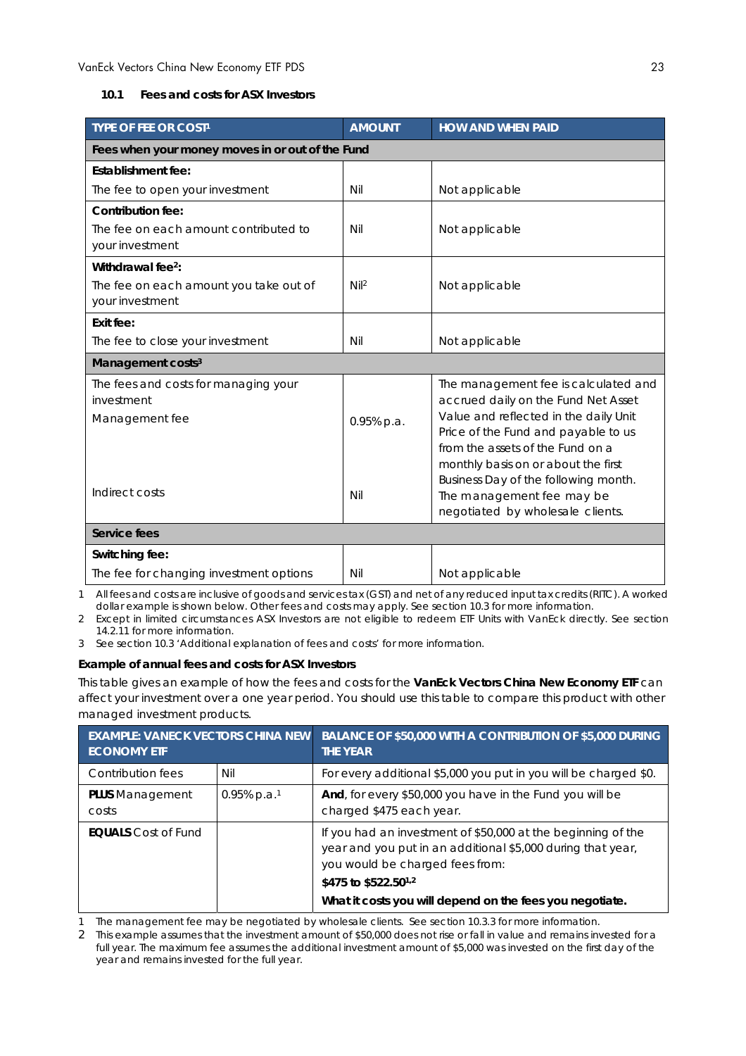#### **10.1 Fees and costs for ASX Investors**

| <b>TYPE OF FEE OR COST1</b>                              | <b>AMOUNT</b>    | <b>HOW AND WHEN PAID</b>                                                |
|----------------------------------------------------------|------------------|-------------------------------------------------------------------------|
| Fees when your money moves in or out of the Fund         |                  |                                                                         |
| Establishment fee:                                       |                  |                                                                         |
| The fee to open your investment                          | Nil              | Not applicable                                                          |
| Contribution fee:                                        |                  |                                                                         |
| The fee on each amount contributed to<br>your investment | Nil              | Not applicable                                                          |
| Withdrawal fee <sup>2</sup> :                            |                  |                                                                         |
| The fee on each amount you take out of                   | Nil <sup>2</sup> | Not applicable                                                          |
| your investment                                          |                  |                                                                         |
| Exit fee:                                                |                  |                                                                         |
| The fee to close your investment                         | Nil              | Not applicable                                                          |
| Management costs <sup>3</sup>                            |                  |                                                                         |
| The fees and costs for managing your                     |                  | The management fee is calculated and                                    |
| investment                                               |                  | accrued daily on the Fund Net Asset                                     |
| Management fee                                           | 0.95% p.a.       | Value and reflected in the daily Unit                                   |
|                                                          |                  | Price of the Fund and payable to us<br>from the assets of the Fund on a |
|                                                          |                  | monthly basis on or about the first                                     |
|                                                          |                  | Business Day of the following month.                                    |
| Indirect costs                                           | Nil              | The management fee may be                                               |
|                                                          |                  | negotiated by wholesale clients.                                        |
| Service fees                                             |                  |                                                                         |
| Switching fee:                                           |                  |                                                                         |
| The fee for changing investment options                  | Nil              | Not applicable                                                          |

1 All fees and costs are inclusive of goods and services tax (GST) and net of any reduced input tax credits (RITC). A worked dollar example is shown below. Other fees and costs may apply. See section 10.3 for more information.

2 Except in limited circumstances ASX Investors are not eligible to redeem ETF Units with VanEck directly. See section 14.2.11 for more information.

3 See section 10.3 'Additional explanation of fees and costs' for more information.

#### **Example of annual fees and costs for ASX Investors**

This table gives an example of how the fees and costs for the **VanEck Vectors China New Economy ETF** can affect your investment over a one year period. You should use this table to compare this product with other managed investment products.

| <b>EXAMPLE: VANECK VECTORS CHINA NEW</b><br><b>ECONOMY ETF</b> |                            | BALANCE OF \$50,000 WITH A CONTRIBUTION OF \$5,000 DURING<br><b>THE YEAR</b>                                                                                                                                                                                   |
|----------------------------------------------------------------|----------------------------|----------------------------------------------------------------------------------------------------------------------------------------------------------------------------------------------------------------------------------------------------------------|
| Contribution fees                                              | Nil                        | For every additional \$5,000 you put in you will be charged \$0.                                                                                                                                                                                               |
| <b>PLUS</b> Management<br>costs                                | $0.95\%$ p.a. <sup>1</sup> | And, for every \$50,000 you have in the Fund you will be<br>charged \$475 each year.                                                                                                                                                                           |
| <b>EQUALS</b> Cost of Fund                                     |                            | If you had an investment of \$50,000 at the beginning of the<br>year and you put in an additional \$5,000 during that year,<br>you would be charged fees from:<br>\$475 to \$522.50 <sup>1,2</sup><br>What it costs you will depend on the fees you negotiate. |

The management fee may be negotiated by wholesale clients. See section 10.3.3 for more information.

2 This example assumes that the investment amount of \$50,000 does not rise or fall in value and remains invested for a full year. The maximum fee assumes the additional investment amount of \$5,000 was invested on the first day of the year and remains invested for the full year.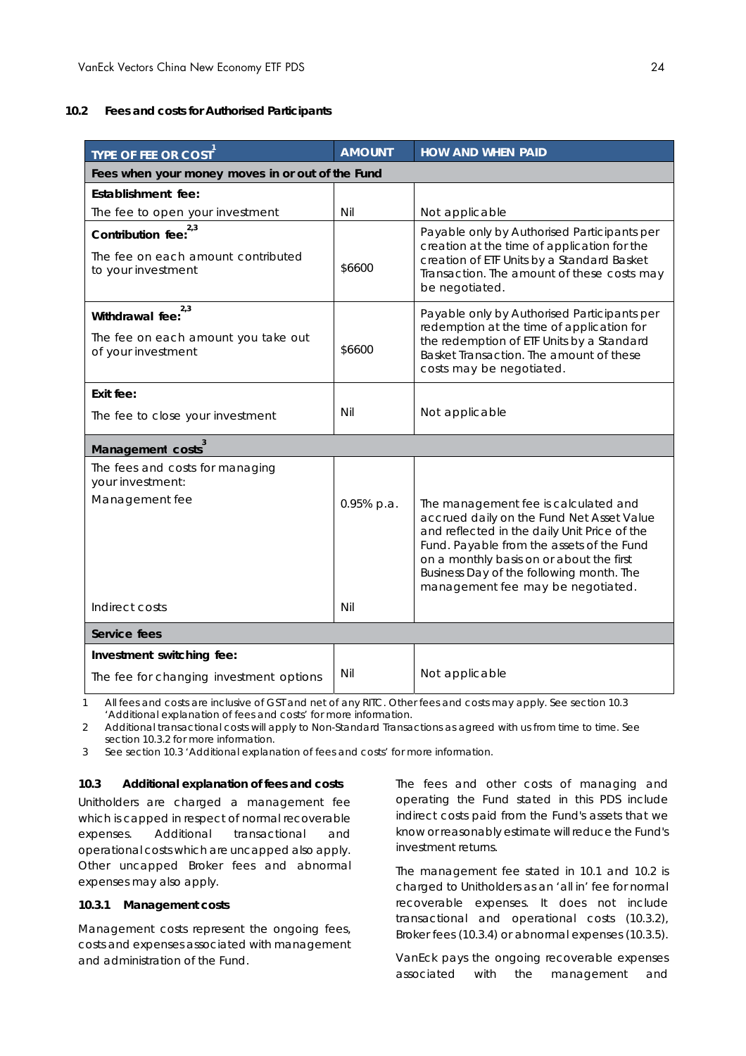#### **10.2 Fees and costs for Authorised Participants**

| TYPE OF FEE OR COST                                       | <b>AMOUNT</b> | <b>HOW AND WHEN PAID</b>                                                                                                                                                                                                                                                                                    |  |  |
|-----------------------------------------------------------|---------------|-------------------------------------------------------------------------------------------------------------------------------------------------------------------------------------------------------------------------------------------------------------------------------------------------------------|--|--|
| Fees when your money moves in or out of the Fund          |               |                                                                                                                                                                                                                                                                                                             |  |  |
| Establishment fee:                                        |               |                                                                                                                                                                                                                                                                                                             |  |  |
| The fee to open your investment                           | Nil           | Not applicable                                                                                                                                                                                                                                                                                              |  |  |
| 2,3<br>Contribution fee:                                  |               | Payable only by Authorised Participants per<br>creation at the time of application for the                                                                                                                                                                                                                  |  |  |
| The fee on each amount contributed<br>to your investment  | \$6600        | creation of ETF Units by a Standard Basket<br>Transaction. The amount of these costs may<br>be negotiated.                                                                                                                                                                                                  |  |  |
| 2,3<br>Withdrawal fee:                                    |               | Payable only by Authorised Participants per<br>redemption at the time of application for                                                                                                                                                                                                                    |  |  |
| The fee on each amount you take out<br>of your investment | \$6600        | the redemption of ETF Units by a Standard<br>Basket Transaction. The amount of these<br>costs may be negotiated.                                                                                                                                                                                            |  |  |
| Exit fee:                                                 |               |                                                                                                                                                                                                                                                                                                             |  |  |
| The fee to close your investment                          | Nil           | Not applicable                                                                                                                                                                                                                                                                                              |  |  |
| Management costs                                          |               |                                                                                                                                                                                                                                                                                                             |  |  |
| The fees and costs for managing<br>your investment:       |               |                                                                                                                                                                                                                                                                                                             |  |  |
| Management fee                                            | 0.95% p.a.    | The management fee is calculated and<br>accrued daily on the Fund Net Asset Value<br>and reflected in the daily Unit Price of the<br>Fund. Payable from the assets of the Fund<br>on a monthly basis on or about the first<br>Business Day of the following month. The<br>management fee may be negotiated. |  |  |
| Indirect costs                                            | Nil           |                                                                                                                                                                                                                                                                                                             |  |  |
| Service fees                                              |               |                                                                                                                                                                                                                                                                                                             |  |  |
| Investment switching fee:                                 |               |                                                                                                                                                                                                                                                                                                             |  |  |
| The fee for changing investment options                   | Nil           | Not applicable                                                                                                                                                                                                                                                                                              |  |  |

1 All fees and costs are inclusive of GST and net of any RITC. Other fees and costs may apply. See section 10.3 'Additional explanation of fees and costs' for more information.

2 Additional transactional costs will apply to Non-Standard Transactions as agreed with us from time to time. See section 10.3.2 for more information.

3 See section 10.3 'Additional explanation of fees and costs' for more information.

#### **10.3 Additional explanation of fees and costs**

Unitholders are charged a management fee which is capped in respect of normal recoverable expenses. Additional transactional and operational costs which are uncapped also apply. Other uncapped Broker fees and abnormal expenses may also apply.

#### **10.3.1 Management costs**

Management costs represent the ongoing fees, costs and expenses associated with management and administration of the Fund.

The fees and other costs of managing and operating the Fund stated in this PDS include indirect costs paid from the Fund's assets that we know or reasonably estimate will reduce the Fund's investment returns.

The management fee stated in 10.1 and 10.2 is charged to Unitholders as an 'all in' fee for normal recoverable expenses. It does not include transactional and operational costs (10.3.2), Broker fees (10.3.4) or abnormal expenses (10.3.5).

VanEck pays the ongoing recoverable expenses associated with the management and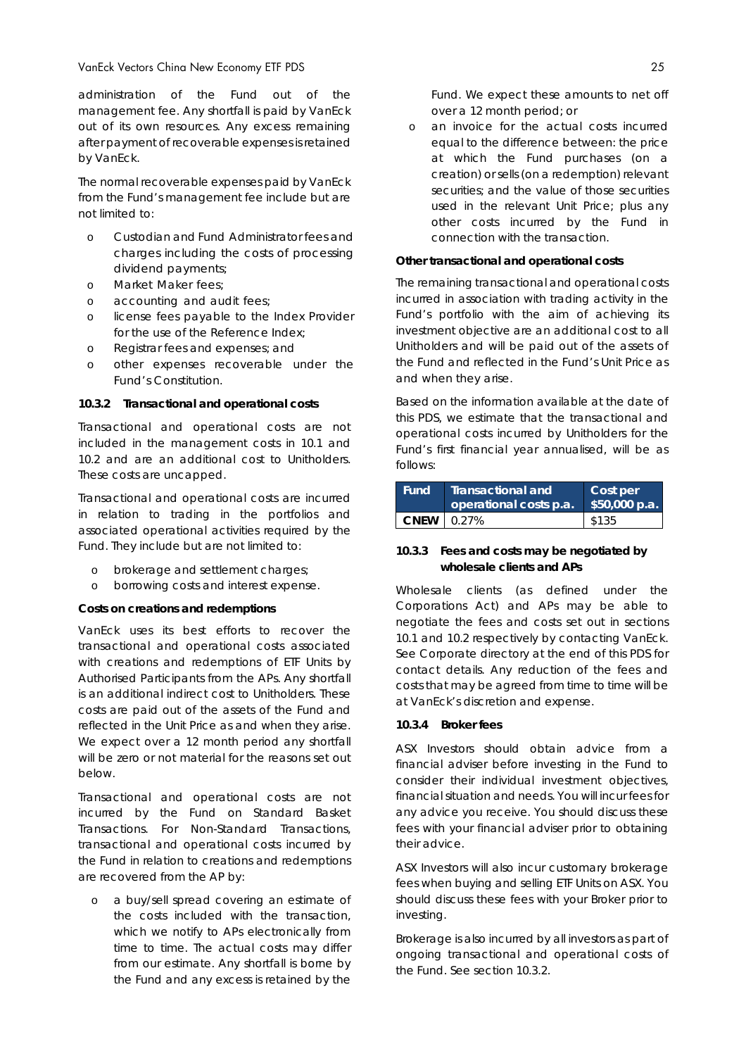administration of the Fund out of the management fee. Any shortfall is paid by VanEck out of its own resources. Any excess remaining after payment of recoverable expenses is retained by VanEck.

The normal recoverable expenses paid by VanEck from the Fund's management fee include but are not limited to:

- Custodian and Fund Administrator fees and charges including the costs of processing dividend payments;
- o Market Maker fees;
- o accounting and audit fees;
- o license fees payable to the Index Provider for the use of the Reference Index;
- o Registrar fees and expenses; and
- o other expenses recoverable under the Fund's Constitution.

#### **10.3.2 Transactional and operational costs**

Transactional and operational costs are not included in the management costs in 10.1 and 10.2 and are an additional cost to Unitholders. These costs are uncapped.

Transactional and operational costs are incurred in relation to trading in the portfolios and associated operational activities required by the Fund. They include but are not limited to:

- o brokerage and settlement charges;
- o borrowing costs and interest expense.

#### *Costs on creations and redemptions*

VanEck uses its best efforts to recover the transactional and operational costs associated with creations and redemptions of ETF Units by Authorised Participants from the APs. Any shortfall is an additional indirect cost to Unitholders. These costs are paid out of the assets of the Fund and reflected in the Unit Price as and when they arise. We expect over a 12 month period any shortfall will be zero or not material for the reasons set out below.

Transactional and operational costs are not incurred by the Fund on Standard Basket Transactions. For Non-Standard Transactions, transactional and operational costs incurred by the Fund in relation to creations and redemptions are recovered from the AP by:

o a buy/sell spread covering an estimate of the costs included with the transaction, which we notify to APs electronically from time to time. The actual costs may differ from our estimate. Any shortfall is borne by the Fund and any excess is retained by the Fund. We expect these amounts to net off over a 12 month period; or

o an invoice for the actual costs incurred equal to the difference between: the price at which the Fund purchases (on a creation) or sells (on a redemption) relevant securities; and the value of those securities used in the relevant Unit Price; plus any other costs incurred by the Fund in connection with the transaction.

#### *Other transactional and operational costs*

The remaining transactional and operational costs incurred in association with trading activity in the Fund's portfolio with the aim of achieving its investment objective are an additional cost to all Unitholders and will be paid out of the assets of the Fund and reflected in the Fund's Unit Price as and when they arise.

Based on the information available at the date of this PDS, we estimate that the transactional and operational costs incurred by Unitholders for the Fund's first financial year annualised, will be as follows:

| Fund        | <b>Transactional and</b><br>operational costs p.a. | Cost per<br>\$50,000 p.a. |
|-------------|----------------------------------------------------|---------------------------|
| <b>CNFW</b> | 0.27%                                              | \$135                     |

#### **10.3.3 Fees and costs may be negotiated by wholesale clients and APs**

Wholesale clients (as defined under the *Corporations Act*) and APs may be able to negotiate the fees and costs set out in sections 10.1 and 10.2 respectively by contacting VanEck. See *Corporate directory* at the end of this PDS for contact details. Any reduction of the fees and costs that may be agreed from time to time will be at VanEck's discretion and expense.

#### **10.3.4 Broker fees**

ASX Investors should obtain advice from a financial adviser before investing in the Fund to consider their individual investment objectives, financial situation and needs. You will incur fees for any advice you receive. You should discuss these fees with your financial adviser prior to obtaining their advice.

ASX Investors will also incur customary brokerage fees when buying and selling ETF Units on ASX. You should discuss these fees with your Broker prior to investing.

Brokerage is also incurred by all investors as part of ongoing transactional and operational costs of the Fund. See section 10.3.2.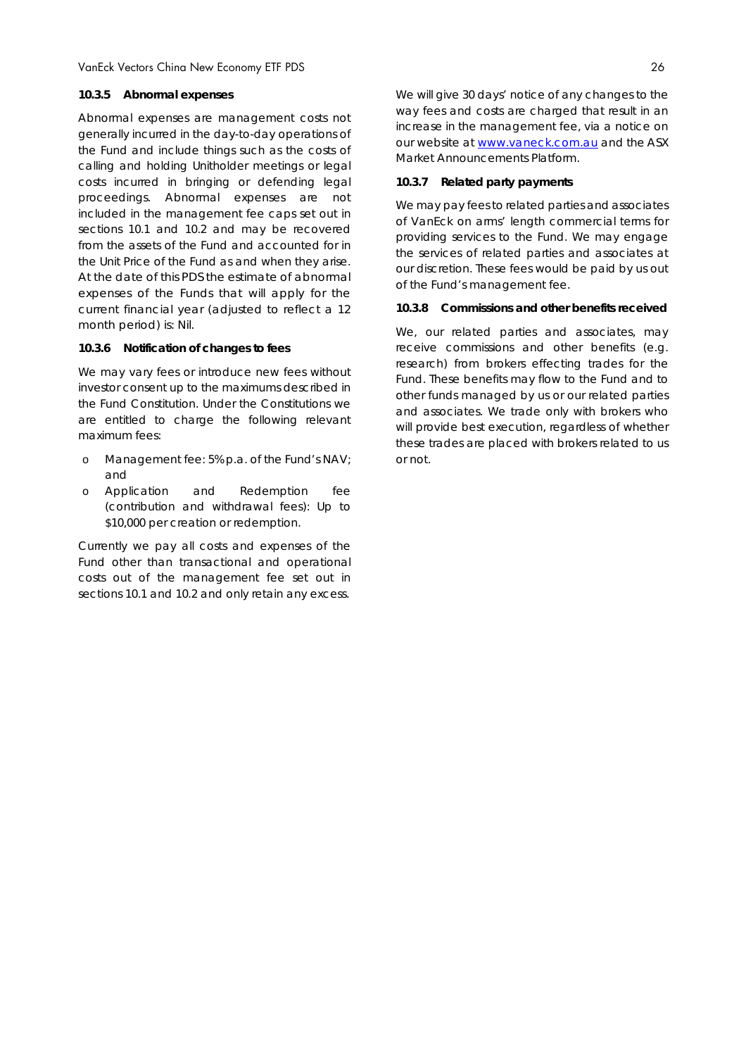#### **10.3.5 Abnormal expenses**

Abnormal expenses are management costs not generally incurred in the day-to-day operations of the Fund and include things such as the costs of calling and holding Unitholder meetings or legal costs incurred in bringing or defending legal proceedings. Abnormal expenses are not included in the management fee caps set out in sections 10.1 and 10.2 and may be recovered from the assets of the Fund and accounted for in the Unit Price of the Fund as and when they arise. At the date of this PDS the estimate of abnormal expenses of the Funds that will apply for the current financial year (adjusted to reflect a 12 month period) is: Nil.

#### **10.3.6 Notification of changes to fees**

We may vary fees or introduce new fees without investor consent up to the maximums described in the Fund Constitution. Under the Constitutions we are entitled to charge the following relevant maximum fees:

- o Management fee: 5% p.a. of the Fund's NAV; and
- o Application and Redemption fee (contribution and withdrawal fees): Up to \$10,000 per creation or redemption.

Currently we pay all costs and expenses of the Fund other than transactional and operational costs out of the management fee set out in sections 10.1 and 10.2 and only retain any excess.

We will give 30 days' notice of any changes to the way fees and costs are charged that result in an increase in the management fee, via a notice on our website at www.vaneck.com.au and the ASX Market Announcements Platform.

#### **10.3.7 Related party payments**

We may pay fees to related parties and associates of VanEck on arms' length commercial terms for providing services to the Fund. We may engage the services of related parties and associates at our discretion. These fees would be paid by us out of the Fund's management fee.

#### **10.3.8 Commissions and other benefits received**

We, our related parties and associates, may receive commissions and other benefits (e.g. research) from brokers effecting trades for the Fund. These benefits may flow to the Fund and to other funds managed by us or our related parties and associates. We trade only with brokers who will provide best execution, regardless of whether these trades are placed with brokers related to us or not.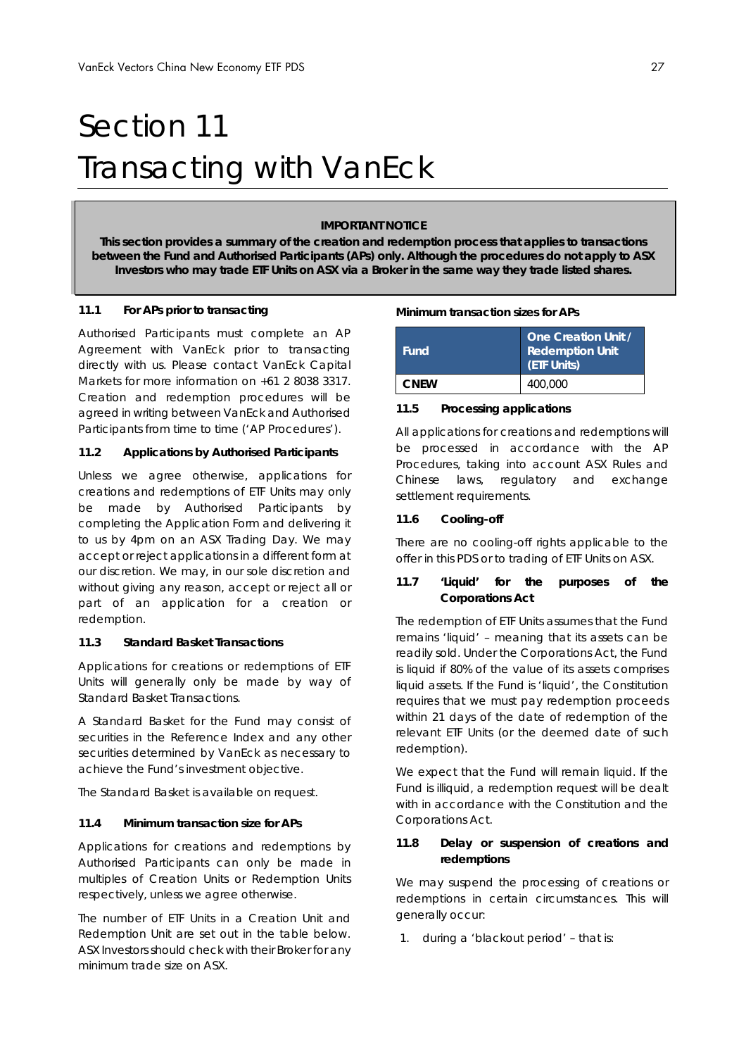## Section 11 Transacting with VanEck

#### **IMPORTANT NOTICE**

**This section provides a summary of the creation and redemption process that applies to transactions between the Fund and Authorised Participants (APs) only. Although the procedures do not apply to ASX Investors who may trade ETF Units on ASX via a Broker in the same way they trade listed shares.** 

### **11.1 For APs prior to transacting**

Authorised Participants must complete an AP Agreement with VanEck prior to transacting directly with us. Please contact VanEck Capital Markets for more information on +61 2 8038 3317. Creation and redemption procedures will be agreed in writing between VanEck and Authorised Participants from time to time ('AP Procedures').

#### **11.2 Applications by Authorised Participants**

Unless we agree otherwise, applications for creations and redemptions of ETF Units may only be made by Authorised Participants by completing the Application Form and delivering it to us by 4pm on an ASX Trading Day. We may accept or reject applications in a different form at our discretion. We may, in our sole discretion and without giving any reason, accept or reject all or part of an application for a creation or redemption.

#### **11.3 Standard Basket Transactions**

Applications for creations or redemptions of ETF Units will generally only be made by way of Standard Basket Transactions.

A Standard Basket for the Fund may consist of securities in the Reference Index and any other securities determined by VanEck as necessary to achieve the Fund's investment objective.

The Standard Basket is available on request.

#### **11.4 Minimum transaction size for APs**

Applications for creations and redemptions by Authorised Participants can only be made in multiples of Creation Units or Redemption Units respectively, unless we agree otherwise.

The number of ETF Units in a Creation Unit and Redemption Unit are set out in the table below. ASX Investors should check with their Broker for any minimum trade size on ASX.

#### **Minimum transaction sizes for APs**

| <b>Fund</b> | <b>One Creation Unit /</b><br><b>Redemption Unit</b><br>(ETF Units) |
|-------------|---------------------------------------------------------------------|
| <b>CNEW</b> | 400,000                                                             |

#### **11.5 Processing applications**

All applications for creations and redemptions will be processed in accordance with the AP Procedures, taking into account ASX Rules and Chinese laws, regulatory and exchange settlement requirements.

#### **11.6 Cooling-off**

There are no cooling-off rights applicable to the offer in this PDS or to trading of ETF Units on ASX.

## **11.7 'Liquid' for the purposes of the Corporations Act**

The redemption of ETF Units assumes that the Fund remains 'liquid' – meaning that its assets can be readily sold. Under the *Corporations Act*, the Fund is liquid if 80% of the value of its assets comprises liquid assets. If the Fund is 'liquid', the Constitution requires that we must pay redemption proceeds within 21 days of the date of redemption of the relevant ETF Units (or the deemed date of such redemption).

We expect that the Fund will remain liquid. If the Fund is illiquid, a redemption request will be dealt with in accordance with the Constitution and the *Corporations Act*.

### **11.8 Delay or suspension of creations and redemptions**

We may suspend the processing of creations or redemptions in certain circumstances. This will generally occur:

1. during a 'blackout period' – that is: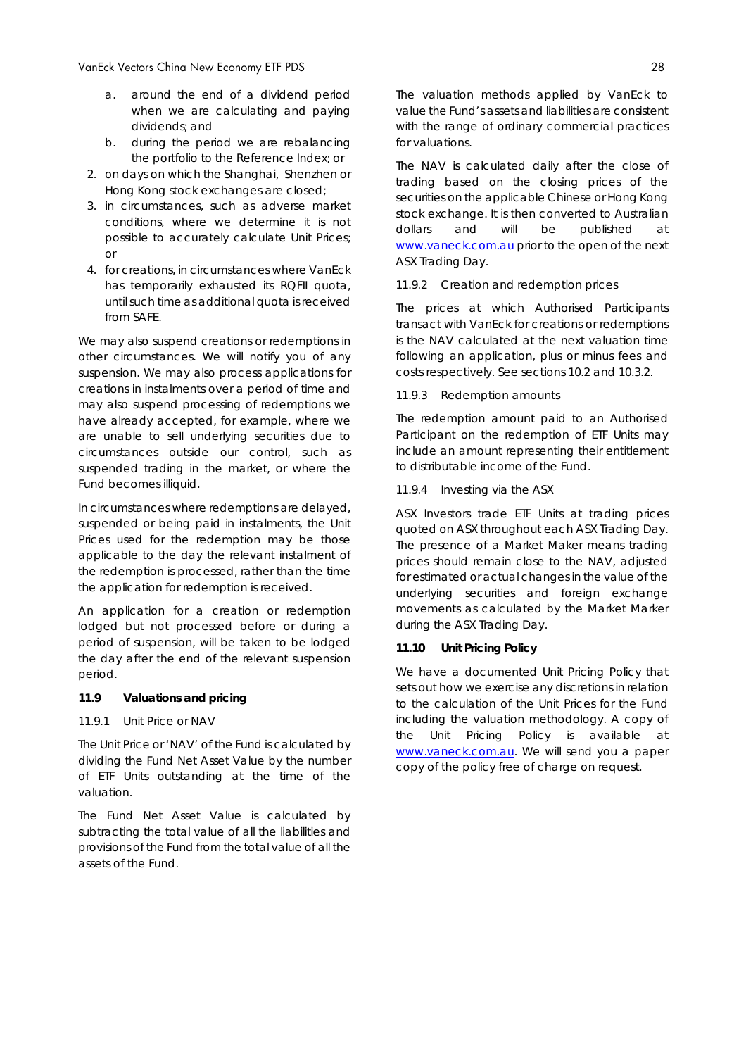- a. around the end of a dividend period when we are calculating and paying dividends; and
- b. during the period we are rebalancing the portfolio to the Reference Index; or
- 2. on days on which the Shanghai, Shenzhen or Hong Kong stock exchanges are closed;
- 3. in circumstances, such as adverse market conditions, where we determine it is not possible to accurately calculate Unit Prices; or
- 4. for creations, in circumstances where VanEck has temporarily exhausted its RQFII quota, until such time as additional quota is received from SAFE.

We may also suspend creations or redemptions in other circumstances. We will notify you of any suspension. We may also process applications for creations in instalments over a period of time and may also suspend processing of redemptions we have already accepted, for example, where we are unable to sell underlying securities due to circumstances outside our control, such as suspended trading in the market, or where the Fund becomes illiquid.

In circumstances where redemptions are delayed, suspended or being paid in instalments, the Unit Prices used for the redemption may be those applicable to the day the relevant instalment of the redemption is processed, rather than the time the application for redemption is received.

An application for a creation or redemption lodged but not processed before or during a period of suspension, will be taken to be lodged the day after the end of the relevant suspension period.

#### **11.9 Valuations and pricing**

#### *11.9.1 Unit Price or NAV*

The Unit Price or 'NAV' of the Fund is calculated by dividing the Fund Net Asset Value by the number of ETF Units outstanding at the time of the valuation.

The Fund Net Asset Value is calculated by subtracting the total value of all the liabilities and provisions of the Fund from the total value of all the assets of the Fund.

The valuation methods applied by VanEck to value the Fund's assets and liabilities are consistent with the range of ordinary commercial practices for valuations.

The NAV is calculated daily after the close of trading based on the closing prices of the securities on the applicable Chinese or Hong Kong stock exchange. It is then converted to Australian dollars and will be published at www.vaneck.com.au prior to the open of the next ASX Trading Day.

#### *11.9.2 Creation and redemption prices*

The prices at which Authorised Participants transact with VanEck for creations or redemptions is the NAV calculated at the next valuation time following an application, plus or minus fees and costs respectively. See sections 10.2 and 10.3.2.

#### *11.9.3 Redemption amounts*

The redemption amount paid to an Authorised Participant on the redemption of ETF Units may include an amount representing their entitlement to distributable income of the Fund.

### *11.9.4 Investing via the ASX*

ASX Investors trade ETF Units at trading prices quoted on ASX throughout each ASX Trading Day. The presence of a Market Maker means trading prices should remain close to the NAV, adjusted for estimated or actual changes in the value of the underlying securities and foreign exchange movements as calculated by the Market Marker during the ASX Trading Day.

#### **11.10 Unit Pricing Policy**

We have a documented Unit Pricing Policy that sets out how we exercise any discretions in relation to the calculation of the Unit Prices for the Fund including the valuation methodology. A copy of the Unit Pricing Policy is available at www.vaneck.com.au. We will send you a paper copy of the policy free of charge on request.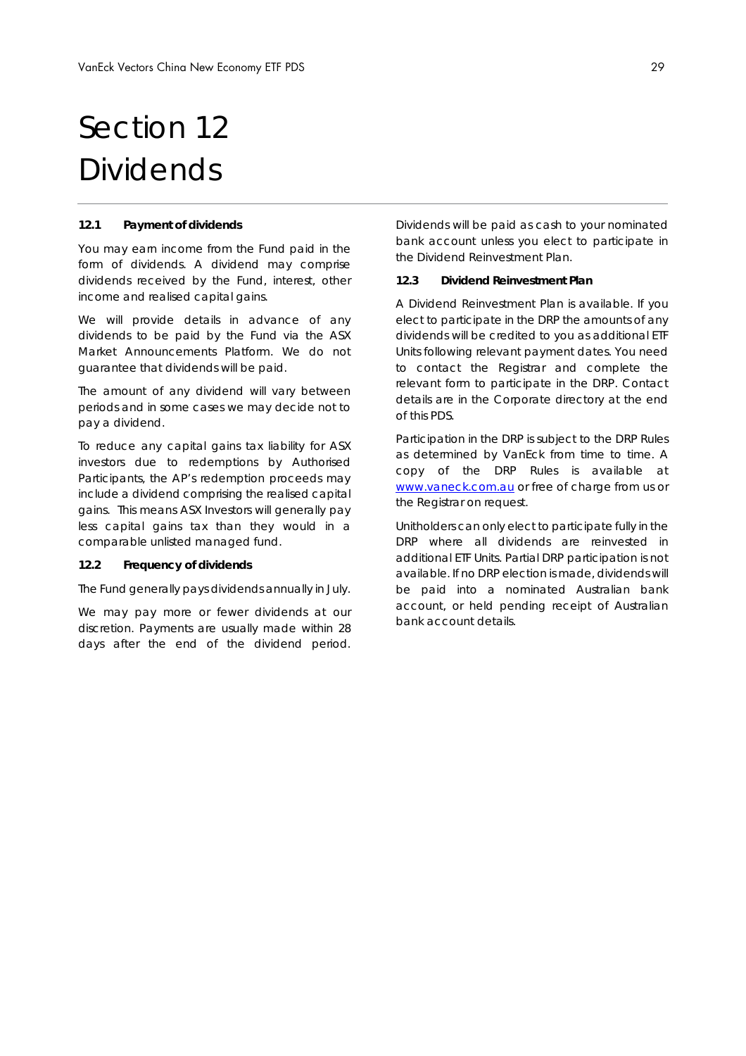## Section 12 Dividends

#### **12.1 Payment of dividends**

You may earn income from the Fund paid in the form of dividends. A dividend may comprise dividends received by the Fund, interest, other income and realised capital gains.

We will provide details in advance of any dividends to be paid by the Fund via the ASX Market Announcements Platform. We do not guarantee that dividends will be paid.

The amount of any dividend will vary between periods and in some cases we may decide not to pay a dividend.

To reduce any capital gains tax liability for ASX investors due to redemptions by Authorised Participants, the AP's redemption proceeds may include a dividend comprising the realised capital gains. This means ASX Investors will generally pay less capital gains tax than they would in a comparable unlisted managed fund.

#### **12.2 Frequency of dividends**

The Fund generally pays dividends annually in July.

We may pay more or fewer dividends at our discretion. Payments are usually made within 28 days after the end of the dividend period.

Dividends will be paid as cash to your nominated bank account unless you elect to participate in the Dividend Reinvestment Plan.

#### **12.3 Dividend Reinvestment Plan**

A Dividend Reinvestment Plan is available. If you elect to participate in the DRP the amounts of any dividends will be credited to you as additional ETF Units following relevant payment dates. You need to contact the Registrar and complete the relevant form to participate in the DRP. Contact details are in the *Corporate directory* at the end of this PDS.

Participation in the DRP is subject to the DRP Rules as determined by VanEck from time to time. A copy of the DRP Rules is available at www.vaneck.com.au or free of charge from us or the Registrar on request.

Unitholders can only elect to participate fully in the DRP where all dividends are reinvested in additional ETF Units. Partial DRP participation is not available. If no DRP election is made, dividends will be paid into a nominated Australian bank account, or held pending receipt of Australian bank account details.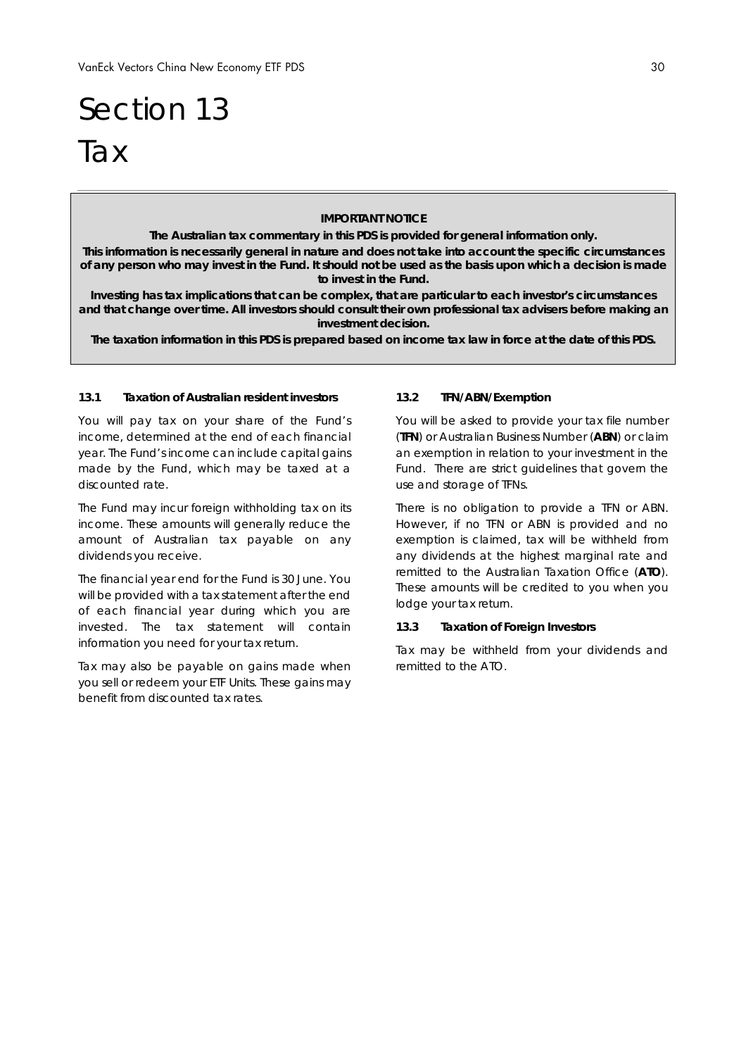# Section 13 **Tax**

#### **IMPORTANT NOTICE**

**The Australian tax commentary in this PDS is provided for general information only.** 

**This information is necessarily general in nature and does not take into account the specific circumstances of any person who may invest in the Fund. It should not be used as the basis upon which a decision is made to invest in the Fund.** 

**Investing has tax implications that can be complex, that are particular to each investor's circumstances and that change over time. All investors should consult their own professional tax advisers before making an investment decision.** 

**The taxation information in this PDS is prepared based on income tax law in force at the date of this PDS.** 

#### **13.1 Taxation of Australian resident investors**

You will pay tax on your share of the Fund's income, determined at the end of each financial year. The Fund's income can include capital gains made by the Fund, which may be taxed at a discounted rate.

The Fund may incur foreign withholding tax on its income. These amounts will generally reduce the amount of Australian tax payable on any dividends you receive.

The financial year end for the Fund is 30 June. You will be provided with a tax statement after the end of each financial year during which you are invested. The tax statement will contain information you need for your tax return.

Tax may also be payable on gains made when you sell or redeem your ETF Units. These gains may benefit from discounted tax rates.

#### **13.2 TFN/ABN/Exemption**

You will be asked to provide your tax file number (**TFN**) or Australian Business Number (**ABN**) or claim an exemption in relation to your investment in the Fund. There are strict guidelines that govern the use and storage of TFNs.

There is no obligation to provide a TFN or ABN. However, if no TFN or ABN is provided and no exemption is claimed, tax will be withheld from any dividends at the highest marginal rate and remitted to the Australian Taxation Office (**ATO**). These amounts will be credited to you when you lodge your tax return.

#### **13.3 Taxation of Foreign Investors**

Tax may be withheld from your dividends and remitted to the ATO.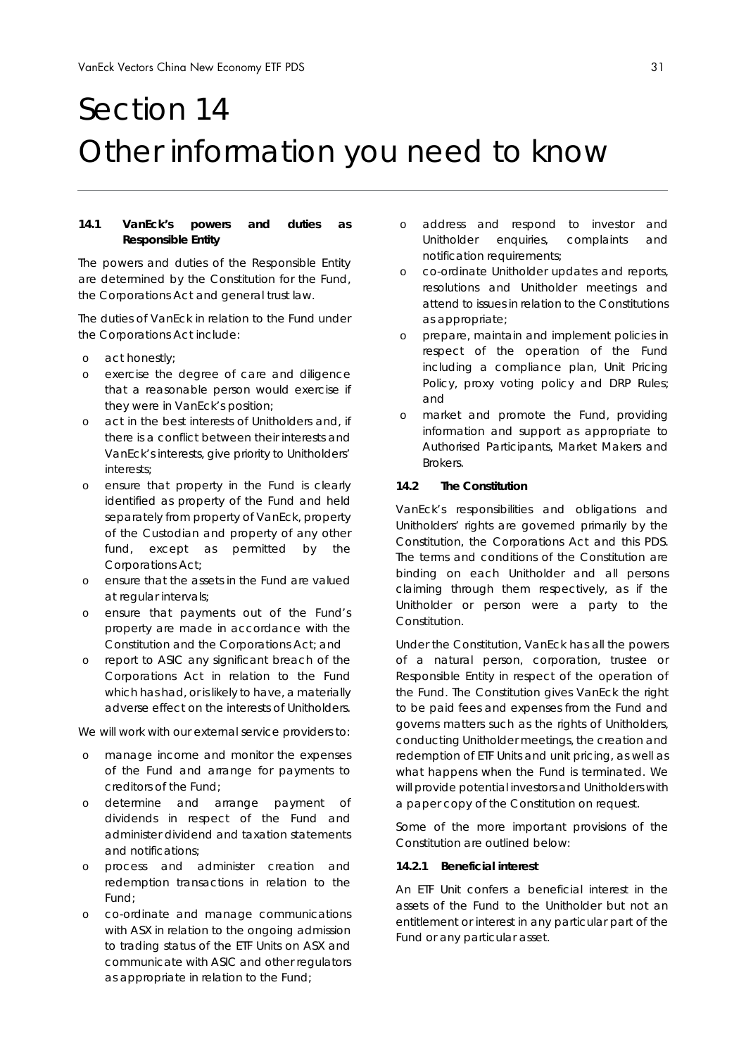# Section 14 Other information you need to know

#### **14.1 VanEck's powers and duties as Responsible Entity**

The powers and duties of the Responsible Entity are determined by the Constitution for the Fund, the *Corporations Act* and general trust law.

The duties of VanEck in relation to the Fund under the *Corporations Act* include:

- o act honestly;
- o exercise the degree of care and diligence that a reasonable person would exercise if they were in VanEck's position;
- o act in the best interests of Unitholders and, if there is a conflict between their interests and VanEck's interests, give priority to Unitholders' interests;
- o ensure that property in the Fund is clearly identified as property of the Fund and held separately from property of VanEck, property of the Custodian and property of any other fund, except as permitted by the *Corporations Act*;
- o ensure that the assets in the Fund are valued at regular intervals;
- o ensure that payments out of the Fund's property are made in accordance with the Constitution and the *Corporations Act*; and
- o report to ASIC any significant breach of the *Corporations Act* in relation to the Fund which has had, or is likely to have, a materially adverse effect on the interests of Unitholders.

We will work with our external service providers to:

- o manage income and monitor the expenses of the Fund and arrange for payments to creditors of the Fund;
- o determine and arrange payment of dividends in respect of the Fund and administer dividend and taxation statements and notifications;
- o process and administer creation and redemption transactions in relation to the Fund;
- o co-ordinate and manage communications with ASX in relation to the ongoing admission to trading status of the ETF Units on ASX and communicate with ASIC and other regulators as appropriate in relation to the Fund;
- o address and respond to investor and Unitholder enquiries, complaints and notification requirements;
- o co-ordinate Unitholder updates and reports, resolutions and Unitholder meetings and attend to issues in relation to the Constitutions as appropriate;
- o prepare, maintain and implement policies in respect of the operation of the Fund including a compliance plan, Unit Pricing Policy, proxy voting policy and DRP Rules; and
- o market and promote the Fund, providing information and support as appropriate to Authorised Participants, Market Makers and Brokers.

#### **14.2 The Constitution**

VanEck's responsibilities and obligations and Unitholders' rights are governed primarily by the Constitution, the *Corporations Act* and this PDS. The terms and conditions of the Constitution are binding on each Unitholder and all persons claiming through them respectively, as if the Unitholder or person were a party to the Constitution.

Under the Constitution, VanEck has all the powers of a natural person, corporation, trustee or Responsible Entity in respect of the operation of the Fund. The Constitution gives VanEck the right to be paid fees and expenses from the Fund and governs matters such as the rights of Unitholders, conducting Unitholder meetings, the creation and redemption of ETF Units and unit pricing, as well as what happens when the Fund is terminated. We will provide potential investors and Unitholders with a paper copy of the Constitution on request.

Some of the more important provisions of the Constitution are outlined below:

#### *14.2.1 Beneficial interest*

An ETF Unit confers a beneficial interest in the assets of the Fund to the Unitholder but not an entitlement or interest in any particular part of the Fund or any particular asset.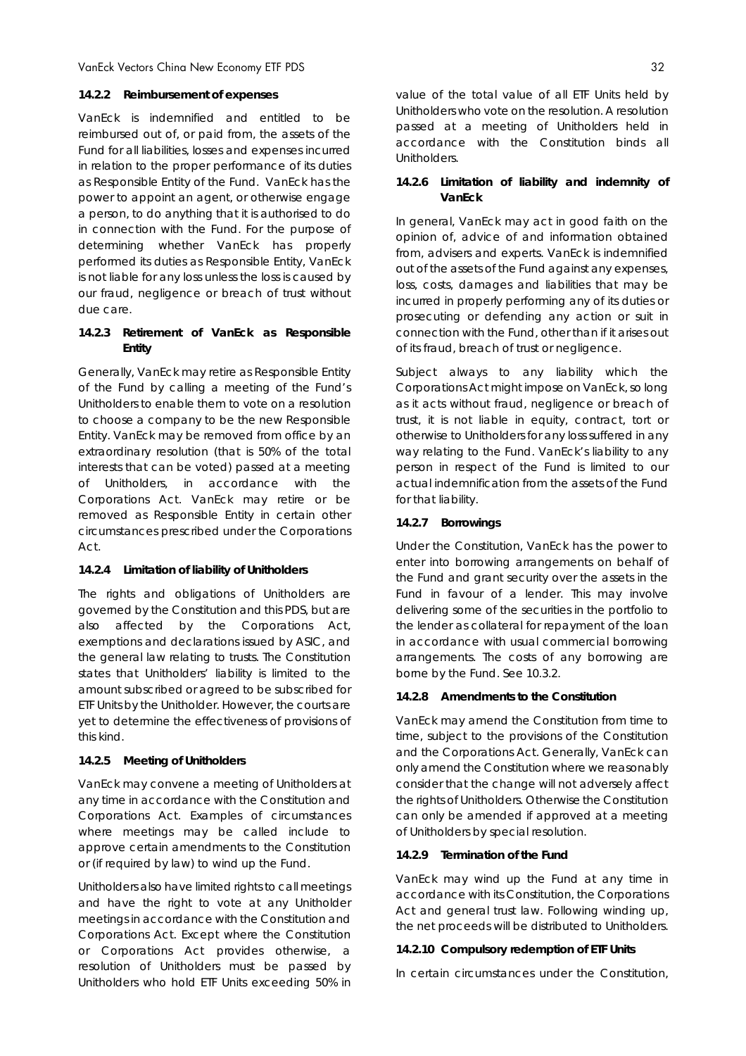#### *14.2.2 Reimbursement of expenses*

VanEck is indemnified and entitled to be reimbursed out of, or paid from, the assets of the Fund for all liabilities, losses and expenses incurred in relation to the proper performance of its duties as Responsible Entity of the Fund. VanEck has the power to appoint an agent, or otherwise engage a person, to do anything that it is authorised to do in connection with the Fund. For the purpose of determining whether VanEck has properly performed its duties as Responsible Entity, VanEck is not liable for any loss unless the loss is caused by our fraud, negligence or breach of trust without due care.

## *14.2.3 Retirement of VanEck as Responsible Entity*

Generally, VanEck may retire as Responsible Entity of the Fund by calling a meeting of the Fund's Unitholders to enable them to vote on a resolution to choose a company to be the new Responsible Entity. VanEck may be removed from office by an extraordinary resolution (that is 50% of the total interests that can be voted) passed at a meeting of Unitholders, in accordance with the *Corporations Act*. VanEck may retire or be removed as Responsible Entity in certain other circumstances prescribed under the *Corporations Act*.

#### *14.2.4 Limitation of liability of Unitholders*

The rights and obligations of Unitholders are governed by the Constitution and this PDS, but are also affected by the *Corporations Act*, exemptions and declarations issued by ASIC, and the general law relating to trusts. The Constitution states that Unitholders' liability is limited to the amount subscribed or agreed to be subscribed for ETF Units by the Unitholder. However, the courts are yet to determine the effectiveness of provisions of this kind.

#### *14.2.5 Meeting of Unitholders*

VanEck may convene a meeting of Unitholders at any time in accordance with the Constitution and *Corporations Act*. Examples of circumstances where meetings may be called include to approve certain amendments to the Constitution or (if required by law) to wind up the Fund.

Unitholders also have limited rights to call meetings and have the right to vote at any Unitholder meetings in accordance with the Constitution and *Corporations Act*. Except where the Constitution or *Corporations Act* provides otherwise, a resolution of Unitholders must be passed by Unitholders who hold ETF Units exceeding 50% in value of the total value of all ETF Units held by Unitholders who vote on the resolution. A resolution passed at a meeting of Unitholders held in accordance with the Constitution binds all Unitholders.

#### *14.2.6 Limitation of liability and indemnity of VanEck*

In general, VanEck may act in good faith on the opinion of, advice of and information obtained from, advisers and experts. VanEck is indemnified out of the assets of the Fund against any expenses, loss, costs, damages and liabilities that may be incurred in properly performing any of its duties or prosecuting or defending any action or suit in connection with the Fund, other than if it arises out of its fraud, breach of trust or negligence.

Subject always to any liability which the *Corporations Act* might impose on VanEck, so long as it acts without fraud, negligence or breach of trust, it is not liable in equity, contract, tort or otherwise to Unitholders for any loss suffered in any way relating to the Fund. VanEck's liability to any person in respect of the Fund is limited to our actual indemnification from the assets of the Fund for that liability.

#### *14.2.7 Borrowings*

Under the Constitution, VanEck has the power to enter into borrowing arrangements on behalf of the Fund and grant security over the assets in the Fund in favour of a lender. This may involve delivering some of the securities in the portfolio to the lender as collateral for repayment of the loan in accordance with usual commercial borrowing arrangements. The costs of any borrowing are borne by the Fund. See 10.3.2.

#### *14.2.8 Amendments to the Constitution*

VanEck may amend the Constitution from time to time, subject to the provisions of the Constitution and the *Corporations Act*. Generally, VanEck can only amend the Constitution where we reasonably consider that the change will not adversely affect the rights of Unitholders. Otherwise the Constitution can only be amended if approved at a meeting of Unitholders by special resolution.

#### *14.2.9 Termination of the Fund*

VanEck may wind up the Fund at any time in accordance with its Constitution, the *Corporations Act* and general trust law. Following winding up, the net proceeds will be distributed to Unitholders.

#### *14.2.10 Compulsory redemption of ETF Units*

In certain circumstances under the Constitution,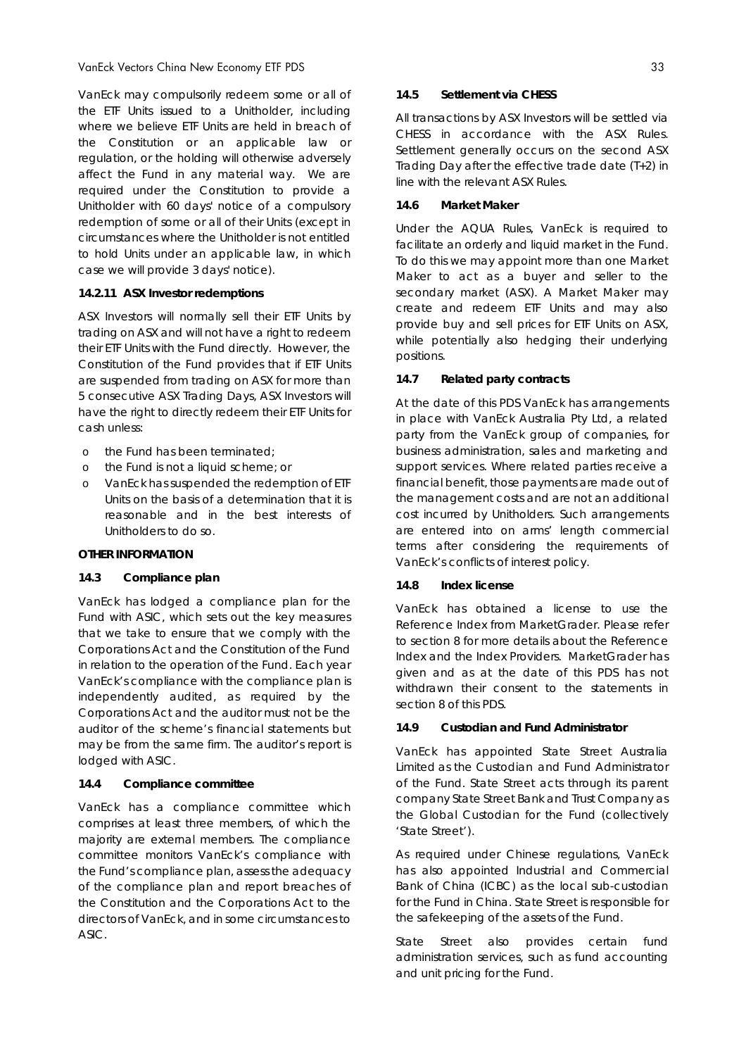VanEck may compulsorily redeem some or all of the ETF Units issued to a Unitholder, including where we believe ETF Units are held in breach of the Constitution or an applicable law or regulation, or the holding will otherwise adversely affect the Fund in any material way. We are required under the Constitution to provide a Unitholder with 60 days' notice of a compulsory redemption of some or all of their Units (except in circumstances where the Unitholder is not entitled to hold Units under an applicable law, in which case we will provide 3 days' notice).

#### *14.2.11 ASX Investor redemptions*

ASX Investors will normally sell their ETF Units by trading on ASX and will not have a right to redeem their ETF Units with the Fund directly. However, the Constitution of the Fund provides that if ETF Units are suspended from trading on ASX for more than 5 consecutive ASX Trading Days, ASX Investors will have the right to directly redeem their ETF Units for cash unless:

- o the Fund has been terminated;
- o the Fund is not a liquid scheme; or
- o VanEck has suspended the redemption of ETF Units on the basis of a determination that it is reasonable and in the best interests of Unitholders to do so.

#### **OTHER INFORMATION**

#### **14.3 Compliance plan**

VanEck has lodged a compliance plan for the Fund with ASIC, which sets out the key measures that we take to ensure that we comply with the *Corporations Act* and the Constitution of the Fund in relation to the operation of the Fund. Each year VanEck's compliance with the compliance plan is independently audited, as required by the *Corporations Act* and the auditor must not be the auditor of the scheme's financial statements but may be from the same firm. The auditor's report is lodged with ASIC.

#### **14.4 Compliance committee**

VanEck has a compliance committee which comprises at least three members, of which the majority are external members. The compliance committee monitors VanEck's compliance with the Fund's compliance plan, assess the adequacy of the compliance plan and report breaches of the Constitution and the *Corporations Act* to the directors of VanEck, and in some circumstances to ASIC.

#### **14.5 Settlement via CHESS**

All transactions by ASX Investors will be settled via CHESS in accordance with the ASX Rules. Settlement generally occurs on the second ASX Trading Day after the effective trade date (T+2) in line with the relevant ASX Rules.

#### **14.6 Market Maker**

Under the AQUA Rules, VanEck is required to facilitate an orderly and liquid market in the Fund. To do this we may appoint more than one Market Maker to act as a buyer and seller to the secondary market (ASX). A Market Maker may create and redeem ETF Units and may also provide buy and sell prices for ETF Units on ASX, while potentially also hedging their underlying positions.

#### **14.7 Related party contracts**

At the date of this PDS VanEck has arrangements in place with VanEck Australia Pty Ltd, a related party from the VanEck group of companies, for business administration, sales and marketing and support services. Where related parties receive a financial benefit, those payments are made out of the management costs and are not an additional cost incurred by Unitholders. Such arrangements are entered into on arms' length commercial terms after considering the requirements of VanEck's conflicts of interest policy.

#### **14.8 Index license**

VanEck has obtained a license to use the Reference Index from MarketGrader. Please refer to section 8 for more details about the Reference Index and the Index Providers. MarketGrader has given and as at the date of this PDS has not withdrawn their consent to the statements in section 8 of this PDS.

#### **14.9 Custodian and Fund Administrator**

VanEck has appointed State Street Australia Limited as the Custodian and Fund Administrator of the Fund. State Street acts through its parent company State Street Bank and Trust Company as the Global Custodian for the Fund (collectively 'State Street').

As required under Chinese regulations, VanEck has also appointed Industrial and Commercial Bank of China (ICBC) as the local sub-custodian for the Fund in China. State Street is responsible for the safekeeping of the assets of the Fund.

State Street also provides certain fund administration services, such as fund accounting and unit pricing for the Fund.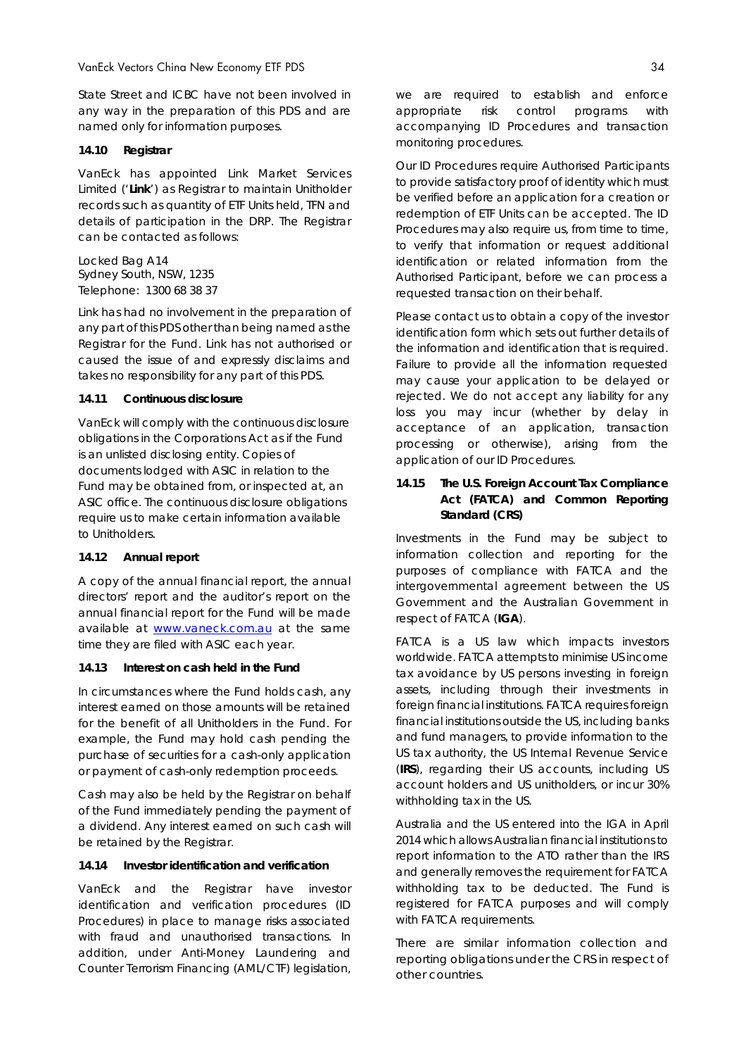State Street and ICBC have not been involved in any way in the preparation of this PDS and are named only for information purposes.

#### **14.10 Registrar**

VanEck has appointed Link Market Services Limited ('**Link**') as Registrar to maintain Unitholder records such as quantity of ETF Units held, TFN and details of participation in the DRP. The Registrar can be contacted as follows:

Locked Bag A14 Sydney South, NSW, 1235 Telephone: 1300 68 38 37

Link has had no involvement in the preparation of any part of this PDS other than being named as the Registrar for the Fund. Link has not authorised or caused the issue of and expressly disclaims and takes no responsibility for any part of this PDS.

#### **14.11 Continuous disclosure**

VanEck will comply with the continuous disclosure obligations in the *Corporations Act* as if the Fund is an unlisted disclosing entity. Copies of documents lodged with ASIC in relation to the Fund may be obtained from, or inspected at, an ASIC office. The continuous disclosure obligations require us to make certain information available to Unitholders.

#### **14.12 Annual report**

A copy of the annual financial report, the annual directors' report and the auditor's report on the annual financial report for the Fund will be made available at www.vaneck.com.au at the same time they are filed with ASIC each year.

#### **14.13 Interest on cash held in the Fund**

In circumstances where the Fund holds cash, any interest earned on those amounts will be retained for the benefit of all Unitholders in the Fund. For example, the Fund may hold cash pending the purchase of securities for a cash-only application or payment of cash-only redemption proceeds.

Cash may also be held by the Registrar on behalf of the Fund immediately pending the payment of a dividend. Any interest earned on such cash will be retained by the Registrar.

#### **14.14 Investor identification and verification**

VanEck and the Registrar have investor identification and verification procedures (ID Procedures) in place to manage risks associated with fraud and unauthorised transactions. In addition, under *Anti-Money Laundering and Counter Terrorism Financing* (AML/CTF) legislation,

we are required to establish and enforce appropriate risk control programs with accompanying ID Procedures and transaction monitoring procedures.

Our ID Procedures require Authorised Participants to provide satisfactory proof of identity which must be verified before an application for a creation or redemption of ETF Units can be accepted. The ID Procedures may also require us, from time to time, to verify that information or request additional identification or related information from the Authorised Participant, before we can process a requested transaction on their behalf.

Please contact us to obtain a copy of the investor identification form which sets out further details of the information and identification that is required. Failure to provide all the information requested may cause your application to be delayed or rejected. We do not accept any liability for any loss you may incur (whether by delay in acceptance of an application, transaction processing or otherwise), arising from the application of our ID Procedures.

### **14.15 The U.S. Foreign Account Tax Compliance Act (FATCA) and Common Reporting Standard (CRS)**

Investments in the Fund may be subject to information collection and reporting for the purposes of compliance with FATCA and the intergovernmental agreement between the US Government and the Australian Government in respect of FATCA (**IGA**).

FATCA is a US law which impacts investors worldwide. FATCA attempts to minimise US income tax avoidance by US persons investing in foreign assets, including through their investments in foreign financial institutions. FATCA requires foreign financial institutions outside the US, including banks and fund managers, to provide information to the US tax authority, the US Internal Revenue Service (**IRS**), regarding their US accounts, including US account holders and US unitholders, or incur 30% withholding tax in the US.

Australia and the US entered into the IGA in April 2014 which allows Australian financial institutions to report information to the ATO rather than the IRS and generally removes the requirement for FATCA withholding tax to be deducted. The Fund is registered for FATCA purposes and will comply with FATCA requirements.

There are similar information collection and reporting obligations under the CRS in respect of other countries.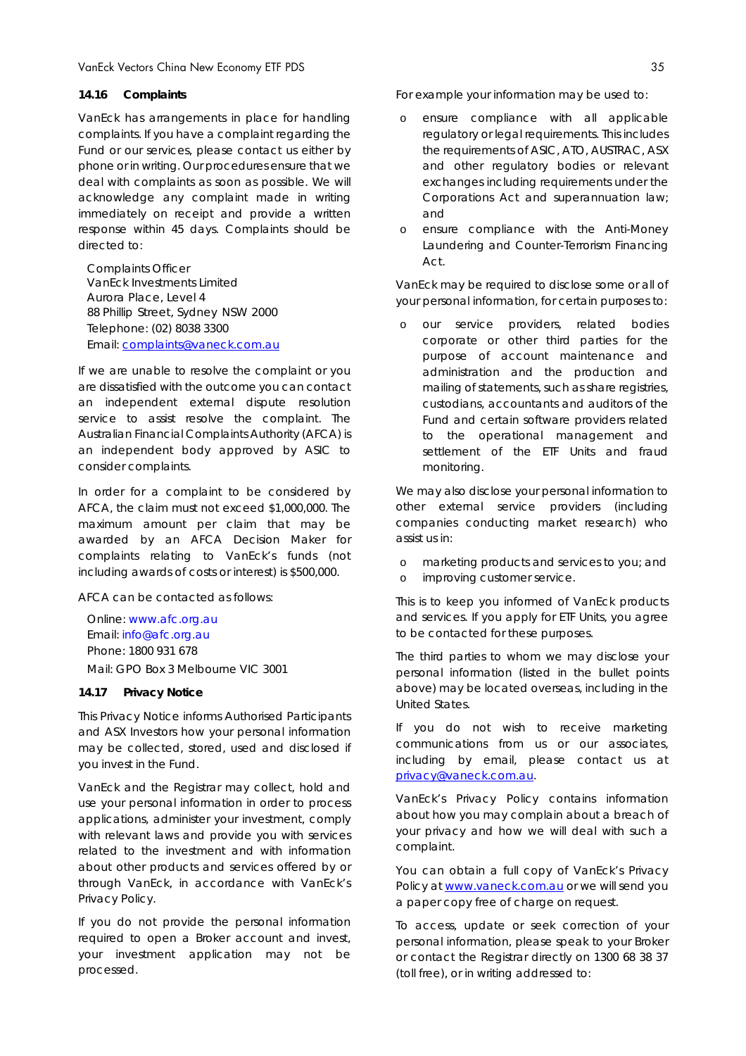#### **14.16 Complaints**

VanEck has arrangements in place for handling complaints. If you have a complaint regarding the Fund or our services, please contact us either by phone or in writing. Our procedures ensure that we deal with complaints as soon as possible. We will acknowledge any complaint made in writing immediately on receipt and provide a written response within 45 days. Complaints should be directed to:

Complaints Officer VanEck Investments Limited Aurora Place, Level 4 88 Phillip Street, Sydney NSW 2000 Telephone: (02) 8038 3300 Email: complaints@vaneck.com.au

If we are unable to resolve the complaint or you are dissatisfied with the outcome you can contact an independent external dispute resolution service to assist resolve the complaint. The Australian Financial Complaints Authority (AFCA) is an independent body approved by ASIC to consider complaints.

In order for a complaint to be considered by AFCA, the claim must not exceed \$1,000,000. The maximum amount per claim that may be awarded by an AFCA Decision Maker for complaints relating to VanEck's funds (not including awards of costs or interest) is \$500,000.

AFCA can be contacted as follows:

Online: www.afc.org.au Email: info@afc.org.au Phone: 1800 931 678 Mail: GPO Box 3 Melbourne VIC 3001

#### **14.17 Privacy Notice**

This Privacy Notice informs Authorised Participants and ASX Investors how your personal information may be collected, stored, used and disclosed if you invest in the Fund.

VanEck and the Registrar may collect, hold and use your personal information in order to process applications, administer your investment, comply with relevant laws and provide you with services related to the investment and with information about other products and services offered by or through VanEck, in accordance with VanEck's Privacy Policy.

If you do not provide the personal information required to open a Broker account and invest, your investment application may not be processed.

For example your information may be used to:

- o ensure compliance with all applicable regulatory or legal requirements. This includes the requirements of ASIC, ATO, AUSTRAC, ASX and other regulatory bodies or relevant exchanges including requirements under the *Corporations Act* and superannuation law; and
- o ensure compliance with the *Anti-Money Laundering and Counter-Terrorism Financing Act*.

VanEck may be required to disclose some or all of your personal information, for certain purposes to:

o our service providers, related bodies corporate or other third parties for the purpose of account maintenance and administration and the production and mailing of statements, such as share registries, custodians, accountants and auditors of the Fund and certain software providers related to the operational management and settlement of the ETF Units and fraud monitoring.

We may also disclose your personal information to other external service providers (including companies conducting market research) who assist us in:

- o marketing products and services to you; and
- o improving customer service.

This is to keep you informed of VanEck products and services. If you apply for ETF Units, you agree to be contacted for these purposes.

The third parties to whom we may disclose your personal information (listed in the bullet points above) may be located overseas, including in the United States.

If you do not wish to receive marketing communications from us or our associates, including by email, please contact us at privacy@vaneck.com.au.

VanEck's Privacy Policy contains information about how you may complain about a breach of your privacy and how we will deal with such a complaint.

You can obtain a full copy of VanEck's Privacy Policy at www.vaneck.com.au or we will send you a paper copy free of charge on request.

To access, update or seek correction of your personal information, please speak to your Broker or contact the Registrar directly on 1300 68 38 37 (toll free), or in writing addressed to: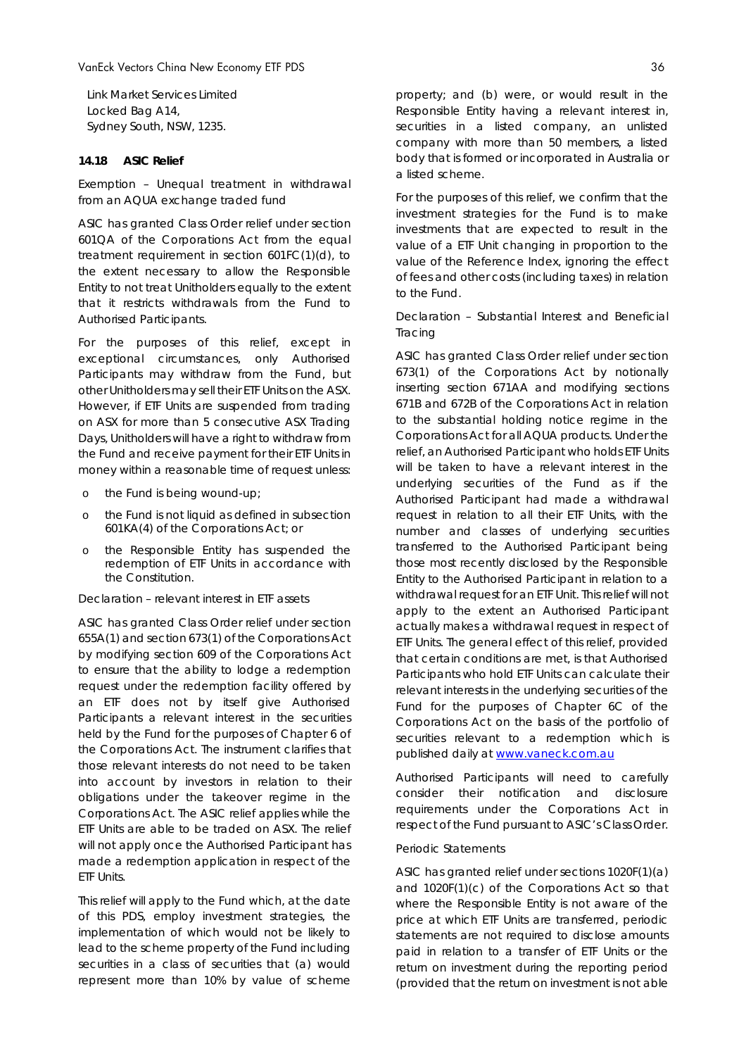Link Market Services Limited Locked Bag A14, Sydney South, NSW, 1235.

### **14.18 ASIC Relief**

### *Exemption – Unequal treatment in withdrawal from an AQUA exchange traded fund*

ASIC has granted Class Order relief under section 601QA of the *Corporations Act* from the equal treatment requirement in section 601FC(1)(d), to the extent necessary to allow the Responsible Entity to not treat Unitholders equally to the extent that it restricts withdrawals from the Fund to Authorised Participants.

For the purposes of this relief, except in exceptional circumstances, only Authorised Participants may withdraw from the Fund, but other Unitholders may sell their ETF Units on the ASX. However, if ETF Units are suspended from trading on ASX for more than 5 consecutive ASX Trading Days, Unitholders will have a right to withdraw from the Fund and receive payment for their ETF Units in money within a reasonable time of request unless:

- o the Fund is being wound-up;
- o the Fund is not liquid as defined in subsection 601KA(4) of the *Corporations Act*; or
- o the Responsible Entity has suspended the redemption of ETF Units in accordance with the Constitution.

#### *Declaration – relevant interest in ETF assets*

ASIC has granted Class Order relief under section 655A(1) and section 673(1) of the *Corporations Act* by modifying section 609 of the *Corporations Act* to ensure that the ability to lodge a redemption request under the redemption facility offered by an ETF does not by itself give Authorised Participants a relevant interest in the securities held by the Fund for the purposes of Chapter 6 of the *Corporations Act*. The instrument clarifies that those relevant interests do not need to be taken into account by investors in relation to their obligations under the takeover regime in the *Corporations Act*. The ASIC relief applies while the ETF Units are able to be traded on ASX. The relief will not apply once the Authorised Participant has made a redemption application in respect of the ETF Units.

This relief will apply to the Fund which, at the date of this PDS, employ investment strategies, the implementation of which would not be likely to lead to the scheme property of the Fund including securities in a class of securities that (a) would represent more than 10% by value of scheme property; and (b) were, or would result in the Responsible Entity having a relevant interest in, securities in a listed company, an unlisted company with more than 50 members, a listed body that is formed or incorporated in Australia or a listed scheme.

For the purposes of this relief, we confirm that the investment strategies for the Fund is to make investments that are expected to result in the value of a ETF Unit changing in proportion to the value of the Reference Index, ignoring the effect of fees and other costs (including taxes) in relation to the Fund.

### *Declaration – Substantial Interest and Beneficial Tracing*

ASIC has granted Class Order relief under section 673(1) of the *Corporations Act* by notionally inserting section 671AA and modifying sections 671B and 672B of the *Corporations Act* in relation to the substantial holding notice regime in the Corporations Act for all AQUA products. Under the relief, an Authorised Participant who holds ETF Units will be taken to have a relevant interest in the underlying securities of the Fund as if the Authorised Participant had made a withdrawal request in relation to all their ETF Units, with the number and classes of underlying securities transferred to the Authorised Participant being those most recently disclosed by the Responsible Entity to the Authorised Participant in relation to a withdrawal request for an ETF Unit. This relief will not apply to the extent an Authorised Participant actually makes a withdrawal request in respect of ETF Units. The general effect of this relief, provided that certain conditions are met, is that Authorised Participants who hold ETF Units can calculate their relevant interests in the underlying securities of the Fund for the purposes of Chapter 6C of the *Corporations Act* on the basis of the portfolio of securities relevant to a redemption which is published daily at www.vaneck.com.au

Authorised Participants will need to carefully consider their notification and disclosure requirements under the *Corporations Act* in respect of the Fund pursuant to ASIC's Class Order*.*

#### *Periodic Statements*

ASIC has granted relief under sections 1020F(1)(a) and 1020F(1)(c) of the Corporations Act so that where the Responsible Entity is not aware of the price at which ETF Units are transferred, periodic statements are not required to disclose amounts paid in relation to a transfer of ETF Units or the return on investment during the reporting period (provided that the return on investment is not able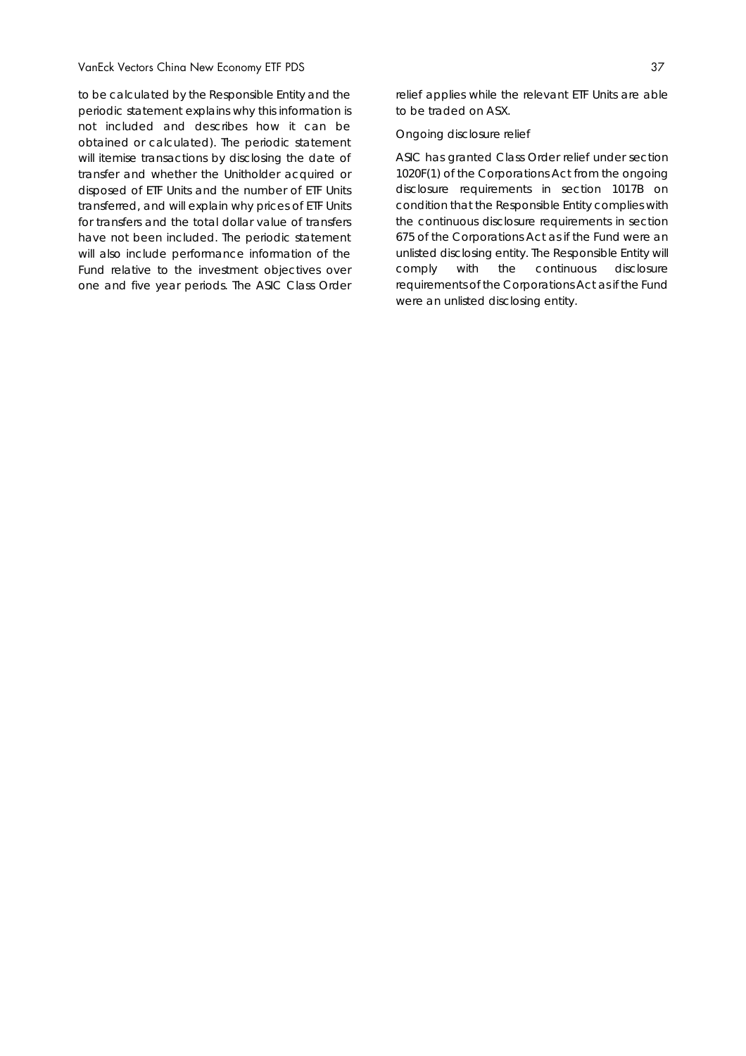to be calculated by the Responsible Entity and the periodic statement explains why this information is not included and describes how it can be obtained or calculated). The periodic statement will itemise transactions by disclosing the date of transfer and whether the Unitholder acquired or disposed of ETF Units and the number of ETF Units transferred, and will explain why prices of ETF Units for transfers and the total dollar value of transfers have not been included. The periodic statement will also include performance information of the Fund relative to the investment objectives over one and five year periods. The ASIC Class Order

relief applies while the relevant ETF Units are able to be traded on ASX.

#### *Ongoing disclosure relief*

ASIC has granted Class Order relief under section 1020F(1) of the *Corporations Act* from the ongoing disclosure requirements in section 1017B on condition that the Responsible Entity complies with the continuous disclosure requirements in section 675 of the *Corporations Act* as if the Fund were an unlisted disclosing entity. The Responsible Entity will comply with the continuous disclosure requirements of the *Corporations Act* as if the Fund were an unlisted disclosing entity.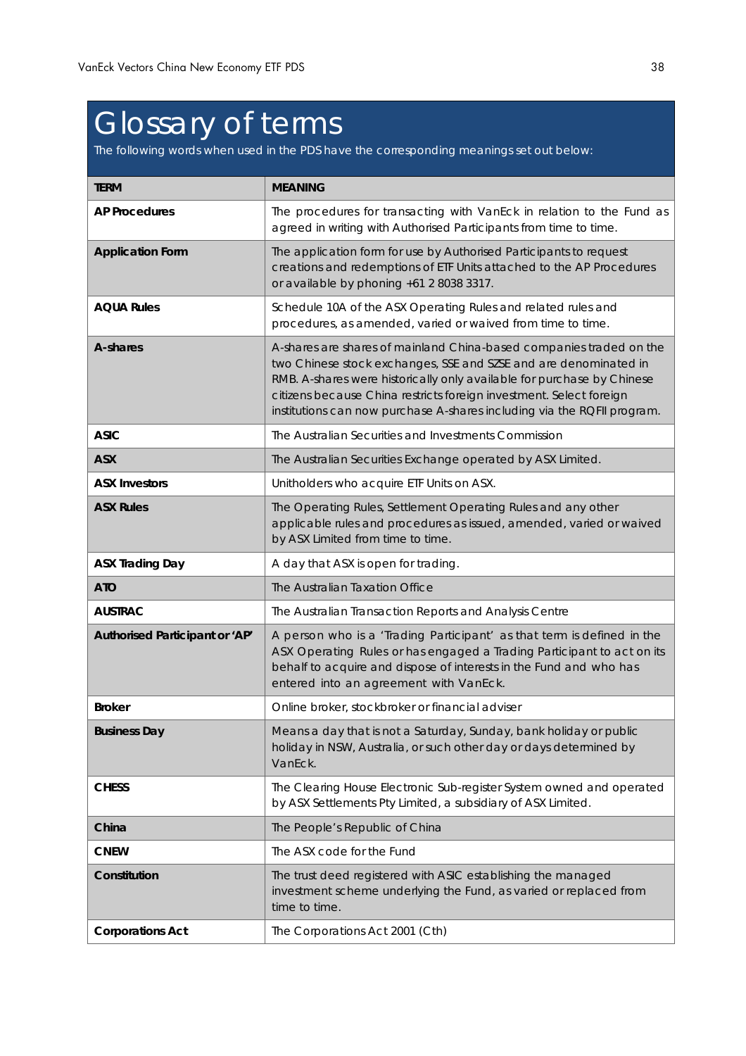## Glossary of terms

The following words when used in the PDS have the corresponding meanings set out below:

| <b>TERM</b>                    | <b>MEANING</b>                                                                                                                                                                                                                                                                                                                                                      |
|--------------------------------|---------------------------------------------------------------------------------------------------------------------------------------------------------------------------------------------------------------------------------------------------------------------------------------------------------------------------------------------------------------------|
| <b>AP Procedures</b>           | The procedures for transacting with VanEck in relation to the Fund as<br>agreed in writing with Authorised Participants from time to time.                                                                                                                                                                                                                          |
| <b>Application Form</b>        | The application form for use by Authorised Participants to request<br>creations and redemptions of ETF Units attached to the AP Procedures<br>or available by phoning +61 2 8038 3317.                                                                                                                                                                              |
| <b>AQUA Rules</b>              | Schedule 10A of the ASX Operating Rules and related rules and<br>procedures, as amended, varied or waived from time to time.                                                                                                                                                                                                                                        |
| A-shares                       | A-shares are shares of mainland China-based companies traded on the<br>two Chinese stock exchanges, SSE and SZSE and are denominated in<br>RMB. A-shares were historically only available for purchase by Chinese<br>citizens because China restricts foreign investment. Select foreign<br>institutions can now purchase A-shares including via the RQFII program. |
| <b>ASIC</b>                    | The Australian Securities and Investments Commission                                                                                                                                                                                                                                                                                                                |
| <b>ASX</b>                     | The Australian Securities Exchange operated by ASX Limited.                                                                                                                                                                                                                                                                                                         |
| <b>ASX Investors</b>           | Unitholders who acquire ETF Units on ASX.                                                                                                                                                                                                                                                                                                                           |
| <b>ASX Rules</b>               | The Operating Rules, Settlement Operating Rules and any other<br>applicable rules and procedures as issued, amended, varied or waived<br>by ASX Limited from time to time.                                                                                                                                                                                          |
| <b>ASX Trading Day</b>         | A day that ASX is open for trading.                                                                                                                                                                                                                                                                                                                                 |
| <b>ATO</b>                     | The Australian Taxation Office                                                                                                                                                                                                                                                                                                                                      |
| <b>AUSTRAC</b>                 | The Australian Transaction Reports and Analysis Centre                                                                                                                                                                                                                                                                                                              |
| Authorised Participant or 'AP' | A person who is a 'Trading Participant' as that term is defined in the<br>ASX Operating Rules or has engaged a Trading Participant to act on its<br>behalf to acquire and dispose of interests in the Fund and who has<br>entered into an agreement with VanEck.                                                                                                    |
| <b>Broker</b>                  | Online broker, stockbroker or financial adviser                                                                                                                                                                                                                                                                                                                     |
| <b>Business Day</b>            | Means a day that is not a Saturday, Sunday, bank holiday or public<br>holiday in NSW, Australia, or such other day or days determined by<br>VanEck.                                                                                                                                                                                                                 |
| <b>CHESS</b>                   | The Clearing House Electronic Sub-register System owned and operated<br>by ASX Settlements Pty Limited, a subsidiary of ASX Limited.                                                                                                                                                                                                                                |
| China                          | The People's Republic of China                                                                                                                                                                                                                                                                                                                                      |
| <b>CNEW</b>                    | The ASX code for the Fund                                                                                                                                                                                                                                                                                                                                           |
| Constitution                   | The trust deed registered with ASIC establishing the managed<br>investment scheme underlying the Fund, as varied or replaced from<br>time to time.                                                                                                                                                                                                                  |
| <b>Corporations Act</b>        | The Corporations Act 2001 (Cth)                                                                                                                                                                                                                                                                                                                                     |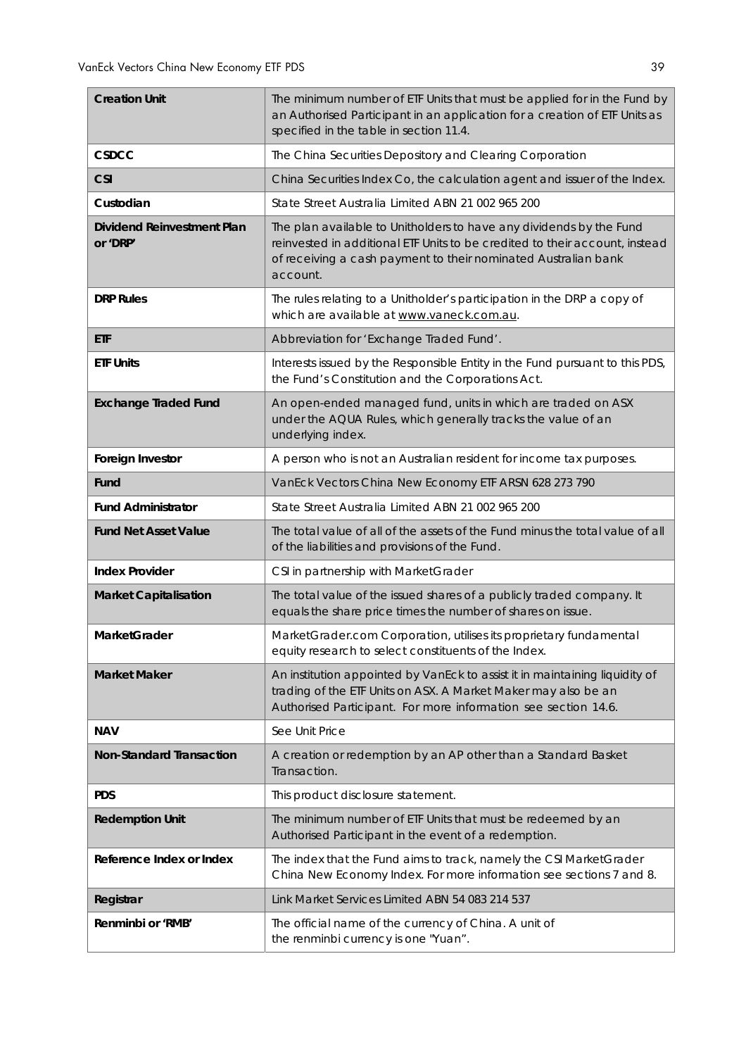| <b>Creation Unit</b>                          | The minimum number of ETF Units that must be applied for in the Fund by<br>an Authorised Participant in an application for a creation of ETF Units as<br>specified in the table in section 11.4.                                 |
|-----------------------------------------------|----------------------------------------------------------------------------------------------------------------------------------------------------------------------------------------------------------------------------------|
| <b>CSDCC</b>                                  | The China Securities Depository and Clearing Corporation                                                                                                                                                                         |
| <b>CSI</b>                                    | China Securities Index Co, the calculation agent and issuer of the Index.                                                                                                                                                        |
| Custodian                                     | State Street Australia Limited ABN 21 002 965 200                                                                                                                                                                                |
| <b>Dividend Reinvestment Plan</b><br>or 'DRP' | The plan available to Unitholders to have any dividends by the Fund<br>reinvested in additional ETF Units to be credited to their account, instead<br>of receiving a cash payment to their nominated Australian bank<br>account. |
| <b>DRP Rules</b>                              | The rules relating to a Unitholder's participation in the DRP a copy of<br>which are available at www.vaneck.com.au.                                                                                                             |
| ETF                                           | Abbreviation for 'Exchange Traded Fund'.                                                                                                                                                                                         |
| <b>ETF Units</b>                              | Interests issued by the Responsible Entity in the Fund pursuant to this PDS,<br>the Fund's Constitution and the Corporations Act.                                                                                                |
| <b>Exchange Traded Fund</b>                   | An open-ended managed fund, units in which are traded on ASX<br>under the AQUA Rules, which generally tracks the value of an<br>underlying index.                                                                                |
| Foreign Investor                              | A person who is not an Australian resident for income tax purposes.                                                                                                                                                              |
| Fund                                          | VanEck Vectors China New Economy ETF ARSN 628 273 790                                                                                                                                                                            |
| <b>Fund Administrator</b>                     | State Street Australia Limited ABN 21 002 965 200                                                                                                                                                                                |
| <b>Fund Net Asset Value</b>                   | The total value of all of the assets of the Fund minus the total value of all<br>of the liabilities and provisions of the Fund.                                                                                                  |
| <b>Index Provider</b>                         | CSI in partnership with MarketGrader                                                                                                                                                                                             |
| <b>Market Capitalisation</b>                  | The total value of the issued shares of a publicly traded company. It<br>equals the share price times the number of shares on issue.                                                                                             |
| <b>MarketGrader</b>                           | MarketGrader.com Corporation, utilises its proprietary fundamental<br>equity research to select constituents of the Index.                                                                                                       |
| <b>Market Maker</b>                           | An institution appointed by VanEck to assist it in maintaining liquidity of<br>trading of the ETF Units on ASX. A Market Maker may also be an<br>Authorised Participant. For more information see section 14.6.                  |
| <b>NAV</b>                                    | See Unit Price                                                                                                                                                                                                                   |
| <b>Non-Standard Transaction</b>               | A creation or redemption by an AP other than a Standard Basket<br>Transaction.                                                                                                                                                   |
| <b>PDS</b>                                    | This product disclosure statement.                                                                                                                                                                                               |
| <b>Redemption Unit</b>                        | The minimum number of ETF Units that must be redeemed by an<br>Authorised Participant in the event of a redemption.                                                                                                              |
| Reference Index or Index                      | The index that the Fund aims to track, namely the CSI MarketGrader<br>China New Economy Index. For more information see sections 7 and 8.                                                                                        |
| Registrar                                     | Link Market Services Limited ABN 54 083 214 537                                                                                                                                                                                  |
| Renminbi or 'RMB'                             | The official name of the currency of China. A unit of<br>the renminbi currency is one "Yuan".                                                                                                                                    |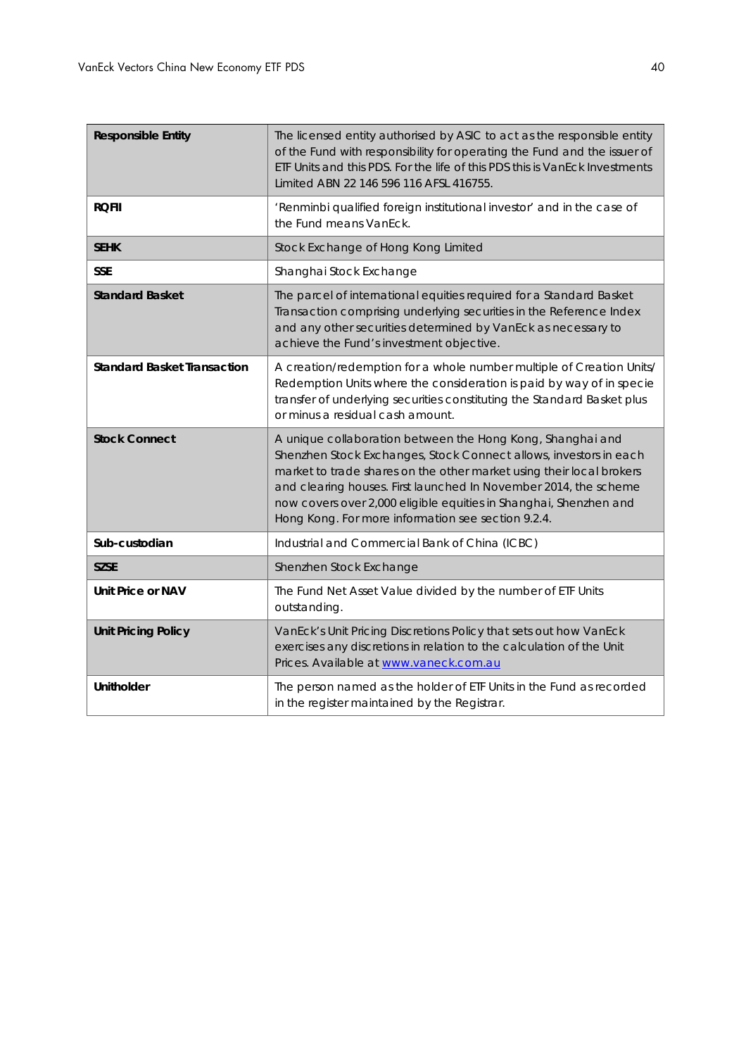| <b>Responsible Entity</b>          | The licensed entity authorised by ASIC to act as the responsible entity<br>of the Fund with responsibility for operating the Fund and the issuer of<br>ETF Units and this PDS. For the life of this PDS this is VanEck Investments<br>Limited ABN 22 146 596 116 AFSL 416755.                                                                                                                          |
|------------------------------------|--------------------------------------------------------------------------------------------------------------------------------------------------------------------------------------------------------------------------------------------------------------------------------------------------------------------------------------------------------------------------------------------------------|
| <b>RQFII</b>                       | 'Renminbi qualified foreign institutional investor' and in the case of<br>the Fund means VanEck.                                                                                                                                                                                                                                                                                                       |
| <b>SEHK</b>                        | Stock Exchange of Hong Kong Limited                                                                                                                                                                                                                                                                                                                                                                    |
| <b>SSE</b>                         | Shanghai Stock Exchange                                                                                                                                                                                                                                                                                                                                                                                |
| <b>Standard Basket</b>             | The parcel of international equities required for a Standard Basket<br>Transaction comprising underlying securities in the Reference Index<br>and any other securities determined by VanEck as necessary to<br>achieve the Fund's investment objective.                                                                                                                                                |
| <b>Standard Basket Transaction</b> | A creation/redemption for a whole number multiple of Creation Units/<br>Redemption Units where the consideration is paid by way of in specie<br>transfer of underlying securities constituting the Standard Basket plus<br>or minus a residual cash amount.                                                                                                                                            |
| <b>Stock Connect</b>               | A unique collaboration between the Hong Kong, Shanghai and<br>Shenzhen Stock Exchanges, Stock Connect allows, investors in each<br>market to trade shares on the other market using their local brokers<br>and clearing houses. First launched In November 2014, the scheme<br>now covers over 2,000 eligible equities in Shanghai, Shenzhen and<br>Hong Kong. For more information see section 9.2.4. |
| Sub-custodian                      | Industrial and Commercial Bank of China (ICBC)                                                                                                                                                                                                                                                                                                                                                         |
| <b>SZSE</b>                        | Shenzhen Stock Exchange                                                                                                                                                                                                                                                                                                                                                                                |
| Unit Price or NAV                  | The Fund Net Asset Value divided by the number of ETF Units<br>outstanding.                                                                                                                                                                                                                                                                                                                            |
| <b>Unit Pricing Policy</b>         | VanEck's Unit Pricing Discretions Policy that sets out how VanEck<br>exercises any discretions in relation to the calculation of the Unit<br>Prices. Available at www.vaneck.com.au                                                                                                                                                                                                                    |
| <b>Unitholder</b>                  | The person named as the holder of ETF Units in the Fund as recorded<br>in the register maintained by the Registrar.                                                                                                                                                                                                                                                                                    |